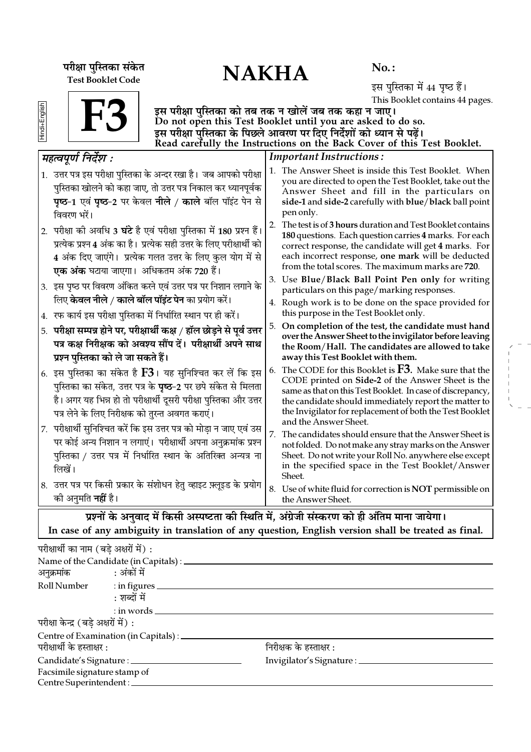परीक्षा पुस्तिका संकेत $\mathbf{NAKHA}$ Test Booklet Code

No. :

इस पुस्तिका में 44 पृष्ठ हैं। This Booklet contains 44 pages.

| 7 |  |
|---|--|
|   |  |
|   |  |
|   |  |

F3

इस परीक्षा पुस्तिका को तब तक न खोलें जब तक कहा न जाए। Do not open this Test Booklet until you are asked to do so. इस परीक्षा पुस्तिका के पिछले आवरण पर दिए निर्देशों को ध्यान से पढ़ें। Read carefully the Instructions on the Back Cover of this Test Booklet.

| महत्वपूर्ण निर्देश :                                                                                                                                                                                                                                                                                 | <b>Important Instructions:</b>                                                                                                                                                                                                                                                                                                                                     |
|------------------------------------------------------------------------------------------------------------------------------------------------------------------------------------------------------------------------------------------------------------------------------------------------------|--------------------------------------------------------------------------------------------------------------------------------------------------------------------------------------------------------------------------------------------------------------------------------------------------------------------------------------------------------------------|
| 1. उत्तर पत्र इस परीक्षा पुस्तिका के अन्दर रखा है। जब आपको परीक्षा<br>पुस्तिका खोलने को कहा जाए, तो उत्तर पत्र निकाल कर ध्यानपूर्वक<br>पृष्ठ-1 एवं पृष्ठ-2 पर केवल नीले / काले बॉल पॉइंट पेन से<br>विवरण भरें।                                                                                       | 1. The Answer Sheet is inside this Test Booklet. When<br>you are directed to open the Test Booklet, take out the<br>Answer Sheet and fill in the particulars on<br>side-1 and side-2 carefully with blue/black ball point<br>pen only.                                                                                                                             |
| 2.  परीक्षा की अवधि 3 <b>घंटे</b> है एवं परीक्षा पुस्तिका में 180 प्रश्न हैं।<br>प्रत्येक प्रश्न 4 अंक का है। प्रत्येक सही उत्तर के लिए परीक्षार्थी को<br>4 अंक दिए जाएंगे। प्रत्येक गलत उत्तर के लिए कुल योग में से<br><b>एक अंक</b> घटाया जाएगा।  अधिकतम अंक 720 हैं।                              | The test is of 3 hours duration and Test Booklet contains<br>2.<br>180 questions. Each question carries 4 marks. For each<br>correct response, the candidate will get 4 marks. For<br>each incorrect response, one mark will be deducted<br>from the total scores. The maximum marks are 720.                                                                      |
| 3. इस पृष्ठ पर विवरण अंकित करने एवं उत्तर पत्र पर निशान लगाने के<br>लिए <b>केवल नीले / काले बॉल पॉइंट पेन</b> का प्रयोग करें।                                                                                                                                                                        | 3. Use Blue/Black Ball Point Pen only for writing<br>particulars on this page/marking responses.                                                                                                                                                                                                                                                                   |
| 4. रफ कार्य इस परीक्षा पुस्तिका में निर्धारित स्थान पर ही करें।                                                                                                                                                                                                                                      | 4. Rough work is to be done on the space provided for<br>this purpose in the Test Booklet only.                                                                                                                                                                                                                                                                    |
| 5. परीक्षा सम्पन्न होने पर, परीक्षार्थी कक्ष / हॉल छोड़ने से पूर्व उत्तर<br>पत्र कक्ष निरीक्षक को अवश्य सौंप दें। परीक्षार्थी अपने साथ                                                                                                                                                               | 5. On completion of the test, the candidate must hand<br>over the Answer Sheet to the invigilator before leaving<br>the Room/Hall. The candidates are allowed to take                                                                                                                                                                                              |
| प्रश्न पुस्तिका को ले जा सकते हैं।<br>6. इस पुस्तिका का संकेत है $F3$ । यह सुनिश्चित कर लें कि इस<br>पुस्तिका का संकेत, उत्तर पत्र के <b>पृष्ठ</b> –2 पर छपे संकेत से मिलता<br>है। अगर यह भिन्न हो तो परीक्षार्थी दूसरी परीक्षा पुस्तिका और उत्तर<br>पत्र लेने के लिए निरीक्षक को तुरन्त अवगत कराएं। | away this Test Booklet with them.<br>The CODE for this Booklet is $F3$ . Make sure that the<br>6.<br>CODE printed on Side-2 of the Answer Sheet is the<br>same as that on this Test Booklet. In case of discrepancy,<br>the candidate should immediately report the matter to<br>the Invigilator for replacement of both the Test Booklet<br>and the Answer Sheet. |
| परीक्षार्थी सुनिश्चित करें कि इस उत्तर पत्र को मोड़ा न जाए एवं उस<br>7.<br>पर कोई अन्य निशान न लगाएं। परीक्षार्थी अपना अनुक्रमांक प्रश्न<br>पुस्तिका / उत्तर पत्र में निर्धारित स्थान के अतिरिक्त अन्यत्र ना<br>लिखें।                                                                               | 7 <sup>1</sup><br>The candidates should ensure that the Answer Sheet is<br>not folded. Do not make any stray marks on the Answer<br>Sheet. Do not write your Roll No. anywhere else except<br>in the specified space in the Test Booklet/Answer<br>Sheet.                                                                                                          |
| 8. उत्तर पत्र पर किसी प्रकार के संशोधन हेतु व्हाइट फ़्लूइड के प्रयोग<br>को अनुमति <b>नहीं</b> है।                                                                                                                                                                                                    | 8. Use of white fluid for correction is NOT permissible on<br>the Answer Sheet.                                                                                                                                                                                                                                                                                    |
|                                                                                                                                                                                                                                                                                                      | प्रश्नों के अनवाद में किसी अस्पष्टता की स्थिति में. अंग्रेजी संस्करण को ही अंतिम माना जायेगा।                                                                                                                                                                                                                                                                      |

**भदि में किसा अस्पष्टता का स्थात म, अग्रजा सस्करण का हा आतम माना** In case of any ambiguity in translation of any question, English version shall be treated as final.

| परीक्षार्थी का नाम (बडे अक्षरों में): |                                                |                                      |  |
|---------------------------------------|------------------------------------------------|--------------------------------------|--|
|                                       | Name of the Candidate (in Capitals) : ________ |                                      |  |
| अनुक्रमांक : अंकों में                |                                                |                                      |  |
|                                       | Roll Number : in figures                       |                                      |  |
|                                       | : शब्दों में                                   |                                      |  |
|                                       | $:$ in words $\_\_$                            |                                      |  |
| परीक्षा केन्द्र (बड़े अक्षरों में) :  |                                                |                                      |  |
|                                       | Centre of Examination (in Capitals) : ________ |                                      |  |
| परीक्षार्थी के हस्ताक्षर :            |                                                | निरीक्षक के हस्ताक्षर :              |  |
|                                       |                                                | Invigilator's Signature : __________ |  |
| Facsimile signature stamp of          |                                                |                                      |  |
|                                       | Centre Superintendent :                        |                                      |  |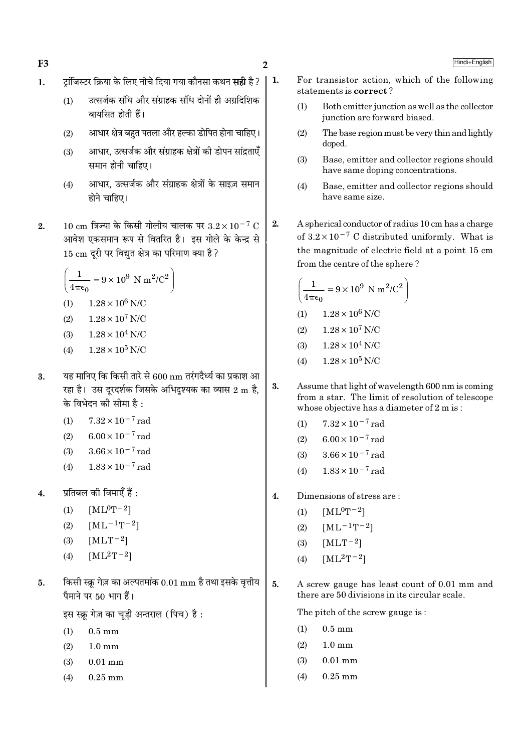- टॉजिस्टर क्रिया के लिए नीचे दिया गया कौनसा कथन **सही** है ? | 1.  $\mathbf{1}$ .
	- उत्सर्जक संधि और संग्राहक संधि दोनों ही अग्रदिशिक  $(1)$ बायसित होती हैं।
	- आधार क्षेत्र बहुत पतला और हल्का डोपित होना चाहिए।  $(2)$
	- आधार, उत्सर्जक और संग्राहक क्षेत्रों की डोपन सांद्रताएँ  $(3)$ समान होनी चाहिए।
	- आधार, उत्सर्जक और संग्राहक क्षेत्रों के साइज़ समान  $(4)$ होने चाहिए।
- $10 \text{ cm}$  त्रिज्या के किसी गोलीय चालक पर  $3.2 \times 10^{-7} \text{ C}$  $2.$ आवेश एकसमान रूप से वितरित है। इस गोले के केन्द्र से 15 cm दूरी पर विद्युत क्षेत्र का परिमाण क्या है ?

$$
\left(\frac{1}{4\pi\epsilon_0} = 9 \times 10^9 \text{ N m}^2/\text{C}^2\right)
$$

- $1.28 \times 10^6$  N/C  $(1)$
- $1.28 \times 10^7$  N/C  $(2)$
- $1.28 \times 10^4$  N/C  $(3)$
- $1.28 \times 10^5$  N/C  $(4)$
- यह मानिए कि किसी तारे से 600 nm तरंगदैर्ध्य का प्रकाश आ  $3.$ रहा है। उस दूरदर्शक जिसके अभिदृश्यक का व्यास 2 m है, के विभेदन की सीमा है :
	- $7.32 \times 10^{-7}$  rad  $(1)$
	- $6.00 \times 10^{-7}$  rad  $(2)$
	- $3.66 \times 10^{-7}$  rad  $(3)$
	- $1.83 \times 10^{-7}$  rad  $(4)$
- प्रतिबल की विमाएँ हैं :  $4.$ 
	- $(1)$  $[ML^0T^{-2}]$
	- $[ML^{-1}T^{-2}]$  $(2)$
	- $[MLT^{-2}]$  $(3)$
	- $[ML^{2}T^{-2}]$  $(4)$
- किसी स्क्रू गेज़ का अल्पतमांक 0.01 mm है तथा इसके वृत्तीय  $5<sub>1</sub>$ पैमाने पर 50 भाग हैं।
	- इस स्क्रू गेज़ का चूड़ी अन्तराल (पिच) है:
	- $(1)$  $0.5 \text{ mm}$
	- $(2)$  $1.0 \text{ mm}$
	- $(3)$  $0.01$  mm
	- $0.25$  mm  $(4)$
- For transistor action, which of the following statements is correct?
	- $(1)$ Both emitter junction as well as the collector junction are forward biased.
	- The base region must be very thin and lightly  $(2)$ doped.
	- Base, emitter and collector regions should  $(3)$ have same doping concentrations.
	- $(4)$ Base, emitter and collector regions should have same size
- A spherical conductor of radius 10 cm has a charge  $2.$ of  $3.2 \times 10^{-7}$  C distributed uniformly. What is the magnitude of electric field at a point 15 cm from the centre of the sphere?

$$
\left(\frac{1}{4\pi\epsilon_0} = 9 \times 10^9 \text{ N m}^2/\text{C}^2\right)
$$
  
(1) 1.28 × 10<sup>6</sup> N/C  
(2) 1.28 × 10<sup>7</sup> N/C  
(3) 1.28 × 10<sup>4</sup> N/C

- $(4)$  $1.28 \times 10^5$  N/C
- Assume that light of wavelength 600 nm is coming 3. from a star. The limit of resolution of telescope whose objective has a diameter of 2 m is:
	- $7.32 \times 10^{-7}$  rad  $(1)$
	- $6.00 \times 10^{-7}$  rad  $(2)$
	- $3.66 \times 10^{-7}$  rad  $(3)$
	- $1.83 \times 10^{-7}$  rad  $(4)$
- $\overline{\mathbf{A}}$ Dimensions of stress are:
	- $[ML^0T^{-2}]$  $(1)$
	- $(2)$  $[ML^{-1}T^{-2}]$
	- $[MLT-2]$  $(3)$
	- $[ML^2T^{-2}]$  $(4)$
- $5.$ A screw gauge has least count of 0.01 mm and there are 50 divisions in its circular scale.

The pitch of the screw gauge is:

- $(1)$  $0.5 \text{ mm}$
- $(2)$  $1.0 \text{ mm}$
- $0.01$  mm  $(3)$
- $0.25$  mm  $(4)$

# Hindi+English

F<sub>3</sub>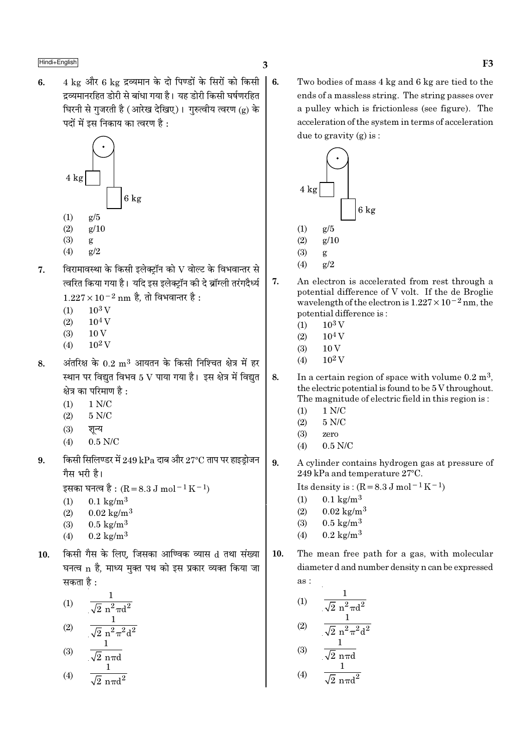4 kg और 6 kg द्रव्यमान के दो पिण्डों के सिरों को किसी  $6.$  $\vert$  6. द्रव्यमानरहित डोरी से बांधा गया है। यह डोरी किसी घर्षणरहित घिरनी से गुजरती है (आरेख देखिए)। गुरुत्वीय त्वरण (g) के पदों में इस निकाय का त्वरण है :



- $(2)$  $g/10$
- $(3)$ g
- $(4)$  $g/2$
- विरामावस्था के किसी इलेक्ट्रॉन को  ${\rm V}$  वोल्ट के विभवान्तर से  $\overline{7}$ . त्वरित किया गया है। यदि इस इलेक्ट्रॉन की दे ब्रॉग्ली तरंगदैर्ध्य  $1.227 \times 10^{-2}$  nm है, तो विभवान्तर है :
	- $10<sup>3</sup>$  V  $(1)$
	- $(2)$  $10<sup>4</sup>$  V
	- $10V$  $(3)$
	-
	- $(4)$  $10^2$  V
- अंतरिक्ष के  $0.2\;{\rm m}^3$  आयतन के किसी निश्चित क्षेत्र में हर 8. स्थान पर विद्युत विभव 5 V पाया गया है। इस क्षेत्र में विद्युत क्षेत्र का परिमाण है :
	- $(1)$  $1 N/C$
	- $(2)$  $5 N/C$
	- $(3)$ शून्य
	- $(4)$  $0.5$  N/C
- किसी सिलिण्डर में  $249$  kPa दाब और  $27^{\circ}\mathrm{C}$  ताप पर हाइड़ोजन 9. गैस भरी है।

इसका घनत्व है : (R = 8.3 J mol<sup>-1</sup> K<sup>-1</sup>)

- $0.1 \text{ kg/m}^3$  $(1)$
- $(2)$  $0.02 \text{ kg/m}^3$
- $0.5 \text{ kg/m}^3$  $(3)$
- $0.2 \text{ kg/m}^3$  $(4)$
- किसी गैस के लिए. जिसका आण्विक व्यास d तथा संख्या  $10.$ घनत्व n है, माध्य मुक्त पथ को इस प्रकार व्यक्त किया जा सकता है :

(1) 
$$
\frac{1}{\sqrt{2} n^2 \pi d^2}
$$
  
(2) 
$$
\frac{1}{\sqrt{2} n^2 \pi d^2}
$$

$$
(3) \quad \frac{1}{\sqrt{2} \text{ n} \pi d}
$$

$$
(4) \qquad \frac{1}{\sqrt{2} \, n \pi d^2}
$$

Two bodies of mass 4 kg and 6 kg are tied to the ends of a massless string. The string passes over a pulley which is frictionless (see figure). The acceleration of the system in terms of acceleration due to gravity  $(g)$  is:



- 7. An electron is accelerated from rest through a potential difference of V volt. If the de Broglie wavelength of the electron is  $1.227 \times 10^{-2}$  nm, the potential difference is:
	- $10^3$  V  $(1)$
	- $10^4$  V  $(2)$
	- $(3)$  $10V$
	- $10^2$  V  $(4)$
- 8. In a certain region of space with volume  $0.2 \text{ m}^3$ , the electric potential is found to be 5 V throughout. The magnitude of electric field in this region is:
	- $1 N/C$  $(1)$
	- $(2)$  $5 N/C$
	- $(3)$ zero
	- $(4)$  $0.5$  N/C
- 9. A cylinder contains hydrogen gas at pressure of 249 kPa and temperature 27°C.

Its density is:  $(R = 8.3 J \text{ mol}^{-1} \text{K}^{-1})$ 

- $0.1 \text{ kg/m}^3$  $(1)$
- $0.02 \text{ kg/m}^3$  $(2)$
- $0.5 \text{ kg/m}^3$  $(3)$
- $0.2 \text{ kg/m}^3$  $(4)$
- 10. The mean free path for a gas, with molecular diameter d and number density n can be expressed as:

(1) 
$$
\frac{1}{\sqrt{2} n^2 \pi d^2}
$$
  
(2) 
$$
\frac{1}{\sqrt{2} n^2 \pi^2 d^2}
$$
  
(3) 
$$
\frac{1}{\sqrt{2} n^2 \pi^2 d^2}
$$

(4) 
$$
\frac{\sqrt{2} \text{ n} \pi d}{\sqrt{2} \text{ n} \pi d^2}
$$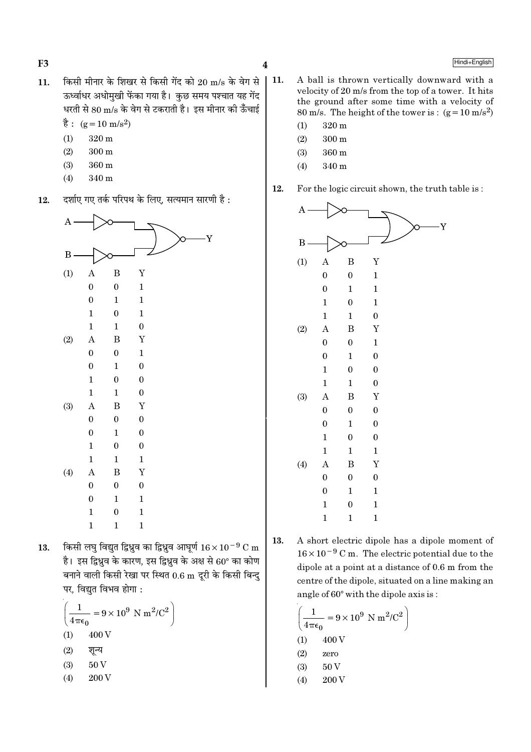$\overline{\mathbf{4}}$ 

- किसी मीनार के शिखर से किसी गेंद को 20 m/s के वेग से  $11.$ ऊर्ध्वाधर अधोमखी फेंका गया है। कछ समय पश्चात यह गेंद धरती से 80 m/s के वेग से टकराती है। इस मीनार की ऊँचाई
	- $\dot{\vec{g}}$ : (g = 10 m/s<sup>2</sup>)
	- $320 m$  $(1)$

 $F<sub>3</sub>$ 

- $(2)$  $300<sub>m</sub>$
- $(3)$ 360 m
- $(4)$ 340 m
- दर्शाए गए तर्क परिपथ के लिए, सत्यमान सारणी है : 12.

| $\overline{\mathbf{A}}$ |                  |                  |                  |
|-------------------------|------------------|------------------|------------------|
| $\boldsymbol{B}$        |                  |                  | Y                |
| (1)                     | $\boldsymbol{A}$ | B                | $\mathbf Y$      |
|                         | $\boldsymbol{0}$ | $\boldsymbol{0}$ | $\mathbf{1}$     |
|                         | $\boldsymbol{0}$ | $\mathbf{1}$     | $\mathbf 1$      |
|                         | $\mathbf{1}$     | $\boldsymbol{0}$ | $\mathbf 1$      |
|                         | $\mathbf{1}$     | $\mathbf{1}$     | $\boldsymbol{0}$ |
| (2)                     | $\bf{A}$         | B                | $\mathbf Y$      |
|                         | $\boldsymbol{0}$ | $\boldsymbol{0}$ | $\mathbf{1}$     |
|                         | $\boldsymbol{0}$ | $\mathbf{1}$     | $\boldsymbol{0}$ |
|                         | $\mathbf{1}$     | $\boldsymbol{0}$ | $\boldsymbol{0}$ |
|                         | $\mathbf{1}$     | $\mathbf{1}$     | $\boldsymbol{0}$ |
| (3)                     | $\boldsymbol{A}$ | $\boldsymbol{B}$ | $\mathbf Y$      |
|                         | $\boldsymbol{0}$ | $\boldsymbol{0}$ | $\boldsymbol{0}$ |
|                         | $\boldsymbol{0}$ | $\mathbf{1}$     | $\boldsymbol{0}$ |
|                         | $\mathbf{1}$     | $\boldsymbol{0}$ | $\boldsymbol{0}$ |
|                         | $\mathbf{1}$     | $\mathbf{1}$     | $\mathbf{1}$     |
| (4)                     | $\boldsymbol{A}$ | B                | $\mathbf Y$      |
|                         | $\boldsymbol{0}$ | $\boldsymbol{0}$ | $\boldsymbol{0}$ |
|                         | $\boldsymbol{0}$ | $\mathbf{1}$     | $\mathbf{1}$     |
|                         | $\mathbf{1}$     | $\boldsymbol{0}$ | $\mathbf{1}$     |
|                         | $\mathbf{1}$     | $\mathbf{1}$     | $\mathbf{1}$     |
|                         |                  |                  |                  |

किसी लघु विद्युत द्विध्रुव का द्विध्रुव आघूर्ण  $16 \times 10^{-9}$  C m 13. है। इस द्विध्रव के कारण, इस द्विध्रव के अक्ष से 60° का कोण बनाने वाली किसी रेखा पर स्थित  $0.6 \text{ m}$  दूरी के किसी बिन्दु पर, विद्युत विभव होगा :

$$
\left(\frac{1}{4\pi\epsilon_0} = 9 \times 10^9 \text{ N m}^2/\text{C}^2\right)
$$
  
(1) 400 V  
(2)  $\sqrt[3]{\pi}$  Q  
(3) 50 V  
(4) 200 V

- $\vert$  11. A ball is thrown vertically downward with a velocity of 20 m/s from the top of a tower. It hits the ground after some time with a velocity of 80 m/s. The height of the tower is:  $(g=10 \text{ m/s}^2)$ 
	- $(1)$  $320 \text{ m}$
	- $(2)$  $300 \text{ m}$
	- $(3)$ 360 m
	- 340 m  $(4)$
	- 12. For the logic circuit shown, the truth table is:



A short electric dipole has a dipole moment of 13.  $16 \times 10^{-9}$  C m. The electric potential due to the dipole at a point at a distance of 0.6 m from the centre of the dipole, situated on a line making an angle of  $60^{\circ}$  with the dipole axis is:

$$
\left(\frac{1}{4\pi\epsilon_0} = 9 \times 10^9 \text{ N m}^2/\text{C}^2\right)
$$
  
(1) 400 V  
(2) zero  
(3) 50 V  
(4) 200 V

### Hindi+English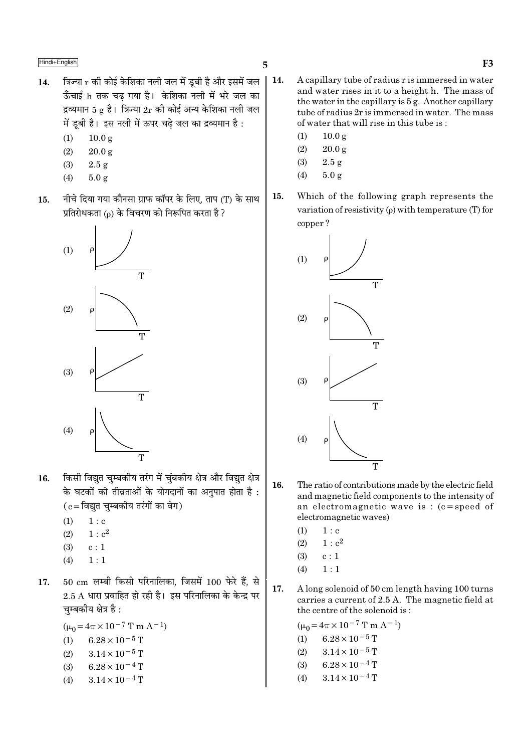- त्रिज्या r की कोई केशिका नली जल में डूबी है और इसमें जल 14. ऊँचाई h तक चढ गया है। केशिका नली में भरे जल का द्रव्यमान 5 g है। त्रिज्या  $2r$  की कोई अन्य केशिका नली जल में ड़बी है। इस नली में ऊपर चढे जल का द्रव्यमान है :
	- $10.0 g$  $(1)$
	- $(2)$  $20.0 g$
	- $(3)$  $2.5 g$
	- $(4)$  $5.0 g$
- नीचे दिया गया कौनसा ग्राफ कॉपर के लिए, ताप (T) के साथ 15. प्रतिरोधकता ( $\rho$ ) के विचरण को निरूपित करता है ?



- किसी विद्यत चम्बकीय तरंग में चंबकीय क्षेत्र और विद्यत क्षेत्र 16. के घटकों की तीव्रताओं के योगदानों का अनुपात होता है:  $(c = \bar{c}$ विद्युत चुम्बकीय तरंगों का वेग)
	- $(1)$  $1: c$
	- $1 : c<sup>2</sup>$  $(2)$
	- $c:1$  $(3)$
	- $(4)$  $1:1$
- $50 \text{ cm}$  लम्बी किसी परिनालिका, जिसमें  $100 \text{ \text{ b}}\lambda$  हैं, से 17.  $2.5$  A धारा प्रवाहित हो रही है। इस परिनालिका के केन्द्र पर चुम्बकीय क्षेत्र है :
	- $(\mu_0 = 4\pi \times 10^{-7} \text{ T m A}^{-1})$
	- (1)  $6.28 \times 10^{-5}$  T
	- $(2)$  $3.14 \times 10^{-5}$  T
	- $6.28 \times 10^{-4}$  T  $(3)$
	- $3.14 \times 10^{-4}$  T  $(4)$
- $\vert$  14. A capillary tube of radius r is immersed in water and water rises in it to a height h. The mass of the water in the capillary is 5 g. Another capillary tube of radius 2r is immersed in water. The mass of water that will rise in this tube is:
	- $(1)$  $10.0 g$
	- $(2)$  $20.0 g$
	- $2.5\ \mathrm{g}$  $(3)$
	- $(4)$  $5.0 g$
	- 15. Which of the following graph represents the variation of resistivity  $(\rho)$  with temperature (T) for copper?



- 16. The ratio of contributions made by the electric field and magnetic field components to the intensity of an electromagnetic wave is:  $(c = speed of$ electromagnetic waves)
	- $(1)$  $1 : c$
	- $(2)$  $1: c^2$
	- $(3)$  $c:1$
	- $1:1$  $(4)$
- 17. A long solenoid of 50 cm length having 100 turns carries a current of 2.5 A. The magnetic field at the centre of the solenoid is:

 $(\mu_0 = 4\pi \times 10^{-7} \text{ T m A}^{-1})$  $6.28 \times 10^{-5}$  T  $(1)$  $3.14 \times 10^{-5}$  T  $(2)$  $(3)$  $6.28 \times 10^{-4}$  T  $3.14 \times 10^{-4}$  T  $(4)$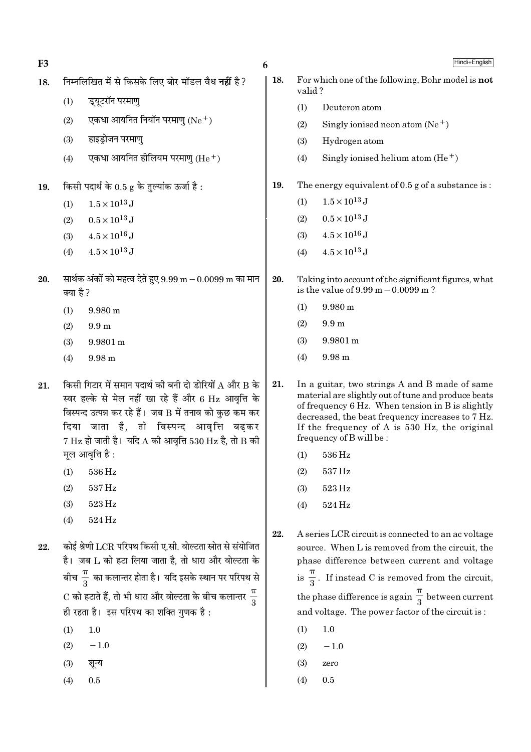| F <sub>3</sub> |                                                                                                                                                                                                                                                                                                | 6                                                                                                                |     |        | Hindi+English                                                                                                                                                                                                                                                                            |  |  |
|----------------|------------------------------------------------------------------------------------------------------------------------------------------------------------------------------------------------------------------------------------------------------------------------------------------------|------------------------------------------------------------------------------------------------------------------|-----|--------|------------------------------------------------------------------------------------------------------------------------------------------------------------------------------------------------------------------------------------------------------------------------------------------|--|--|
| 18.            |                                                                                                                                                                                                                                                                                                | निम्नलिखित में से किसके लिए बोर मॉडल वैध <b>नहीं</b> है?                                                         | 18. | valid? | For which one of the following, Bohr model is not                                                                                                                                                                                                                                        |  |  |
|                | ड्यूटरॉन परमाण्<br>(1)                                                                                                                                                                                                                                                                         |                                                                                                                  |     | (1)    | Deuteron atom                                                                                                                                                                                                                                                                            |  |  |
|                | (2)                                                                                                                                                                                                                                                                                            | एकधा आयनित नियॉन परमाणु $(Ne+)$                                                                                  |     | (2)    | Singly ionised neon atom $(Ne^+)$                                                                                                                                                                                                                                                        |  |  |
|                | हाइड्रोजन परमाणु<br>(3)                                                                                                                                                                                                                                                                        |                                                                                                                  |     | (3)    | Hydrogen atom                                                                                                                                                                                                                                                                            |  |  |
|                | (4)                                                                                                                                                                                                                                                                                            | एकधा आयनित हीलियम परमाणु (He $^+$ )                                                                              |     | (4)    | Singly ionised helium atom $(He+)$                                                                                                                                                                                                                                                       |  |  |
| 19.            | किसी पदार्थ के $0.5$ g के तुल्यांक ऊर्जा है :                                                                                                                                                                                                                                                  |                                                                                                                  | 19. |        | The energy equivalent of $0.5$ g of a substance is:                                                                                                                                                                                                                                      |  |  |
|                | $1.5 \times 10^{13}$ J<br>(1)                                                                                                                                                                                                                                                                  |                                                                                                                  |     | (1)    | $1.5 \times 10^{13}$ J                                                                                                                                                                                                                                                                   |  |  |
|                | $0.5 \times 10^{13}$ J<br>(2)                                                                                                                                                                                                                                                                  |                                                                                                                  |     | (2)    | $0.5 \times 10^{13}$ J                                                                                                                                                                                                                                                                   |  |  |
|                | $4.5 \times 10^{16}$ J<br>(3)                                                                                                                                                                                                                                                                  |                                                                                                                  |     | (3)    | $4.5 \times 10^{16}$ J                                                                                                                                                                                                                                                                   |  |  |
|                | $4.5 \times 10^{13}$ J<br>(4)                                                                                                                                                                                                                                                                  |                                                                                                                  |     | (4)    | $4.5 \times 10^{13}$ J                                                                                                                                                                                                                                                                   |  |  |
| 20.            | क्या है ?                                                                                                                                                                                                                                                                                      | सार्थक अंकों को महत्व देते हुए 9.99 m $-0.0099$ m का मान                                                         | 20. |        | Taking into account of the significant figures, what<br>is the value of $9.99 \text{ m} - 0.0099 \text{ m}$ ?                                                                                                                                                                            |  |  |
|                | $9.980 \text{ m}$<br>(1)                                                                                                                                                                                                                                                                       |                                                                                                                  |     | (1)    | $9.980 \text{ m}$                                                                                                                                                                                                                                                                        |  |  |
|                | 9.9 <sub>m</sub><br>(2)                                                                                                                                                                                                                                                                        |                                                                                                                  |     | (2)    | 9.9 <sub>m</sub>                                                                                                                                                                                                                                                                         |  |  |
|                | $9.9801 \text{ m}$<br>(3)                                                                                                                                                                                                                                                                      |                                                                                                                  |     | (3)    | $9.9801 \text{ m}$                                                                                                                                                                                                                                                                       |  |  |
|                | (4)<br>$9.98 \text{ m}$                                                                                                                                                                                                                                                                        |                                                                                                                  |     | (4)    | $9.98 \text{ m}$                                                                                                                                                                                                                                                                         |  |  |
| 21.            | किसी गिटार में समान पदार्थ की बनी दो डोरियों ${\rm A}$ और ${\rm B}$ के<br>स्वर हल्के से मेल नहीं खा रहे हैं और 6 Hz आवृत्ति के<br>विस्पन्द उत्पन्न कर रहे हैं। जब B में तनाव को कुछ कम कर<br>दिया जाता है, तो विस्पन्द आवृत्ति बढ़कर<br>$7$ Hz हो जाती है। यदि A की आवृत्ति 530 Hz है, तो B की |                                                                                                                  |     |        | In a guitar, two strings A and B made of same<br>material are slightly out of tune and produce beats<br>of frequency 6 Hz. When tension in B is slightly<br>decreased, the beat frequency increases to 7 Hz.<br>If the frequency of A is 530 Hz, the original<br>frequency of B will be: |  |  |
|                | मूल आवृत्ति है :                                                                                                                                                                                                                                                                               |                                                                                                                  |     |        | $(1)$ 536 Hz                                                                                                                                                                                                                                                                             |  |  |
|                | $536\,\mathrm{Hz}$<br>(1)                                                                                                                                                                                                                                                                      |                                                                                                                  |     | (2)    | 537 Hz                                                                                                                                                                                                                                                                                   |  |  |
|                | $537\,\mathrm{Hz}$<br>(2)                                                                                                                                                                                                                                                                      |                                                                                                                  |     | (3)    | 523 Hz                                                                                                                                                                                                                                                                                   |  |  |
|                | $523\,\mathrm{Hz}$<br>(3)                                                                                                                                                                                                                                                                      |                                                                                                                  |     | (4)    | 524 Hz                                                                                                                                                                                                                                                                                   |  |  |
|                | $524\,\mathrm{Hz}$<br>(4)                                                                                                                                                                                                                                                                      |                                                                                                                  |     |        |                                                                                                                                                                                                                                                                                          |  |  |
| 22.            |                                                                                                                                                                                                                                                                                                | कोई श्रेणी LCR परिपथ किसी ए.सी. वोल्टता स्रोत से संयोजित<br>है।  जब L को हटा लिया जाता है, तो धारा और वोल्टता के | 22. |        | A series LCR circuit is connected to an ac voltage<br>source. When L is removed from the circuit, the<br>phase difference between current and voltage                                                                                                                                    |  |  |
|                |                                                                                                                                                                                                                                                                                                | बीच $\frac{11}{3}$ का कलान्तर होता है। यदि इसके स्थान पर परिपथ से                                                |     |        | is $\frac{\pi}{3}$ . If instead C is removed from the circuit,                                                                                                                                                                                                                           |  |  |
|                | ही रहता है। इस परिपथ का शक्ति गुणक है:                                                                                                                                                                                                                                                         | C को हटाते हैं, तो भी धारा और वोल्टता के बीच कलान्तर $\frac{\pi}{3}$                                             |     |        | the phase difference is again $\frac{1}{3}$ between current<br>and voltage. The power factor of the circuit is:                                                                                                                                                                          |  |  |
|                | 1.0<br>(1)                                                                                                                                                                                                                                                                                     |                                                                                                                  |     | (1)    | $1.0\,$                                                                                                                                                                                                                                                                                  |  |  |
|                | $-1.0$<br>(2)                                                                                                                                                                                                                                                                                  |                                                                                                                  |     | (2)    | $-1.0$                                                                                                                                                                                                                                                                                   |  |  |
|                | शून्य<br>(3)                                                                                                                                                                                                                                                                                   |                                                                                                                  |     | (3)    | zero                                                                                                                                                                                                                                                                                     |  |  |
|                | $0.5\,$<br>(4)                                                                                                                                                                                                                                                                                 |                                                                                                                  |     | (4)    | $0.5\,$                                                                                                                                                                                                                                                                                  |  |  |
|                |                                                                                                                                                                                                                                                                                                |                                                                                                                  |     |        |                                                                                                                                                                                                                                                                                          |  |  |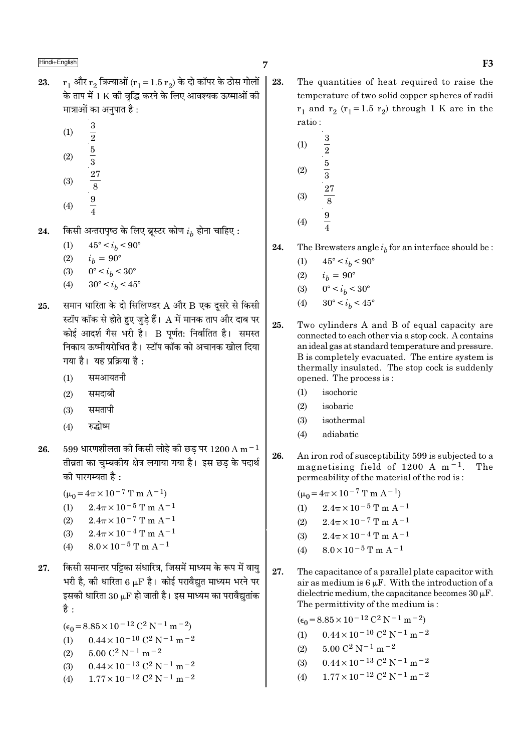- $r_1$  और  $r_2$  त्रिज्याओं ( $r_1 = 1.5 r_2$ ) के दो कॉपर के ठोस गोलों 23. के ताप में 1 K की वद्धि करने के लिए आवश्यक ऊष्माओं की मात्राओं का अनुपात है :
	- $(1)$
	- $(2)$
	- $rac{3}{2}$   $rac{5}{3}$   $rac{5}{3}$   $rac{27}{8}$
	- $(3)$
	- $(4)$
- किसी अन्तरापृष्ठ के लिए ब्रूस्टर कोण  $i_h$  होना चाहिए : 24.
	- $45^{\circ} < i_h < 90^{\circ}$  $(1)$
	- $(2)$  $i_h = 90^{\circ}$
	- $0^{\circ} < i_b < 30^{\circ}$  $(3)$
	- $(4)$  $30^{\circ} < i_h < 45^{\circ}$
- समान धारिता के दो सिलिण्डर A और B एक दूसरे से किसी 25. स्टॉप कॉक से होते हुए जुडे हैं।  ${\rm A}$  में मानक ताप और दाब पर कोई आदर्श गैस भरी है। B पूर्णत: निर्वातित है। समस्त निकाय ऊष्मीयरोधित है। स्टॉप कॉक को अचानक खोल दिया गया है। यह प्रक्रिया है:
	- समआयतनी  $(1)$
	- समदाबी  $(2)$
	- समतापी  $(3)$
	- रुद्धोष्म  $(4)$
- $599$  धारणशीलता की किसी लोहे की छड पर  $1200\,\mathrm{A\,m^{-1}}$ 26. तीव्रता का चुम्बकीय क्षेत्र लगाया गया है। इस छड के पदार्थ की पारगम्यता है :
	- $(\mu_0 = 4\pi \times 10^{-7} \text{ T m A}^{-1})$
	- $2.4\pi \times 10^{-5}$  T m  $\rm A^{-1}$  $(1)$
	- $2.4\pi \times 10^{-7}$  T m A<sup>-1</sup>  $(2)$
	- $(3)$  $2.4\pi \times 10^{-4}$  T m A<sup>-1</sup>
	- $8.0 \times 10^{-5}$  T m A<sup>-1</sup>  $(4)$
- किसी समान्तर पट्टिका संधारित्र, जिसमें माध्यम के रूप में वाय 27. भरी है, की धारिता 6  $\mu$ F है। कोई परावैद्युत माध्यम भरने पर इसकी धारिता 30  $\mu$ F हो जाती है। इस माध्यम का परावैद्युतांक है :
	- $(\epsilon_0 = 8.85 \times 10^{-12} \text{ C}^2 \text{ N}^{-1} \text{ m}^{-2})$
	- $0.44 \times 10^{-10}$  C<sup>2</sup> N<sup>-1</sup> m<sup>-2</sup>  $(1)$
	- $5.00$   $\mathrm{C}^2$  N  $^{-1}$  m  $^{-2}$  $(2)$
	- $0.44 \times 10^{-13}$  C<sup>2</sup> N<sup>-1</sup> m<sup>-2</sup>  $(3)$
	- $1.77 \times 10^{-12}$  C<sup>2</sup> N<sup>-1</sup> m<sup>-2</sup>  $(4)$
- 23. The quantities of heat required to raise the temperature of two solid copper spheres of radii  $r_1$  and  $r_2$  ( $r_1$ =1.5  $r_2$ ) through 1 K are in the ratio:
	- $\boldsymbol{3}$  $(1)$  $\frac{1}{2}$   $\frac{5}{3}$  $(2)$  $(3)$  $(4)$
- 24. The Brewsters angle  $i_b$  for an interface should be :
	- $45^{\circ} < i_b < 90^{\circ}$  $(1)$
	- $i_b = 90^{\circ}$  $(2)$
	- $0^{\circ} < i_h < 30^{\circ}$  $(3)$
	- $30^{\circ} < i_h < 45^{\circ}$  $(4)$
- 25. Two cylinders A and B of equal capacity are connected to each other via a stop cock. A contains an ideal gas at standard temperature and pressure. B is completely evacuated. The entire system is thermally insulated. The stop cock is suddenly opened. The process is:
	- $(1)$ isochoric
	- $(2)$ isobaric
	- $(3)$ isothermal
	- adiabatic  $(4)$
- 26. An iron rod of susceptibility 599 is subjected to a magnetising field of 1200 A  $m<sup>-1</sup>$ . The permeability of the material of the rod is:

$$
(\mu_0 = 4\pi \times 10^{-7} \text{ T m A}^{-1})
$$

- $2.4\pi \times 10^{-5}$  T m A<sup>-1</sup>  $(1)$
- $2.4\pi \times 10^{-7}$  T m A<sup>-1</sup>  $(2)$
- $2.4\pi \times 10^{-4}$  T m A<sup>-1</sup>  $(3)$
- $8.0 \times 10^{-5}$  T m A<sup>-1</sup>  $(4)$
- 27. The capacitance of a parallel plate capacitor with air as medium is  $6 \mu$ F. With the introduction of a dielectric medium, the capacitance becomes  $30 \mu$ F. The permittivity of the medium is:
	- $(\epsilon_0 = 8.85 \times 10^{-12} \text{ C}^2 \text{ N}^{-1} \text{ m}^{-2})$  $0.44 \times 10^{-10}$  C<sup>2</sup> N<sup>-1</sup> m<sup>-2</sup>  $(1)$  $5.00 C^2 N^{-1} m^{-2}$  $(2)$  $0.44 \times 10^{-13}$  C<sup>2</sup> N<sup>-1</sup> m<sup>-2</sup>  $(3)$  $1.77 \times 10^{-12}$  C<sup>2</sup> N<sup>-1</sup> m<sup>-2</sup>  $(4)$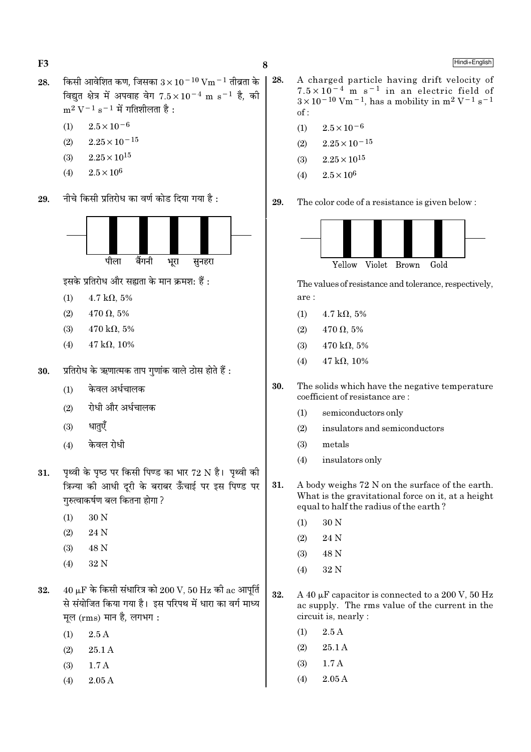- किसी आवेशित कण, जिसका  $3 \times 10^{-10}$  Vm  $^{-1}$  तीव्रता के 28. विद्यत क्षेत्र में अपवाह वेग  $7.5 \times 10^{-4}$  m s<sup>-1</sup> है, की  $m^2 V^{-1} s^{-1}$  में गतिशीलता है:
	- $2.5 \times 10^{-6}$  $(1)$
	- $2.25\times10^{-15}$  $(2)$
	- $2.25 \times 10^{15}$  $(3)$
	- $2.5\times10^6$  $(4)$
- नीचे किसी प्रतिरोध का वर्ण कोड दिया गया है : 29.



इसके प्रतिरोध और सह्यता के मान क्रमश: हैं:

- $(1)$  $4.7 \text{ k}\Omega, 5\%$
- $(2)$  $470 \Omega, 5\%$
- $470 \text{ k}\Omega$ , 5%  $(3)$
- $47 k\Omega, 10\%$  $(4)$
- प्रतिरोध के ऋणात्मक ताप गुणांक वाले ठोस होते हैं : 30.
	- केवल अर्धचालक  $(1)$
	- रोधी और अर्धचालक  $(2)$
	- धातएँ  $(3)$
	- केवल रोधी  $(4)$
- पृथ्वी के पृष्ठ पर किसी पिण्ड का भार 72 N है। पृथ्वी की 31. क्रिज्या की आधी दुरी के बराबर ऊँचाई पर इस पिण्ड पर गुरुत्वाकर्षण बल कितना होगा ?
	- 30 N  $(1)$
	- $(2)$ 24 N
	- 48 N  $(3)$
	- 32 N  $(4)$
- $40 \mu$ F के किसी संधारित्र को  $200 \text{ V}$ ,  $50 \text{ Hz}$  की ac आपूर्ति 32. से संयोजित किया गया है। इस परिपथ में धारा का वर्ग माध्य मूल (rms) मान है, लगभग:
	- $2.5A$  $(1)$
	- $(2)$ 25.1 A
	- $(3)$  $1.7A$
	- $2.05A$  $(4)$
- $\vert$  28. A charged particle having drift velocity of  $7.5 \times 10^{-4}$  m s<sup>-1</sup> in an electric field of  $3 \times 10^{-10}$  Vm<sup>-1</sup>, has a mobility in m<sup>2</sup> V<sup>-1</sup> s<sup>-1</sup>  $of:$ 
	- $2.5 \times 10^{-6}$  $(1)$
	- $2.25 \times 10^{-15}$  $(2)$
	- $2.25\times10^{15}$  $(3)$
	- $2.5 \times 10^6$  $(4)$
	- 29. The color code of a resistance is given below:



The values of resistance and tolerance, respectively, are :

- $4.7 \text{ k}\Omega, 5\%$  $(1)$
- $470 \Omega, 5\%$  $(2)$
- $470 \text{ k}\Omega$ , 5%  $(3)$
- $(4)$  $47 k\Omega$ . 10%
- 30. The solids which have the negative temperature coefficient of resistance are:
	- $(1)$ semiconductors only
	- $(2)$ insulators and semiconductors
	- metals  $(3)$
	- insulators only  $(4)$
- 31. A body weighs 72 N on the surface of the earth. What is the gravitational force on it, at a height equal to half the radius of the earth?
	- 30 N  $(1)$
	- 24 N  $(2)$
	- 48 N  $(3)$
	- 32 N  $(4)$
- 32. A 40  $\mu$ F capacitor is connected to a 200 V, 50 Hz ac supply. The rms value of the current in the circuit is, nearly :
	- $(1)$  $2.5A$
	- $(2)$ 25.1 A
	- $1.7A$  $(3)$
	- $(4)$  $2.05A$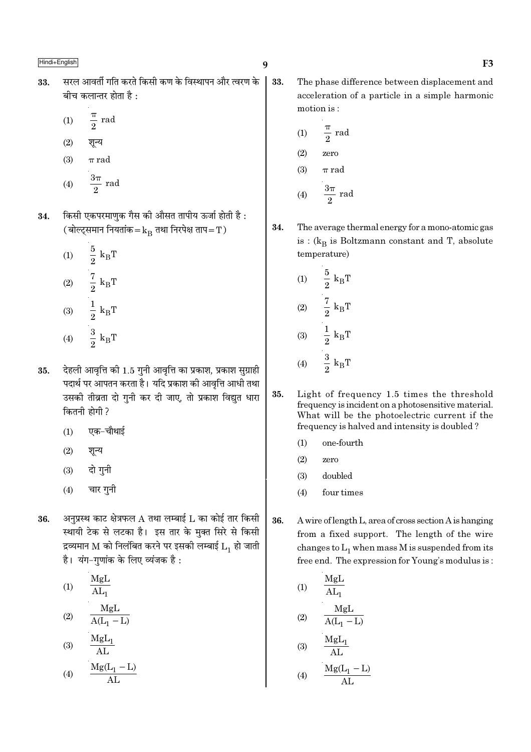- सरल आवर्ती गति करते किसी कण के विस्थापन और त्वरण के 33. बीच कलान्तर होता है $\cdot$ 
	- $rac{\pi}{2}$  rad  $(1)$
	- शून्य  $(2)$
	- $\pi$  rad  $(3)$
	- $rac{3\pi}{2}$  rad  $(4)$
- किसी एकपरमाणुक गैस की औसत तापीय ऊर्जा होती है: 34. (बोल्ट्समान नियतांक= $k_B$  तथा निरपेक्ष ताप=T)
	- $\frac{5}{2}$   $\mathrm{k}_{\mathrm{B}}\mathrm{T}$  $(1)$  $\frac{7}{2} k_{\rm B}T$ <br> $\frac{1}{2} k_{\rm B}T$  $(2)$  $(3)$  $rac{3}{2}$  k<sub>B</sub>T  $(4)$
- देहली आवृत्ति की 1.5 गुनी आवृत्ति का प्रकाश, प्रकाश सुग्राही 35. पदार्थ पर आपतन करता है। यदि प्रकाश की आवृत्ति आधी तथा उसकी तीव्रता दो गनी कर दी जाए. तो प्रकाश विद्यत धारा कितनी होगी ?
	- एक-चौथाई  $(1)$
	- $(2)$ शून्य
	- दो गुनी  $(3)$
	- चार गुनी  $(4)$
- अनुप्रस्थ काट क्षेत्रफल  $A$  तथा लम्बाई  $L$  का कोई तार किसी 36. स्थायी टेक से लटका है। इस तार के मुक्त सिरे से किसी द्रव्यमान M को निलंबित करने पर इसकी लम्बाई  $L_1$  हो जाती है। यंग-गणांक के लिए व्यंजक है:
	- MgL  $(1)$  $AL_1$ MgL  $(2)$  $\overline{A(L_1 - L)}$  $M_{\alpha}I$

$$
(3) \quad \frac{mg_{11}}{AL}
$$

$$
(4) \qquad \frac{\text{Mg}(L_1 - L)}{\text{AL}}
$$

- $\boldsymbol{q}$ 
	- 33. The phase difference between displacement and acceleration of a particle in a simple harmonic motion is:

(1) 
$$
\frac{\pi}{2}
$$
 rad  
(2) zero

 $(3)$  $\pi$  rad

$$
(4) \qquad \frac{3\pi}{2} \text{ rad}
$$

34. The average thermal energy for a mono-atomic gas is :  $(k_R$  is Boltzmann constant and T, absolute temperature)

(1) 
$$
\frac{5}{2} k_{B}T
$$
  
\n(2)  $\frac{7}{2} k_{B}T$   
\n(3)  $\frac{1}{2} k_{B}T$   
\n(4)  $\frac{3}{2} k_{B}T$ 

- 35. Light of frequency 1.5 times the threshold frequency is incident on a photosensitive material. What will be the photoelectric current if the frequency is halved and intensity is doubled?
	- $(1)$ one-fourth
	- $(2)$ zero
	- $(3)$ doubled
	- $(4)$ four times
- 36. A wire of length L, area of cross section A is hanging from a fixed support. The length of the wire changes to  $L_1$  when mass M is suspended from its free end. The expression for Young's modulus is:

(1) 
$$
\frac{MgL}{AL_1}
$$
  
\n(2) 
$$
\frac{MgL}{A(L_1 - L)}
$$
  
\n(3) 
$$
\frac{MgL_1}{AL}
$$
  
\n(4) 
$$
\frac{Mg(L_1 - L)}{AL}
$$

$$
) \frac{mg(L)}{AL}
$$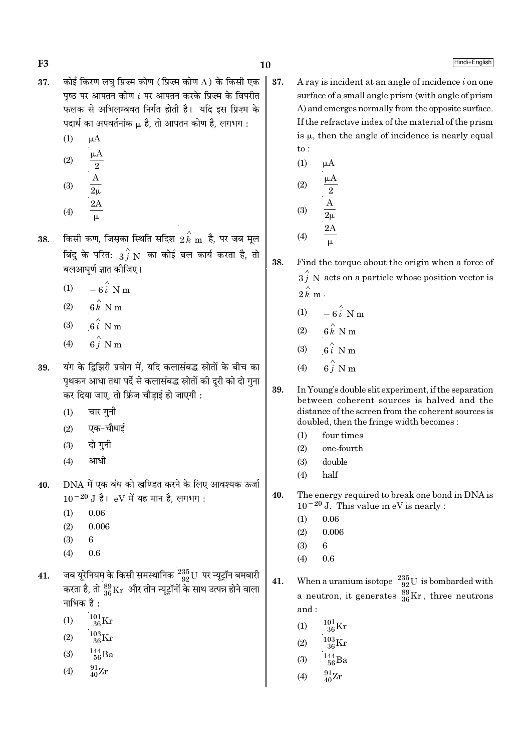F<sub>3</sub>

- कोई किरण लघु प्रिज़्म कोण (प्रिज़्म कोण A) के किसी एक 37. पष्ठ पर आपतन कोण  $i$  पर आपतन करके प्रिज़्म के विपरीत फलक से अभिलम्बवत निर्गत होती है। यदि इस प्रिज़्म के पदार्थ का अपवर्तनांक  $\mu$  है, तो आपतन कोण है, लगभग :
	- $(1)$  $\mu A$
	- $\mu A$  $(2)$  $\overline{2}$  $(3)$
	- $(4)$
- किसी कण, जिसका स्थिति सदिश  $2\overset{\wedge}{k}$  m है, पर जब मूल 38. बिंदु के परित:  $\overrightarrow{3}$   $\overrightarrow{N}$  का कोई बल कार्य करता है, तो बलआघूर्ण ज्ञात कीजिए।
	- $-6\hat{i}$  N m  $(1)$
	- $6 \overset{\wedge}{k}$  N m  $(2)$
	- $6i$  N m  $(3)$
	- $6\stackrel{\wedge}{i}$  N m  $(4)$
- यंग के दिझिरी प्रयोग में. यदि कलासंबद्ध स्रोतों के बीच का 39. पृथकन आधा तथा पर्दे से कलासंबद्ध स्रोतों की दूरी को दो गुना कर दिया जाए, तो फ्रिंज चौड़ाई हो जाएगी :
	- $(1)$ चार गनी
	- एक-चौथाई  $(2)$
	- दो गनी  $(3)$
	- आधी  $(4)$
- DNA में एक बंध को खण्डित करने के लिए आवश्यक ऊर्जा 40.  $10^{-20}$  J है। eV में यह मान है, लगभग:
	- $(1)$ 0.06
	- $(2)$ 0.006
	- $(3)$ 6
	- $(4)$  $0.6$
- जब यूरेनियम के किसी समस्थानिक  $\frac{235}{92}$ U पर न्यूट्रॉन बमबारी 41. करता है, तो  $^{89}_{36}\rm{Kr}$  और तीन न्यूट्रॉनों के साथ उत्पन्न होने वाला नाभिक है :
	- $^{101}_{36}\mathrm{Kr}$  $(1)$
	- $\frac{103}{36}\mathrm{Kr}$  $(2)$
	- $\frac{144}{56}$ Ba  $(3)$
	- $^{91}_{40}Zr$  $(4)$
- A ray is incident at an angle of incidence  $i$  on one surface of a small angle prism (with angle of prism) A) and emerges normally from the opposite surface. If the refractive index of the material of the prism is  $\mu$ , then the angle of incidence is nearly equal  $to$ :
	- $(1)$  $\mu A$ μA  $(2)$  $(3)$  $2A$  $(4)$

 $10$ 

37.

38. Find the torque about the origin when a force of  $3\hat{j}$  N acts on a particle whose position vector is  $2\,\stackrel{\wedge}{k}\,$  m .

- $(1)$  $-6\hat{i}$  N m
- $6 \overset{\wedge}{k}$  N m  $(2)$
- $6i \overset{\wedge}{\smash{\wedge}}$  N m  $(3)$
- $\hat{\mathbf{h}}$   $\hat{i}$  N m  $(4)$
- 39. In Young's double slit experiment, if the separation between coherent sources is halved and the distance of the screen from the coherent sources is doubled, then the fringe width becomes:
	- $(1)$ four times
	- $(2)$ one-fourth
	- $(3)$ double
	- half  $(4)$
- 40. The energy required to break one bond in DNA is  $10^{-20}$  J. This value in eV is nearly :
	- 0.06  $(1)$
	- 0.006  $(2)$
	- $(3)$ 6
	- $(4)$  $0.6$

When a uranium isotope  $^{235}_{92}U$  is bombarded with 41. a neutron, it generates  $\frac{89}{36}$ Kr, three neutrons and:

- $^{101}_{36}\mathrm{Kr}$  $(1)$
- $^{103}_{\phantom{1}36}\mathrm{Kr}$  $(2)$
- $^{144}_{\ 56}$ Ba  $(3)$
- $^{91}_{40}Zr$  $(4)$

# Hindi+English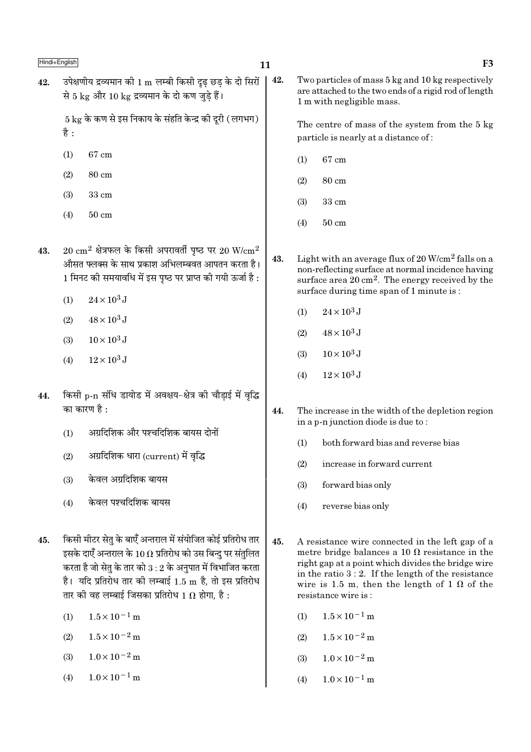| Hindi+English |                                                                                                                                                                                                                                                           | 11  | F <sub>3</sub>                                                                                                                                                                                                                                                                 |
|---------------|-----------------------------------------------------------------------------------------------------------------------------------------------------------------------------------------------------------------------------------------------------------|-----|--------------------------------------------------------------------------------------------------------------------------------------------------------------------------------------------------------------------------------------------------------------------------------|
| 42.           | उपेक्षणीय द्रव्यमान को 1 ${\rm m}$ लम्बी किसी दृढ़ छड़ के दो सिरों<br>से 5 kg और 10 kg द्रव्यमान के दो कण जुड़े हैं।                                                                                                                                      | 42. | Two particles of mass 5 kg and 10 kg respectively<br>are attached to the two ends of a rigid rod of length<br>1 m with negligible mass.                                                                                                                                        |
|               | $5 \text{ kg}$ के कण से इस निकाय के संहति केन्द्र की दूरी (लगभग)<br>है :                                                                                                                                                                                  |     | The centre of mass of the system from the 5 kg<br>particle is nearly at a distance of:                                                                                                                                                                                         |
|               | $67 \text{ cm}$<br>(1)                                                                                                                                                                                                                                    |     | 67 cm<br>(1)                                                                                                                                                                                                                                                                   |
|               | 80 cm<br>(2)                                                                                                                                                                                                                                              |     | 80 cm<br>(2)                                                                                                                                                                                                                                                                   |
|               | $33 \text{ cm}$<br>(3)                                                                                                                                                                                                                                    |     | 33 cm<br>(3)                                                                                                                                                                                                                                                                   |
|               | (4)<br>$50 \text{ cm}$                                                                                                                                                                                                                                    |     | (4)<br>$50 \text{ cm}$                                                                                                                                                                                                                                                         |
| 43.           | $20 \text{ cm}^2$ क्षेत्रफल के किसी अपरावर्ती पृष्ठ पर $20 \text{ W/cm}^2$<br>औसत फ्लक्स के साथ प्रकाश अभिलम्बवत आपतन करता है।<br>1 मिनट की समयावधि में इस पृष्ठ पर प्राप्त की गयी ऊर्जा है :                                                             |     | Light with an average flux of $20 \text{ W/cm}^2$ falls on a<br>non-reflecting surface at normal incidence having<br>surface area $20 \text{ cm}^2$ . The energy received by the<br>surface during time span of 1 minute is:                                                   |
|               | $24 \times 10^3$ J<br>(1)                                                                                                                                                                                                                                 |     | $24 \times 10^3$ J<br>(1)                                                                                                                                                                                                                                                      |
|               | $48 \times 10^3$ J<br>(2)                                                                                                                                                                                                                                 |     | $48\times10^3$ J<br>(2)                                                                                                                                                                                                                                                        |
|               | $10 \times 10^3$ J<br>(3)                                                                                                                                                                                                                                 |     |                                                                                                                                                                                                                                                                                |
|               | $12\times10^3$ J<br>(4)                                                                                                                                                                                                                                   |     | $10 \times 10^3$ J<br>(3)                                                                                                                                                                                                                                                      |
| 44.           | किसी p-n संधि डायोड में अवक्षय-क्षेत्र की चौड़ाई में वृद्धि<br>का कारण है :<br>अग्रदिशिक और पश्चदिशिक बायस दोनों<br>(1)<br>अग्रदिशिक धारा (current) में वृद्धि<br>(2)<br>केवल अग्रदिशिक बायस<br>(3)                                                       | 44. | $12\times10^3$ J<br>(4)<br>The increase in the width of the depletion region<br>in a p-n junction diode is due to:<br>both forward bias and reverse bias<br>(1)<br>increase in forward current<br>(2)<br>(3)<br>forward bias only                                              |
|               | केवल पश्चदिशिक बायस<br>(4)                                                                                                                                                                                                                                |     | (4)<br>reverse bias only                                                                                                                                                                                                                                                       |
| 45.           | किसी मीटर सेतु के बाएँ अन्तराल में संयोजित कोई प्रतिरोध तार<br>इसके दाएँ अन्तराल के 10 $\Omega$ प्रतिरोध को उस बिन्दु पर संतुलित<br>करता है जो सेतु के तार को 3 : 2 के अनुपात में विभाजित करता<br>है। यदि प्रतिरोध तार की लम्बाई 1.5 m है, तो इस प्रतिरोध | 45. | A resistance wire connected in the left gap of a<br>metre bridge balances a 10 $\Omega$ resistance in the<br>right gap at a point which divides the bridge wire<br>in the ratio $3:2$ . If the length of the resistance<br>wire is 1.5 m, then the length of 1 $\Omega$ of the |

 $1.5\times10^{-1}\,\mathrm{m}$  $(1)$ 

तार को वह लम्बाई जिसका प्रतिरोध 1  $\Omega$  होगा, है :

- $1.5\times10^{-2}\,\mathrm{m}$  $(2)$
- $1.0\times10^{-2}\,\mathrm{m}$  $(3)$
- $1.0\times10^{-1}$  m  $(4)$

(4)  $1.0 \times 10^{-1}$  m

resistance wire is:

(1)  $1.5 \times 10^{-1}$  m

(2)  $1.5 \times 10^{-2}$  m

(3)  $1.0 \times 10^{-2}$  m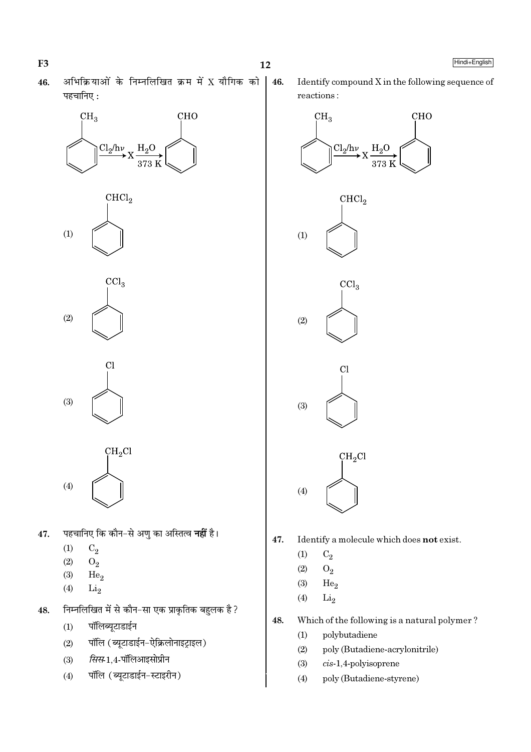अभिक्रियाओं के निम्नलिखित क्रम में X यौगिक को 46. पहचानिए:

 $12$ 

46.









 $CH<sub>2</sub>Cl$  $(4)$ 

- पहचानिए कि कौन–से अणु का अस्तित्व **नहीं** है। 47.
	- $(1)$  $C_2$
	- $(2)$  $O_2$
	- $(3)$  $He<sub>2</sub>$
	- $(4)$  $Li<sub>2</sub>$
- निम्नलिखित में से कौन-सा एक प्राकृतिक बहुलक है ? 48.
	- पॉलिब्यूटाडाईन  $(1)$
	- पॉलि (ब्युटाडाईन-ऐक्रिलोनाइट्राइल)  $(2)$
	- *सिस*-1,4-पॉलिआइसोप्रीन  $(3)$
	- पॉलि (ब्यूटाडाईन-स्टाइरीन)  $(4)$

Identify compound X in the following sequence of reactions:



- 47. Identify a molecule which does not exist.
	- $C_2$  $(1)$
	- $(2)$  ${\rm O}_2$
	- $(3)$ He<sub>2</sub>
	- $(4)$  $Li<sub>2</sub>$
- 48. Which of the following is a natural polymer?
	- polybutadiene  $(1)$
	- $(2)$ poly (Butadiene-acrylonitrile)
	- $(3)$  $cis-1,4$ -polyisoprene
	- $(4)$ poly (Butadiene-styrene)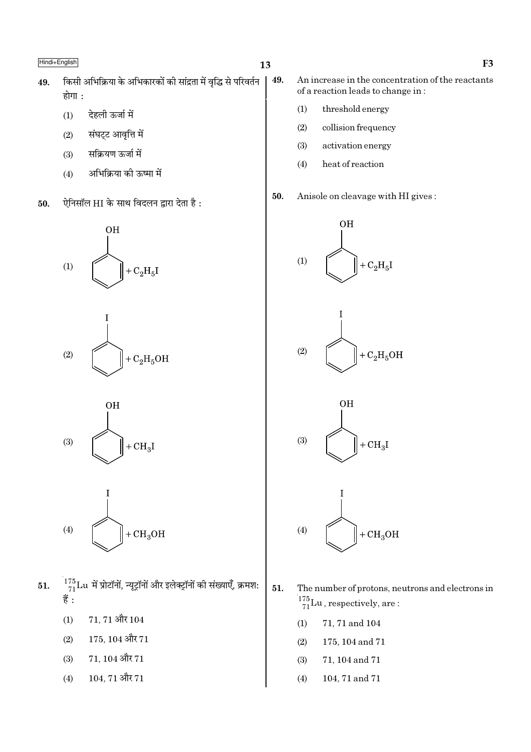- किसी अभिक्रिया के अभिकारकों की सांद्रता में वृद्धि से परिवर्तन 49. 49. होगा :
	- देहली ऊर्जा में  $(1)$
	- संघट्ट आवृत्ति में  $(2)$
	- सक्रियण ऊर्जा में  $(3)$
	- अभिक्रिया की ऊष्मा में  $(4)$
- ऐनिसॉल HI के साथ विदलन द्वारा देता है: 50.









- $\frac{^{175}}{^{71}}$ Lu में प्रोटॉनों, न्यूट्रॉनों और इलेक्ट्रॉनों की संख्याएँ, क्रमश: 51. हैं :
	- $71, 71$  और  $104$  $(1)$
	- $175, 104$  और  $71$  $(2)$
	- $71, 104$  और  $71$  $(3)$
	- $104, 71$  और  $71$  $(4)$
- An increase in the concentration of the reactants of a reaction leads to change in:
	- $(1)$ threshold energy
	- $(2)$ collision frequency
	- $(3)$ activation energy
	- $(4)$ heat of reaction
- Anisole on cleavage with HI gives: 50.





- 51. The number of protons, neutrons and electrons in  $\frac{175}{71}$ Lu, respectively, are:
	- $(1)$ 71, 71 and 104
	- 175, 104 and 71  $(2)$
	- $(3)$ 71, 104 and 71
	- 104, 71 and 71  $(4)$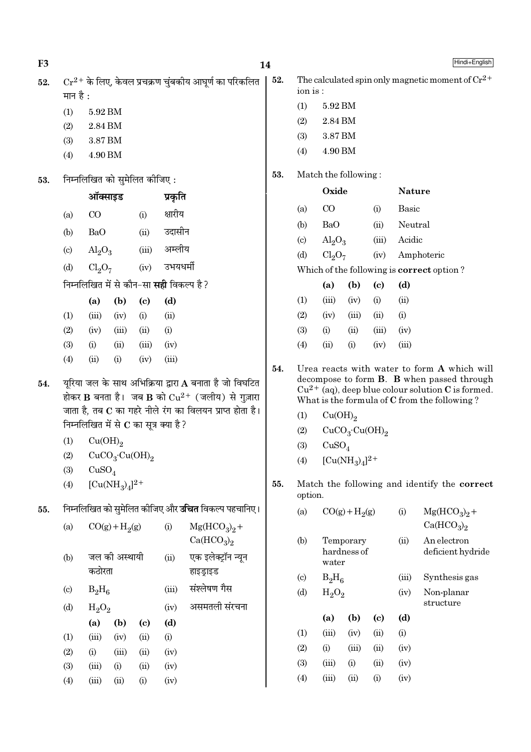| F <sub>3</sub> |                                                                                                               |                                |                                        |                              |                                                 |                                                            | 14  |                                               |                                |                          |                                                                                                                                                                                                     |               | Hindi+English                                         |
|----------------|---------------------------------------------------------------------------------------------------------------|--------------------------------|----------------------------------------|------------------------------|-------------------------------------------------|------------------------------------------------------------|-----|-----------------------------------------------|--------------------------------|--------------------------|-----------------------------------------------------------------------------------------------------------------------------------------------------------------------------------------------------|---------------|-------------------------------------------------------|
| 52.            | $Cr^{2+}$ के लिए, केवल प्रचक्रण चुंबकीय आघूर्ण का परिकलित<br>मान है :                                         |                                |                                        |                              |                                                 |                                                            | 52. | ion is:                                       |                                |                          |                                                                                                                                                                                                     |               | The calculated spin only magnetic moment of $Cr^{2+}$ |
|                | (1)                                                                                                           | 5.92 BM                        |                                        |                              |                                                 |                                                            | (1) | 5.92 BM                                       |                                |                          |                                                                                                                                                                                                     |               |                                                       |
|                | (2)                                                                                                           | 2.84 BM                        |                                        |                              |                                                 |                                                            |     | (2)                                           | 2.84 BM                        |                          |                                                                                                                                                                                                     |               |                                                       |
|                | (3)                                                                                                           | 3.87 BM                        |                                        |                              |                                                 |                                                            |     | (3)                                           | 3.87 BM                        |                          |                                                                                                                                                                                                     |               |                                                       |
|                | (4)                                                                                                           | 4.90 BM                        |                                        |                              |                                                 |                                                            |     | (4)                                           | 4.90 BM                        |                          |                                                                                                                                                                                                     |               |                                                       |
| 53.            |                                                                                                               |                                |                                        | निम्नलिखित को सुमेलित कीजिए: |                                                 |                                                            | 53. |                                               | Match the following:           |                          |                                                                                                                                                                                                     |               |                                                       |
|                |                                                                                                               | ऑक्साइड                        |                                        |                              | प्रकृति                                         |                                                            |     |                                               | Oxide                          |                          |                                                                                                                                                                                                     | <b>Nature</b> |                                                       |
|                | (a)                                                                                                           | $\rm CO$                       |                                        | (i)                          | क्षारीय                                         |                                                            |     | (a)                                           | CO                             |                          | (i)                                                                                                                                                                                                 | Basic         |                                                       |
|                | (b)                                                                                                           | <b>BaO</b>                     |                                        | (ii)                         | उदासीन                                          |                                                            |     | (b)                                           | <b>BaO</b>                     |                          | (ii)                                                                                                                                                                                                | Neutral       |                                                       |
|                |                                                                                                               |                                |                                        |                              | अम्लीय                                          |                                                            |     | $\left( \circ \right)$                        | $\text{Al}_2\text{O}_3$        |                          | (iii)                                                                                                                                                                                               | Acidic        |                                                       |
|                | $\left( \mathrm{c}\right)$                                                                                    | $\text{Al}_2\text{O}_3$        |                                        | (iii)                        |                                                 |                                                            |     | (d)                                           | Cl <sub>2</sub> O <sub>7</sub> |                          | (iv)                                                                                                                                                                                                |               | Amphoteric                                            |
|                | (d)                                                                                                           | Cl <sub>2</sub> O <sub>7</sub> |                                        | (iv)                         | उभयधर्मी                                        |                                                            |     |                                               |                                |                          |                                                                                                                                                                                                     |               | Which of the following is correct option?             |
|                |                                                                                                               |                                |                                        |                              | निम्नलिखित में से कौन-सा <b>सही</b> विकल्प है ? |                                                            |     |                                               | (a)                            | (b)                      | $\left( \mathrm{c}\right)$                                                                                                                                                                          | (d)           |                                                       |
|                |                                                                                                               | (a)                            | (b)                                    | $\left( \mathbf{c} \right)$  | (d)                                             |                                                            |     | (1)                                           | (iii)                          | (iv)                     | (i)                                                                                                                                                                                                 | (ii)          |                                                       |
|                | (1)                                                                                                           | (iii)                          | (iv)                                   | (i)                          | (ii)                                            |                                                            |     | (2)                                           | (iv)                           | (iii)                    | (ii)                                                                                                                                                                                                | (i)           |                                                       |
|                | (2)                                                                                                           | (iv)                           | (iii)                                  | (ii)                         | (i)                                             |                                                            |     | (3)                                           | (i)                            | (ii)                     | (iii)                                                                                                                                                                                               | (iv)          |                                                       |
|                | (3)<br>(4)                                                                                                    | (i)<br>(ii)                    | (ii)<br>(i)                            | (iii)<br>(iv)                | (iv)<br>(iii)                                   |                                                            |     | (4)                                           | (ii)                           | (i)                      | (iv)                                                                                                                                                                                                | (iii)         |                                                       |
| 54.            | यूरिया जल के साथ अभिक्रिया द्वारा A बनाता है जो विघटित<br>होकर B बनता है। जब B को $Cu^{2+}$ (जलीय) से गुज़ारा |                                |                                        |                              | 54.                                             |                                                            |     |                                               |                                |                          | Urea reacts with water to form A which will<br>decompose to form B. B when passed through<br>$Cu^{2+}$ (aq), deep blue colour solution C is formed.<br>What is the formula of C from the following? |               |                                                       |
|                |                                                                                                               |                                |                                        |                              |                                                 | जाता है, तब C का गहरे नीले रंग का विलयन प्राप्त होता है।   |     | (1)                                           | Cu(OH) <sub>2</sub>            |                          |                                                                                                                                                                                                     |               |                                                       |
|                |                                                                                                               |                                |                                        |                              | निम्नलिखित में से $\bf C$ का सूत्र क्या है ?    |                                                            |     | CuCO <sub>3</sub> ·Cu(OH) <sub>2</sub><br>(2) |                                |                          |                                                                                                                                                                                                     |               |                                                       |
|                | (1)                                                                                                           | Cu(OH) <sub>2</sub>            |                                        |                              |                                                 |                                                            |     | (3)<br>CuSO <sub>4</sub>                      |                                |                          |                                                                                                                                                                                                     |               |                                                       |
|                | (2)<br>(3)                                                                                                    | CuSO <sub>4</sub>              | CuCO <sub>3</sub> ·Cu(OH) <sub>2</sub> |                              |                                                 |                                                            |     | $[Cu(NH_3)_4]^{2+}$<br>(4)                    |                                |                          |                                                                                                                                                                                                     |               |                                                       |
|                | (4)                                                                                                           |                                | $[Cu(NH_3)_4]^{2+}$                    |                              |                                                 |                                                            | 55. | option.                                       |                                |                          |                                                                                                                                                                                                     |               | Match the following and identify the correct          |
| 55.            |                                                                                                               |                                |                                        |                              |                                                 | निम्नलिखित को सुमेलित कीजिए और <b>उचित</b> विकल्प पहचानिए। |     | (a)                                           |                                | $CO(g) + H2(g)$          |                                                                                                                                                                                                     | (i)           | $Mg(HCO3)2 +$                                         |
|                | (a)                                                                                                           |                                | $CO(g) + H2(g)$                        |                              | (i)                                             | $Mg(HCO3)2 +$<br>Ca(HCO <sub>3</sub> ) <sub>2</sub>        |     |                                               |                                |                          |                                                                                                                                                                                                     |               | Ca(HCO <sub>3</sub> ) <sub>2</sub>                    |
|                | (b)                                                                                                           | कठोरता                         | जल की अस्थायी                          |                              | (ii)                                            | एक इलेक्ट्रॉन न्यून                                        |     | (b)                                           | water                          | Temporary<br>hardness of |                                                                                                                                                                                                     | (ii)          | An electron<br>deficient hydride                      |
|                |                                                                                                               |                                |                                        |                              |                                                 | हाइड्राइड                                                  |     | $\left( \mathrm{c}\right)$                    | $B_2H_6$                       |                          |                                                                                                                                                                                                     | (iii)         | Synthesis gas                                         |
|                | $\left( \mathrm{c}\right)$                                                                                    | $B_2H_6$                       |                                        |                              | (iii)                                           | संश्लेषण गैस                                               |     | (d)                                           | $H_2O_2$                       |                          |                                                                                                                                                                                                     | (iv)          | Non-planar                                            |
|                | (d)                                                                                                           | $H_2O_2$                       |                                        |                              | (iv)                                            | असमतली संरचना                                              |     |                                               |                                |                          |                                                                                                                                                                                                     |               | structure                                             |
|                |                                                                                                               | (a)                            | (b)                                    | $\left( \mathbf{c} \right)$  | (d)                                             |                                                            |     |                                               | (a)                            | (b)                      | $\left( \mathrm{e}\right)$                                                                                                                                                                          | (d)           |                                                       |
|                | (1)                                                                                                           | (iii)                          | (iv)                                   | (ii)                         | (i)                                             |                                                            |     | (1)<br>(2)                                    | (iii)<br>(i)                   | (iv)<br>(iii)            | (ii)<br>(ii)                                                                                                                                                                                        | (i)<br>(iv)   |                                                       |
|                | (2)                                                                                                           | (i)                            | (iii)                                  | (ii)                         | (iv)                                            |                                                            |     | (3)                                           | (iii)                          | (i)                      | (ii)                                                                                                                                                                                                | (iv)          |                                                       |
|                | (3)                                                                                                           | (iii)                          | (i)                                    | (ii)                         | (iv)                                            |                                                            |     | (4)                                           | (iii)                          | (ii)                     | (i)                                                                                                                                                                                                 | (iv)          |                                                       |
|                | (4)                                                                                                           | (iii)                          | (ii)                                   | (i)                          | (iv)                                            |                                                            |     |                                               |                                |                          |                                                                                                                                                                                                     |               |                                                       |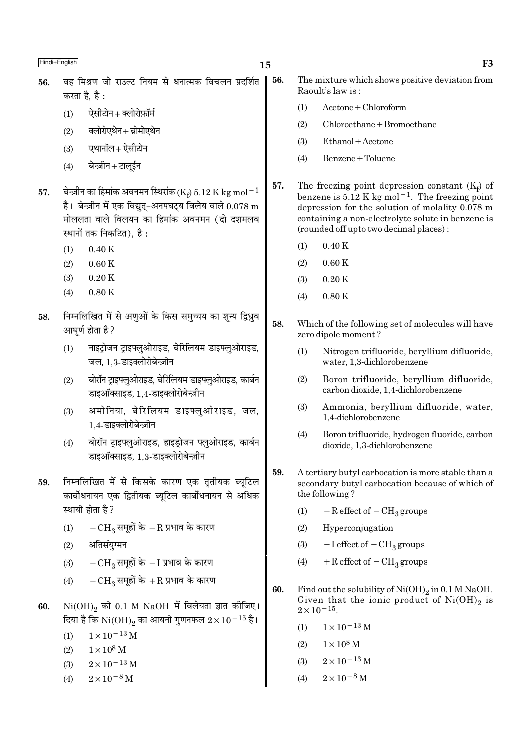- वह मिश्रण जो राउल्ट नियम से धनात्मक विचलन प्रदर्शित 56. 56. करता है है $\cdot$ 
	- ऐसीटोन+क्लोरोफ़ॉर्म  $(1)$
	- क्लोरोएथेन+ब्रोमोएथेन  $(2)$
	- एथानॉल+ऐसीटोन  $(3)$
	- बेन्ज़ीन+टालईन  $(4)$
- बेन्ज़ीन का हिमांक अवनमन स्थिरांक (Ke)  $5.12$  K kg mol $^{-1}$ 57. है। बेन्ज़ीन में एक विद्युत्-अनपघट्य विलेय वाले  $0.078 \text{ m}$ मोललता वाले विलयन का हिमांक अवनमन (दो दशमलव स्थानों तक निकटित). है :
	- $0.40K$  $(1)$
	- $(2)$  $0.60K$
	- $(3)$  $0.20K$
	- $0.80K$  $(4)$
- निम्नलिखित में से अणुओं के किस समुच्चय का शून्य द्विध्नुव 58. आघर्ण होता है ?
	- नाइट्रोजन ट्राइफ्लुओराइड, बेरिलियम डाइफ्लुओराइड,  $(1)$ जल. 1.3-डाइक्लोरोबेन्ज़ीन
	- बोरॉन ट्राइफ्लुओराइड, बेरिलियम डाइफ्लुओराइड, कार्बन  $(2)$ डाइऑक्साइड, 1.4-डाइक्लोरोबेन्ज़ीन
	- अमोनिया. बेरिलियम डाइफ्लुओराइड, जल,  $(3)$ 1.4-डाइक्लोरोबेन्ज़ीन
	- बोरॉन टाइफ्लुओराइड, हाइड़ोजन फ्लुओराइड, कार्बन  $(4)$ डाइऑक्साइड. 1.3-डाइक्लोरोबेन्ज़ीन
- निम्नलिखित में से किसके कारण एक तृतीयक ब्यूटिल 59. कार्बोधनायन एक द्वितीयक ब्यूटिल कार्बोधनायन से अधिक स्थायी होता है ?
	- $-{\rm CH}_3$  समूहों के  $-{\rm R}$  प्रभाव के कारण  $(1)$
	- अतिसंयग्मन  $(2)$
	- $-CH_3$  समूहों के  $-I$  प्रभाव के कारण  $(3)$
	- $-{\rm CH}_3$ समूहों के  $+{\rm R}$  प्रभाव के कारण  $(4)$
- $Ni(OH)_{2}$  की 0.1 M NaOH में विलेयता ज्ञात कीजिए। 60. दिया है कि  $\mathrm{Ni(OH)}_{2}$  का आयनी गुणनफल  $2\times10^{-15}$  है।
	- $1 \times 10^{-13}$  M  $(1)$
	- $1 \times 10^8$  M  $(2)$
	- $2 \times 10^{-13}$  M  $(3)$
	- $2 \times 10^{-8}$  M  $(4)$
- The mixture which shows positive deviation from Raoult's law is:
	- $Acetone + Chloroform$  $(1)$
	- $(2)$  $Chloroethane + Bromoethane$
- $(3)$ Ethanol + Acetone
- Benzene + Toluene  $(4)$
- 57. The freezing point depression constant  $(K_f)$  of benzene is  $5.12 \text{ K}$  kg mol<sup>-1</sup>. The freezing point depression for the solution of molality 0.078 m containing a non-electrolyte solute in benzene is (rounded off upto two decimal places):
	- $0.40K$  $(1)$
	- $0.60K$  $(2)$
	- $0.20K$  $(3)$
	- $0.80K$  $(4)$
- 58. Which of the following set of molecules will have zero dipole moment?
	- $(1)$ Nitrogen trifluoride, beryllium difluoride, water, 1.3-dichlorobenzene
	- $(2)$ Boron trifluoride, beryllium difluoride, carbon dioxide, 1,4-dichlorobenzene
	- $(3)$ Ammonia, beryllium difluoride, water, 1,4-dichlorobenzene
	- $(4)$ Boron trifluoride, hydrogen fluoride, carbon dioxide, 1,3-dichlorobenzene
- 59. A tertiary butyl carbocation is more stable than a secondary butyl carbocation because of which of the following?
	- $(1)$  $-R$  effect of  $-CH<sub>3</sub>$  groups
	- $(2)$ Hyperconjugation
	- $-I$  effect of  $-CH<sub>3</sub>$  groups  $(3)$
	- $+$  R effect of  $-$  CH<sub>3</sub> groups  $(4)$
- 60. Find out the solubility of  $Ni(OH)_2$  in 0.1 M NaOH. Given that the ionic product of  $Ni(OH)_2$  is  $2 \times 10^{-15}$ .
	- $1 \times 10^{-13}$  M  $(1)$
	- $1\times10^8$  M  $(2)$
	- $2 \times 10^{-13}$  M  $(3)$
	- $2 \times 10^{-8}$  M  $(4)$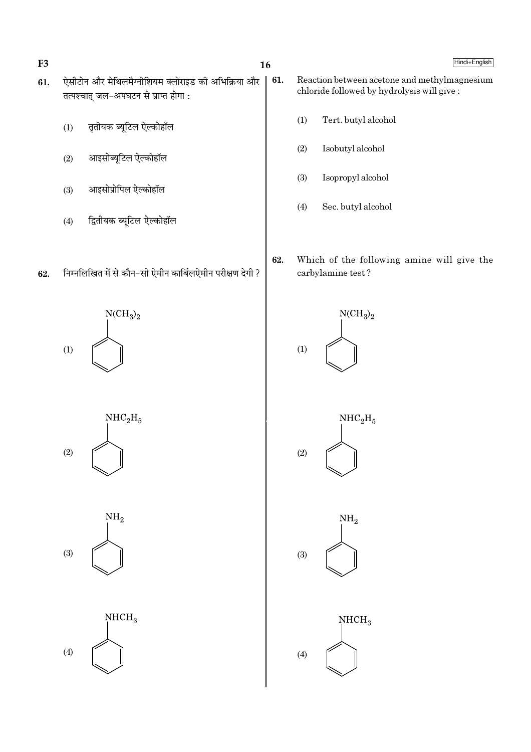F<sub>3</sub>

- $16$
- ऐसीटोन और मेथिलमैग्नीशियम क्लोराइड की अभिक्रिया और 61. 61. तत्पश्चात् जल-अपघटन से प्राप्त होगा :
	- तृतीयक ब्यूटिल ऐल्कोहॉल  $(1)$
	- आइसोब्यूटिल ऐल्कोहॉल  $(2)$
	- आइसोप्रोपिल ऐल्कोहॉल  $(3)$
	- द्वितीयक ब्यूटिल ऐल्कोहॉल  $(4)$
- निम्नलिखित में से कौन-सी ऐमीन कार्बिलऐमीन परीक्षण देगी ? 62.

 $NCH<sub>3</sub>$ <sub>2</sub>  $(1)$ 



 $NH<sub>2</sub>$  $(3)$ 



- 
- Hindi+English
- Reaction between acetone and methylmagnesium chloride followed by hydrolysis will give:
	- Tert. butyl alcohol  $(1)$
	- $(2)$ Isobutyl alcohol
	- $(3)$ Isopropyl alcohol
	- $(4)$ Sec. butyl alcohol
- 62. Which of the following amine will give the carbylamine test?







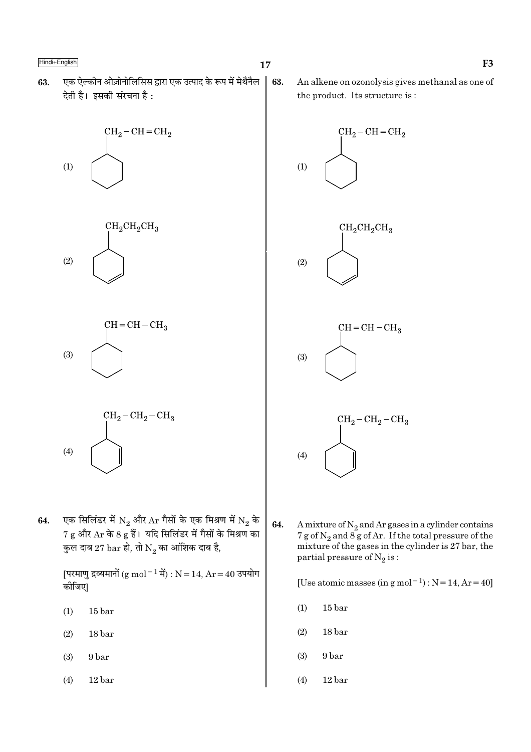एक ऐल्कीन ओज़ोनोलिसिस द्वारा एक उत्पाद के रूप में मेथैनैल 63. देती है। इसकी संरचना है:







$$
\begin{array}{c}\n\text{CH}_2-\text{CH}_2-\text{CH}_3 \\
\hline\n\end{array}
$$

एक सिलिंडर में  $\mathrm{N}_2$  और  $\mathrm{Ar}$  गैसों के एक मिश्रण में  $\mathrm{N}_2$  के 64.  $7\ \text{g}$  और  $\text{Ar}$  के 8  $\text{g}$  हैं। यदि सिलिंडर में गैसों के मिश्रण का कुल दाब 27 bar हो, तो  $\mathrm{N}_2$  का आंशिक दाब है,

> [परमाणु द्रव्यमानों (g mol<sup>-1</sup> में) : N = 14, Ar = 40 उपयोग कोजिए।

 $(1)$  $15<sub>bar</sub>$ 

 $(4)$ 

- $(2)$ 18 bar
- 9 bar  $(3)$
- $(4)$  $12<sub>bar</sub>$

63. An alkene on ozonolysis gives methanal as one of the product. Its structure is:



64. A mixture of  $N_2$  and Ar gases in a cylinder contains 7 g of  $N_2$  and  $8g$  of Ar. If the total pressure of the mixture of the gases in the cylinder is 27 bar, the partial pressure of  $N_2$  is:

[Use atomic masses (in g mol<sup>-1</sup>) :  $N = 14$ ,  $Ar = 40$ ]

- $(1)$  $15<sub>bar</sub>$
- $(2)$  $18<sub>bar</sub>$
- $(3)$ 9 bar
- $(4)$  $12<sub>bar</sub>$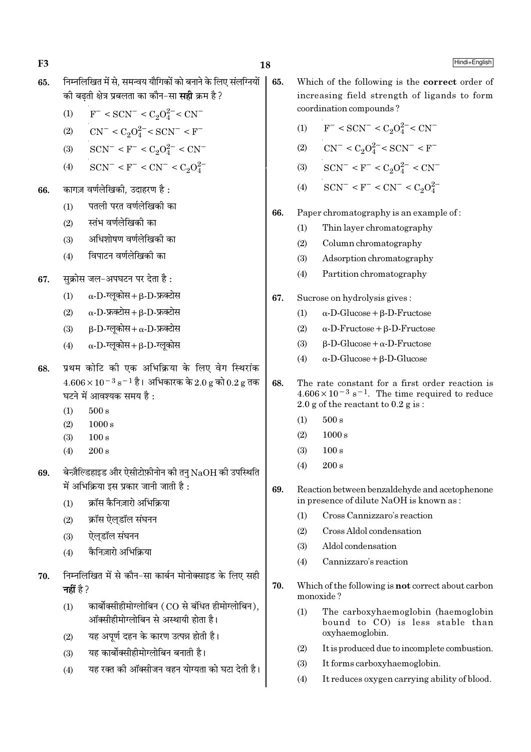F<sub>3</sub>

- निम्नलिखित में से. समन्वय यौगिकों को बनाने के लिए संलग्नियों 65. की बढ़ती क्षेत्र प्रबलता का कौन–सा **सद्दी** क्रम है ?
	- $F^-$  < SCN<sup>-</sup> < C<sub>2</sub>O<sup>2-</sup> < CN<sup>-</sup>  $(1)$
	- $CN^{-} < C_2O_4^{2-} < SCN^{-} < F^{-}$  $(2)$
	- $SCN^- < F^- < C_2O_4^{2-} < CN^ (3)$
	- $SCN^- < F^- < CN^- < C_2O_4^{2-}$  $(4)$
- कागज़ वर्णलेखिकी. उदाहरण है: 66.
	- पतली परत वर्णलेखिकी का  $(1)$
	- स्तंभ वर्णलेखिकी का  $(2)$
	- अधिशोषण वर्णलेखिकी का  $(3)$
	- विपाटन वर्णलेखिकी का  $(4)$
- सक्रोस जल-अपघटन पर देता है: 67.
	- $\alpha$ -D-ग्लूकोस+β-D-फ्रक्टोस  $(1)$
	- $\alpha$ -D-फ्रक्टोस + B-D-फ्रक्टोस  $(2)$
	- $\beta$ -D-ग्लुकोस+  $\alpha$ -D-फ्रक्टोस  $(3)$
	- $\alpha$ -D-ग्लूकोस+ $\beta$ -D-ग्लूकोस  $(4)$
- प्रथम कोटि की एक अभिक्रिया के लिए वेग स्थिरांक 68  $4.606 \times 10^{-3}$  s<sup>-1</sup> है। अभिकारक के 2.0 g को 0.2 g तक घटने में आवश्यक समय है:
	- $500 s$  $(1)$
	- $(2)$  $1000 s$
	- $(3)$  $100 s$
	- $200 s$  $(4)$
- बेन्ज़ैल्डिहाइड और ऐसीटोफ़ीनोन की तनु  $NaOH$  की उपस्थिति 69. में अभिक्रिया इस प्रकार जानी जाती है :
	- $(1)$ क्रॉस कैनिज़ारो अभिक्रिया
	- क्रॉस ऐलडॉल संघनन  $(2)$
	- ऐलडॉल संघनन  $(3)$
	- कैनिज़ारो अभिक्रिया  $(4)$
- निम्नलिखित में से कौन-सा कार्बन मोनोक्साइड के लिए सही 70. नहीं है ?
	- कार्बोक्सीहीमोग्लोबिन (CO से बंधित हीमोग्लोबिन).  $(1)$ ऑक्सीहीमोग्लोबिन से अस्थायी होता है।
	- यह अपूर्ण दहन के कारण उत्पन्न होती है।  $(2)$
	- यह कार्बोक्सीहीमोग्लोबिन बनाती है।  $(3)$
	- यह रक्त की ऑक्सीजन वहन योग्यता को घटा देती है।  $(4)$
- Which of the following is the correct order of increasing field strength of ligands to form coordination compounds?
	- $(1)$  $F^-$  < SCN<sup>-</sup> < C<sub>2</sub>O<sub>4</sub><sup>2</sup><sup>-</sup> < CN<sup>-</sup>
	- $CN^{-} < C_2O_4^{2-} < SCN^{-} < F^{-}$  $(2)$
	- $SCN^- < F^- < C_2O_4^{2-} < CN^ (3)$
	- $\mathrm{SCN}^- < \mathrm{F}^- < \mathrm{CN}^- < \mathrm{C}_2\mathrm{O}_4^{2-}$  $(4)$
- 66. Paper chromatography is an example of:
	- Thin layer chromatography  $(1)$
	- $(2)$ Column chromatography
	- Adsorption chromatography  $(3)$
	- $(4)$ Partition chromatography
- 67. Sucrose on hydrolysis gives:
	- $\alpha$ -D-Glucose +  $\beta$ -D-Fructose  $(1)$
	- $(2)$  $\alpha$ -D-Fructose + B-D-Fructose
	- $\beta$ -D-Glucose +  $\alpha$ -D-Fructose  $(3)$
	- $\alpha$ -D-Glucose +  $\beta$ -D-Glucose  $(4)$
- 68. The rate constant for a first order reaction is  $4.606 \times 10^{-3}$  s<sup>-1</sup>. The time required to reduce 2.0 g of the reactant to  $0.2$  g is:
	- $(1)$  $500 s$
	- $(2)$  $1000 s$
	- $100 s$  $(3)$
	- $(4)$  $200 s$
- 69. Reaction between benzaldehyde and acetophenone in presence of dilute NaOH is known as:
	- Cross Cannizzaro's reaction  $(1)$
	- Cross Aldol condensation  $(2)$
	- $(3)$ Aldol condensation
	- Cannizzaro's reaction  $(4)$
- 70. Which of the following is not correct about carbon monoxide?
	- $(1)$ The carboxyhaemoglobin (haemoglobin bound to CO) is less stable than oxyhaemoglobin.
	- $(2)$ It is produced due to incomplete combustion.
	- It forms carboxyhaemoglobin.  $(3)$
	- $(4)$ It reduces oxygen carrying ability of blood.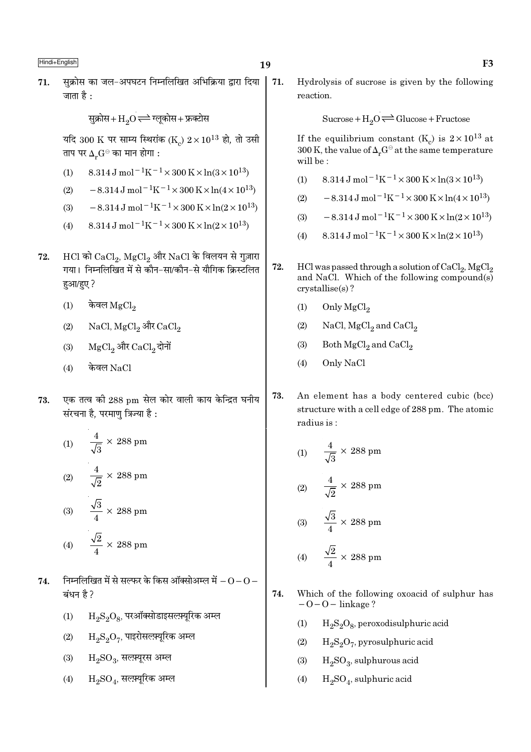सुक्रोस का जल-अपघटन निम्नलिखित अभिक्रिया द्वारा दिया 71. 71. जाता है $\cdot$ 

सुक्रोस+ $\mathrm{H}_2\mathrm{O}$   $\rightleftharpoons$  ग्लूकोस+ फ्रक्टोस

यदि 300 K पर साम्य स्थिरांक (K)  $2 \times 10^{13}$  हो, तो उसी ताप पर  $\Delta_r G^{\ominus}$  का मान होगा :

- 8.314 J mol<sup>-1</sup>K<sup>-1</sup> × 300 K × ln(3 × 10<sup>13</sup>)  $(1)$
- $-8.314 \,\mathrm{J} \,\mathrm{mol}^{-1} \mathrm{K}^{-1} \times 300 \,\mathrm{K} \times \ln(4 \times 10^{13})$  $(2)$
- $-8.314 \text{ J} \text{ mol}^{-1} \text{K}^{-1} \times 300 \text{ K} \times \ln(2 \times 10^{13})$  $(3)$
- $8.314 \text{ J} \text{ mol}^{-1} \text{K}^{-1} \times 300 \text{ K} \times \ln(2 \times 10^{13})$  $(4)$
- $HCl$  को  $CaCl<sub>2</sub>$ ,  $MgCl<sub>2</sub>$  और NaCl के विलयन से गुज़ारा 72. गया। निम्नलिखित में से कौन-सा/कौन-से यौगिक क्रिस्टलित हुआ/हुए ?
	- केवल  $\rm{MgCl}_2$  $(1)$
	- NaCl,  $MgCl_2$  और  $CaCl_2$  $(2)$
	- MgCl, और CaCl, दोनों  $(3)$
	- केवल $NaCl$  $(4)$
- एक तत्व की 288 pm सेल कोर वाली काय केन्द्रित घनीय 73. संरचना है, परमाणु त्रिज्या है :

(1) 
$$
\frac{4}{\sqrt{3}} \times 288 \text{ pm}
$$
  
(2) 
$$
\frac{4}{\sqrt{2}} \times 288 \text{ pm}
$$
  
(3) 
$$
\frac{\sqrt{3}}{4} \times 288 \text{ pm}
$$
  
(4) 
$$
\frac{\sqrt{2}}{4} \times 288 \text{ pm}
$$

- निम्नलिखित में से सल्फर के किस ऑक्सोअम्ल में  $-0$   $0$  74. बंधन है ?
	- $(1)$  $H_2S_2O_8$ , परऑक्सोडाइसल्फ़्यूरिक अम्ल
	- $\rm H_2S_2O_7$ , पाइरोसल्फ़्यूरिक अम्ल  $(2)$
	- $H_2SO_3$ , सलम्यूरस अम्ल  $(3)$
	- $H_2SO_4$ , सल्फ़्यूरिक अम्ल  $(4)$

Hydrolysis of sucrose is given by the following reaction.

Sucrose +  $H_2O \rightleftharpoons Glucose + Fructose$ 

If the equilibrium constant  $(K_c)$  is  $2 \times 10^{13}$  at 300 K, the value of  $\Delta_r G^\ominus$  at the same temperature will be:

- $8.314 \text{ J} \text{ mol}^{-1} \text{K}^{-1} \times 300 \text{ K} \times \ln(3 \times 10^{13})$  $(1)$
- $-8.314 \,\mathrm{J}$  mol<sup>-1</sup>K<sup>-1</sup>×300 K×ln(4×10<sup>13</sup>)  $(2)$
- $-8.314 \text{ J} \text{ mol}^{-1} \text{K}^{-1} \times 300 \text{ K} \times \ln(2 \times 10^{13})$  $(3)$
- $8.314 \text{ J} \text{ mol}^{-1} \text{K}^{-1} \times 300 \text{ K} \times \ln(2 \times 10^{13})$  $(4)$
- 72. HCl was passed through a solution of  $CaCl<sub>2</sub>$ , MgCl<sub>2</sub> and NaCl. Which of the following compound(s)  $crystalise(s)$ ?
	- $(1)$ Only MgCl<sub>2</sub>
	- $(2)$ NaCl,  $MgCl<sub>2</sub>$  and  $CaCl<sub>2</sub>$
	- $(3)$ Both MgCl<sub>2</sub> and CaCl<sub>2</sub>
	- Only NaCl  $(4)$
- 73. An element has a body centered cubic (bcc) structure with a cell edge of 288 pm. The atomic radius is:

(1) 
$$
\frac{4}{\sqrt{3}} \times 288 \text{ pm}
$$
  
(2) 
$$
\frac{4}{\sqrt{2}} \times 288 \text{ pm}
$$
  
(3) 
$$
\frac{\sqrt{3}}{4} \times 288 \text{ pm}
$$

$$
(4) \qquad \frac{\sqrt{2}}{4} \times 288 \text{ pm}
$$

- 74. Which of the following oxoacid of sulphur has  $-0-0$  – linkage?
	- $H_2S_2O_8$ , peroxodisulphuric acid  $(1)$
	- $(2)$  $H_2S_2O_7$ , pyrosulphuric acid
	- $H_2SO_3$ , sulphurous acid  $(3)$
	- $H_2SO_4$ , sulphuric acid  $(4)$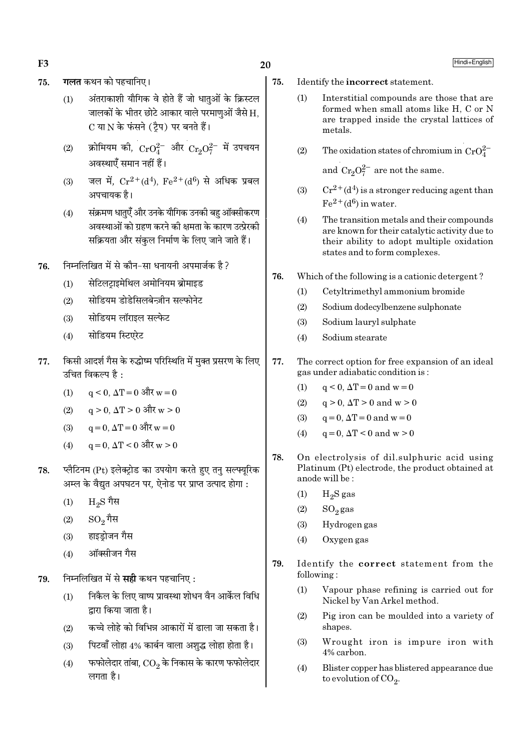F<sub>3</sub>

- गलत कथन को पहचानिए। 75.
	- अंतराकाशी यौगिक वे होते हैं जो धातओं के क्रिस्टल  $(1)$ जालकों के भीतर छोटे आकार वाले परमाणुओं जैसे H. C या N के फंसने (टैप) पर बनते हैं।
	- क्रोमियम की,  $CrO_4^{2-}$  और  $Cr_2O_7^{2-}$  में उपचयन  $(2)$ अवस्थाएँ समान नहीं हैं।
	- जल में,  $Cr^{2+}(d^4)$ ,  $Fe^{2+}(d^6)$  से अधिक प्रबल  $(3)$ अपचायक है।
	- संक्रमण धातुएँ और उनके यौगिक उनकी बहु ऑक्सीकरण  $(4)$ अवस्थाओं को ग्रहण करने की क्षमता के कारण उत्प्रेरकी सक्रियता और संकल निर्माण के लिए जाने जाते हैं।
- निम्नलिखित में से कौन-सा धनायनी अपमार्जक है ? 76.
	- सेटिलटाइमेथिल अमोनियम ब्रोमाइड  $(1)$
	- सोडियम डोडेसिलबेन्जीन सल्फोनेट  $(2)$
	- सोडियम लॉराइल सल्फेट  $(3)$
	- सोडियम स्टिएरेट  $(4)$
- किसी आदर्श गैस के रुद्धोष्म परिस्थिति में मुक्त प्रसरण के लिए 77. उचित विकल्प है $\cdot$ 
	- $(1)$  $q \le 0$ ,  $\Delta T = 0$  और  $w = 0$
	- $q > 0$ ,  $\Delta T > 0$  और w > 0  $(2)$
	- $a = 0$ .  $\Delta T = 0$  और w = 0  $(3)$
	- $q = 0$ ,  $\Delta T < 0$  और w > 0  $(4)$
- प्लैटिनम (Pt) इलेक्ट्रोड का उपयोग करते हुए तन् सल्फ्युरिक 78. अम्ल के वैद्युत अपघटन पर, ऐनोड पर प्राप्त उत्पाद होगा :
	- $_{\rm H_2S}$  गैस  $(1)$
	- $SO_{2}$ गैस  $(2)$
	- हाइडोजन गैस  $(3)$
	- ऑक्सीजन गैस  $(4)$
- निम्नलिखित में से **सही** कथन पहचानिए: 79.
	- निकैल के लिए वाष्प प्रावस्था शोधन वैन आर्केल विधि  $(1)$ द्वारा किया जाता है।
	- कच्चे लोहे को विभिन्न आकारों में ढाला जा सकता है।  $(2)$
	- पिटवाँ लोहा 4% कार्बन वाला अशुद्ध लोहा होता है।  $(3)$
	- फफोलेदार तांबा,  $\rm CO_2$  के निकास के कारण फफोलेदार  $(4)$ लगता है।

20

- 75. Identify the incorrect statement.
	- Interstitial compounds are those that are  $(1)$ formed when small atoms like H, C or N are trapped inside the crystal lattices of metals.
	- $(2)$ The oxidation states of chromium in  $CrO_4^{2-}$

and  $Cr_2O_7^{2-}$  are not the same.

- $Cr^{2+}(d^4)$  is a stronger reducing agent than  $(3)$  $Fe<sup>2+</sup>(d<sup>6</sup>)$  in water
- The transition metals and their compounds  $(4)$ are known for their catalytic activity due to their ability to adopt multiple oxidation states and to form complexes.
- 76. Which of the following is a cationic detergent?
	- Cetyltrimethyl ammonium bromide  $(1)$
	- $(2)$ Sodium dodecylbenzene sulphonate
	- $(3)$ Sodium lauryl sulphate
	- Sodium stearate  $(4)$
- 77. The correct option for free expansion of an ideal gas under adiabatic condition is:
	- $q \leq 0$ ,  $\Delta T = 0$  and  $w = 0$  $(1)$
	- $q > 0$ ,  $\Delta T > 0$  and  $w > 0$  $(2)$
	- $q = 0$ ,  $\Delta T = 0$  and  $w = 0$  $(3)$
	- $q = 0$ ,  $\Delta T < 0$  and  $w > 0$  $(4)$
- 78 On electrolysis of dil.sulphuric acid using Platinum (Pt) electrode, the product obtained at anode will be:
	- $(1)$  $H<sub>2</sub>S$  gas
	- $(2)$  $SO_2$ gas
	- Hydrogen gas  $(3)$
	- Oxygen gas  $(4)$
- 79. Identify the correct statement from the following:
	- $(1)$ Vapour phase refining is carried out for Nickel by Van Arkel method.
	- $(2)$ Pig iron can be moulded into a variety of shapes.
	- Wrought iron is impure iron with  $(3)$ 4% carbon.
	- $(4)$ Blister copper has blistered appearance due to evolution of  $CO<sub>2</sub>$ .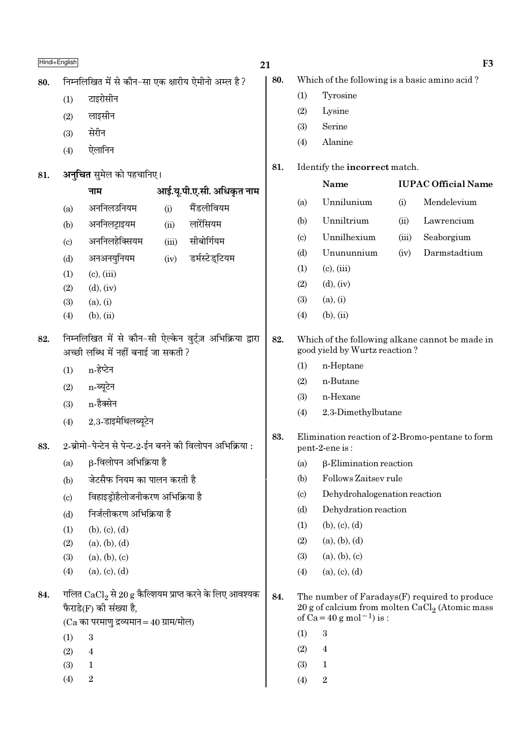|     | Hindi+English              |                                                                      |       |                                                                      | 21  |                            |                                               |       | F <sub>3</sub>                                                                                    |
|-----|----------------------------|----------------------------------------------------------------------|-------|----------------------------------------------------------------------|-----|----------------------------|-----------------------------------------------|-------|---------------------------------------------------------------------------------------------------|
| 80. |                            | निम्नलिखित में से कौन-सा एक क्षारीय ऐमीनो अम्ल है?                   |       |                                                                      | 80. |                            | Which of the following is a basic amino acid? |       |                                                                                                   |
|     | (1)                        | टाइरोसीन                                                             |       |                                                                      |     | (1)                        | Tyrosine                                      |       |                                                                                                   |
|     | (2)                        | लाइसीन                                                               |       |                                                                      |     | (2)                        | Lysine                                        |       |                                                                                                   |
|     | (3)                        | सेरीन                                                                |       |                                                                      |     | (3)                        | Serine                                        |       |                                                                                                   |
|     | (4)                        | ऐलानिन                                                               |       |                                                                      |     | (4)                        | Alanine                                       |       |                                                                                                   |
|     |                            |                                                                      |       |                                                                      | 81. |                            | Identify the incorrect match.                 |       |                                                                                                   |
| 81. |                            | अनुचित सुमेल को पहचानिए।                                             |       |                                                                      |     |                            | Name                                          |       | <b>IUPAC Official Name</b>                                                                        |
|     |                            | नाम                                                                  |       | आई.यू.पी.ए.सी. अधिकृत नाम                                            |     | (a)                        | Unnilunium                                    | (i)   | Mendelevium                                                                                       |
|     | (a)                        | अननिलउनियम                                                           | (i)   | मैंडलीवियम                                                           |     | (b)                        | Unniltrium                                    | (ii)  | Lawrencium                                                                                        |
|     | (b)                        | अननिलट्राइयम                                                         | (ii)  | लारेंसियम                                                            |     |                            | Unnilhexium                                   | (iii) |                                                                                                   |
|     | $\left( \mathrm{c}\right)$ | अननिलहेक्सियम                                                        | (iii) | सीबोर्गियम                                                           |     | (c)<br>(d)                 | Unununnium                                    | (iv)  | Seaborgium<br>Darmstadtium                                                                        |
|     | (d)                        | अनअनयुनियम                                                           | (iv)  | डर्मस्टेड्टियम                                                       |     | (1)                        | $(c)$ , $(iii)$                               |       |                                                                                                   |
|     | (1)                        | $(c)$ , $(iii)$                                                      |       |                                                                      |     | (2)                        | $(d)$ , $(iv)$                                |       |                                                                                                   |
|     | (2)                        | $(d)$ , $(iv)$                                                       |       |                                                                      |     | (3)                        | (a), (i)                                      |       |                                                                                                   |
|     | (3)                        | (a), (i)                                                             |       |                                                                      |     |                            |                                               |       |                                                                                                   |
|     | (4)                        | $(b)$ , $(ii)$                                                       |       |                                                                      |     | (4)                        | $(b)$ , $(ii)$                                |       |                                                                                                   |
| 82. |                            | अच्छी लब्धि में नहीं बनाई जा सकती ?                                  |       | निम्नलिखित में से कौन-सी ऐल्केन वुर्ट्ज़ अभिक्रिया द्वारा            | 82. |                            | good yield by Wurtz reaction?                 |       | Which of the following alkane cannot be made in                                                   |
|     | (1)                        | n-हेप्टेन                                                            |       |                                                                      |     | (1)                        | n-Heptane                                     |       |                                                                                                   |
|     | (2)                        | n-ब्यूटेन                                                            |       |                                                                      |     | (2)                        | n-Butane                                      |       |                                                                                                   |
|     | (3)                        | n-हैक्सेन                                                            |       |                                                                      |     | (3)                        | n-Hexane                                      |       |                                                                                                   |
|     | (4)                        | 2,3-डाइमेथिलब्यूटेन                                                  |       |                                                                      |     | (4)                        | 2,3-Dimethylbutane                            |       |                                                                                                   |
| 83. |                            | 2-ब्रोमो-पेन्टेन से पेन्ट-2-ईन बनने की विलोपन अभिक्रिया :            |       |                                                                      | 83. |                            | pent-2-ene is:                                |       | Elimination reaction of 2-Bromo-pentane to form                                                   |
|     | (a)                        | β-विलोपन अभिक्रिया है                                                |       |                                                                      |     | (a)                        | $\beta$ -Elimination reaction                 |       |                                                                                                   |
|     | (b)                        | जेटसैफ नियम का पालन करती है                                          |       |                                                                      |     | (b)                        | Follows Zaitsey rule                          |       |                                                                                                   |
|     | $\left( \mathrm{c}\right)$ | विहाइड्रोहैलोजनीकरण अभिक्रिया है                                     |       |                                                                      |     | $\left( \mathrm{c}\right)$ | Dehydrohalogenation reaction                  |       |                                                                                                   |
|     | (d)                        | निर्जलीकरण अभिक्रिया है                                              |       |                                                                      |     | (d)                        | Dehydration reaction                          |       |                                                                                                   |
|     | (1)                        | (b), (c), (d)                                                        |       |                                                                      |     | (1)                        | (b), (c), (d)                                 |       |                                                                                                   |
|     | (2)                        | (a), (b), (d)                                                        |       |                                                                      |     | (2)                        | (a), (b), (d)                                 |       |                                                                                                   |
|     | (3)                        | (a), (b), (c)                                                        |       |                                                                      |     | (3)                        | (a), (b), (c)                                 |       |                                                                                                   |
|     | (4)                        | (a), (c), (d)                                                        |       |                                                                      |     | (4)                        | (a), (c), (d)                                 |       |                                                                                                   |
| 84. |                            | फैराडे(F) की संख्या है,<br>$(Ca$ का परमाणु द्रव्यमान = 40 ग्राम/मोल) |       | गलित $\mathrm{CaCl}_{2}$ से 20 g कैल्शियम प्राप्त करने के लिए आवश्यक | 84. |                            | of $Ca = 40 g$ mol <sup>-1</sup> ) is :       |       | The number of Faradays(F) required to produce<br>20 g of calcium from molten $CaCl2$ (Atomic mass |
|     | (1)                        | 3                                                                    |       |                                                                      |     | (1)                        | $\rm 3$                                       |       |                                                                                                   |
|     | (2)                        | $\overline{4}$                                                       |       |                                                                      |     | (2)                        | $\overline{4}$                                |       |                                                                                                   |
|     | (3)                        | 1                                                                    |       |                                                                      |     | (3)                        | $\mathbf{1}$                                  |       |                                                                                                   |
|     | (4)                        | 2                                                                    |       |                                                                      |     | (4)                        | $\,2$                                         |       |                                                                                                   |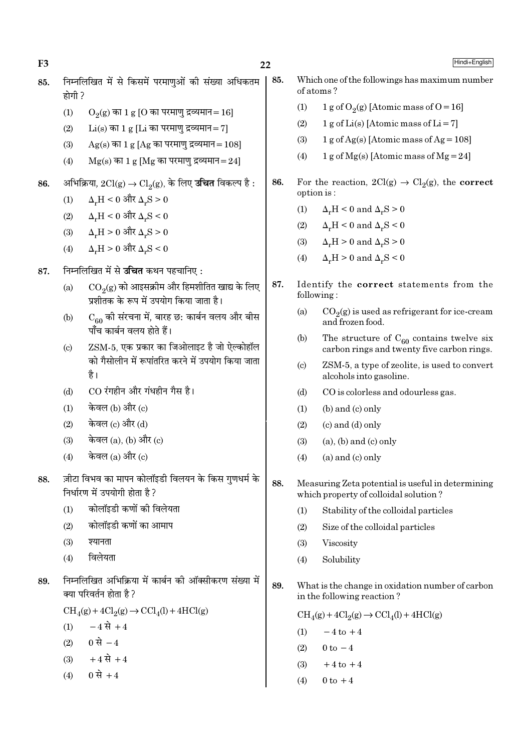$22$ 

Hindi+English

- निम्नलिखित में से किसमें परमाणओं की संख्या अधिकतम 85. 85. होगी ?
	- $(1)$  $O<sub>9</sub>(g)$  का 1 g [O का परमाणु द्रव्यमान=16]
	- $(2)$  $Li(s)$  का 1 g [Li का परमाणु द्रव्यमान = 7]
	- $(3)$  $Ag(s)$  का 1 g [Ag का परमाण द्रव्यमान = 108]
	- $(4)$  $Mg(s)$  का 1 g [Mg का परमाणु द्रव्यमान=24]
- अभिक्रिया,  $2Cl(g) \rightarrow Cl_2(g)$ , के लिए **उचित** विकल्प है : 86.
	- $\Delta_r H < 0$  और  $\Delta_r S > 0$  $(1)$
	- $\Delta_{\tt w}H < 0$  और  $\Delta_{\tt w}S < 0$  $(2)$
	- $\Delta_{\rm r}{\rm H}$  >  $0$  और  $\Delta_{\rm r}{\rm S}$  >  $0$  $(3)$
	- $(4)$  $\Delta_{r}H>0$  और  $\Delta_{r}S<0$

#### निम्नलिखित में से **उच्चित** कथन पहचानिए : 87.

- $\mathrm{CO}_2(\mathrm{g})$  को आइसक्रीम और हिमशीतित खाद्य के लिए  $(a)$ प्रशीतक के रूप में उपयोग किया जाता है।
- $C_{60}$  की संरचना में, बारह छ: कार्बन वलय और बीस  $(b)$ पाँच कार्बन वलय होते हैं।
- ZSM-5, एक प्रकार का जिओलाइट है जो ऐल्कोहॉल  $(c)$ को गैसोलीन में रूपांतरित करने में उपयोग किया जाता है।
- CO रंगहीन और गंधहीन गैस है।  $(d)$
- केवल (b) और (c)  $(1)$
- केवल (c) और (d)  $(2)$
- केवल (a), (b) और (c)  $(3)$
- केवल (a) और (c)  $(4)$
- ज़ीटा विभव का मापन कोलॉइडी विलयन के किस गुणधर्म के 88. निर्धारण में उपयोगी होता है?
	- कोलॉइडी कणों की विलेयता  $(1)$
	- कोलॉइडी कणों का आमाप  $(2)$
	- श्यानता  $(3)$
	- विलेयता  $(4)$
- निम्नलिखित अभिक्रिया में कार्बन की ऑक्सीकरण संख्या में 89. क्या परिवर्तन होता है ?

 $CH<sub>4</sub>(g) + 4Cl<sub>2</sub>(g) \rightarrow CCl<sub>4</sub>(l) + 4HCl(g)$ 

- $-4 \vec{R} + 4$  $(1)$
- 0 से  $-4$  $(2)$
- $+4 \vec{R} + 4$  $(3)$
- 0 से +4  $(4)$
- Which one of the followings has maximum number of atoms?
	- $(1)$ 1 g of  $O_2(g)$  [Atomic mass of O = 16]
	- $1 g$  of Li(s) [Atomic mass of Li = 7]  $(2)$
	- $1 g$  of Ag(s) [Atomic mass of Ag = 108]  $(3)$
	- 1 g of Mg(s) [Atomic mass of Mg = 24]  $(4)$
- 86. For the reaction,  $2Cl(g) \rightarrow Cl_2(g)$ , the **correct** option is:
	- $(1)$  $\Delta_r H < 0$  and  $\Delta_r S > 0$
	- $\Delta_{v}H < 0$  and  $\Delta_{v}S < 0$  $(2)$
	- $\Delta_r H > 0$  and  $\Delta_r S > 0$  $(3)$
	- $(4)$  $\Delta_r H > 0$  and  $\Delta_r S < 0$
- 87. Identify the correct statements from the following:
	- $(a)$  $CO<sub>9</sub>(g)$  is used as refrigerant for ice-cream and frozen food.
	- $(b)$ The structure of  $C_{60}$  contains twelve six carbon rings and twenty five carbon rings.
	- ZSM-5, a type of zeolite, is used to convert  $(c)$ alcohols into gasoline.
	- CO is colorless and odourless gas.  $(d)$
	- $(1)$  $(b)$  and  $(c)$  only
	- $(c)$  and  $(d)$  only  $(2)$
	- $(3)$  $(a)$ ,  $(b)$  and  $(c)$  only
	- $(a)$  and  $(c)$  only  $(4)$
- 88. Measuring Zeta potential is useful in determining which property of colloidal solution?
	- Stability of the colloidal particles  $(1)$
	- $(2)$ Size of the colloidal particles
	- Viscosity  $(3)$
	- Solubility  $(4)$
- 89 What is the change in oxidation number of carbon in the following reaction?

 $CH<sub>4</sub>(g) + 4Cl<sub>2</sub>(g) \rightarrow CCl<sub>4</sub>(l) + 4HCl(g)$ 

- $-4$  to  $+4$  $(1)$
- $(2)$  $0 \text{ to } -4$
- $+4$  to  $+4$  $(3)$
- $0 \text{ to } +4$  $(4)$

F<sub>3</sub>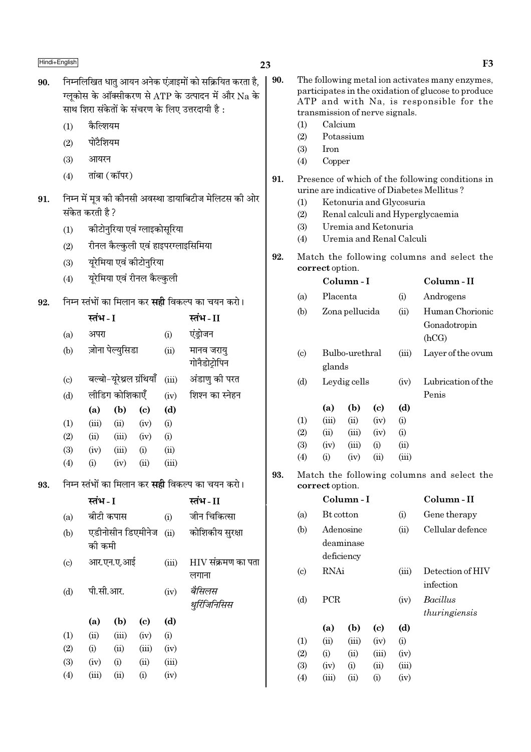- निम्नलिखित धातु आयन अनेक एंज़ाइमों को सक्रियित करता है, 90. ग्लकोस के ऑक्सीकरण से ATP के उत्पादन में और Na के साथ शिरा संकेतों के संचरण के लिए उत्तरदायी है:
	- कैल्शियम  $(1)$
	- पोटैशियम  $(2)$
	- आयरन  $(3)$
	- तांबा (कॉपर)  $(4)$
- निम्न में मूत्र की कौनसी अवस्था डायाबिटीज मेलिटस की ओर 91. संकेत करती है ?
	- $(1)$ कीटोनुरिया एवं ग्लाइकोसूरिया
	- रीनल कैल्कुली एवं हाइपरग्लाइसिमिया  $(2)$
	- यूरेमिया एवं कीटोनुरिया  $(3)$
	- यरेमिया एवं रीनल कैल्कली  $(4)$
- निम्न स्तंभों का मिलान कर **सही** विकल्प का चयन करो। 92.

|                           | स्तंभ - I        |                          |      |       | स्तंभ - II                  |
|---------------------------|------------------|--------------------------|------|-------|-----------------------------|
| (a)                       | अपरा             |                          |      | (i)   | एंड्रोजन                    |
| (b)                       | ज़ोना पेल्युसिडा |                          |      | (ii)  | मानव जरायु<br>गोनैडोट्रोपिन |
| $\left( \text{c} \right)$ |                  | बल्बो-यूरेथ्रल ग्रंथियाँ |      | (iii) | अंडाणु की परत               |
| (d)                       |                  | लीडिग कोशिकाएँ           |      | (iv)  | शिश्न का स्नेहन             |
|                           | (a)              | (b)                      | (c)  | (d)   |                             |
| (1)                       | (iii)            | (ii)                     | (iv) | (i)   |                             |
| (2)                       | (ii)             | (iii)                    | (iv) | (i)   |                             |
| (3)                       | (iv)             | (iii)                    | (i)  | (ii)  |                             |
| (4)                       | (i)              | (iv)                     | (ii) | (iii) |                             |
|                           |                  |                          |      |       |                             |

निम्न स्तंभों का मिलान कर **सद्दी** विकल्प का चयन करो। 93.

|            |       |                                               |                   | स्तंभ - II         |
|------------|-------|-----------------------------------------------|-------------------|--------------------|
|            |       |                                               | (i)               | जीन चिकित्सा       |
|            |       |                                               | (ii)              | कोशिकीय सुरक्षा    |
| आर.एन.ए.आई |       |                                               | (iii)             | HIV संक्रमण का पता |
|            |       |                                               |                   | लगाना              |
|            |       |                                               | (iv)              | बैसिलस             |
|            |       |                                               |                   | थुरिंजिनिसिस       |
| (a)        | (b)   | $\left( \mathrm{c}\right)$                    | (d)               |                    |
| (ii)       | (iii) | (iv)                                          | (i)               |                    |
| (i)        | (ii)  | (iii)                                         | (iv)              |                    |
| (iv)       | (i)   | (ii)                                          | (iii)             |                    |
| (iii)      | (ii)  | (i)                                           | (iv)              |                    |
|            |       | स्तंभ - I<br>बीटी कपास<br>को कमी<br>पी.सी.आर. | एडीनोसीन डिएमीनेज |                    |

F<sub>3</sub> 90. The following metal ion activates many enzymes, participates in the oxidation of glucose to produce ATP and with Na, is responsible for the transmission of nerve signals.  $(1)$ Calcium  $(2)$ Potassium  $(3)$ **Iron**  $(4)$ Copper 91. Presence of which of the following conditions in urine are indicative of Diabetes Mellitus?  $(1)$ Ketonuria and Glycosuria  $(2)$ Renal calculi and Hyperglycaemia  $(3)$ Uremia and Ketonuria  $(4)$ Uremia and Renal Calculi 92. Match the following columns and select the correct option.

|                             |           | Column - I     |      |       | Column - II        |  |  |
|-----------------------------|-----------|----------------|------|-------|--------------------|--|--|
| (a)                         | Placenta  |                |      | (i)   | Androgens          |  |  |
| (b)                         |           | Zona pellucida |      | (ii)  | Human Chorionic    |  |  |
|                             |           |                |      |       | Gonadotropin       |  |  |
|                             |           |                |      |       | (hCG)              |  |  |
| $\left( \mathrm{c} \right)$ |           | Bulbo-urethral |      | (iii) | Layer of the ovum  |  |  |
|                             | glands    |                |      |       |                    |  |  |
| (d)                         |           | Leydig cells   |      | (iv)  | Lubrication of the |  |  |
|                             |           |                |      |       | Penis              |  |  |
|                             | (a)       | (b)            | (c)  | (d)   |                    |  |  |
| (1)                         | (iii)     | (ii)           | (iv) | (i)   |                    |  |  |
| (2)                         | (ii)      | (iii)          | (iv) | (i)   |                    |  |  |
| (3)                         | (iv)      | (iii)          | (i)  | (ii)  |                    |  |  |
| $\left( 4\right)$           | $\rm (i)$ | (iv)           | (ii) | (iii) |                    |  |  |

93. Match the following columns and select the correct option.

|                            |                  | Column - I |          |       | Column - II      |
|----------------------------|------------------|------------|----------|-------|------------------|
| (a)                        | <b>Bt</b> cotton |            |          | (i)   | Gene therapy     |
| (b)                        |                  | Adenosine  |          | (ii)  | Cellular defence |
|                            |                  | deaminase  |          |       |                  |
|                            |                  | deficiency |          |       |                  |
| $\left( \mathrm{c}\right)$ | <b>RNAi</b>      |            |          | (iii) | Detection of HIV |
|                            |                  |            |          |       | infection        |
| (d)                        | <b>PCR</b>       |            |          | (iv)  | <i>Bacillus</i>  |
|                            |                  |            |          |       | thuringiensis    |
|                            | (a)              | (b)        | (c)      | (d)   |                  |
| (1)                        | (ii)             | (iii)      | (iv)     | (i)   |                  |
| (2)                        | (i)              | (ii)       | (iii)    | (iv)  |                  |
| (3)                        | (iv)             | (i)        | (ii)     | (iii) |                  |
| $\left( 4\right)$          | (iii)            | (ii)       | $\rm(i)$ | (iv)  |                  |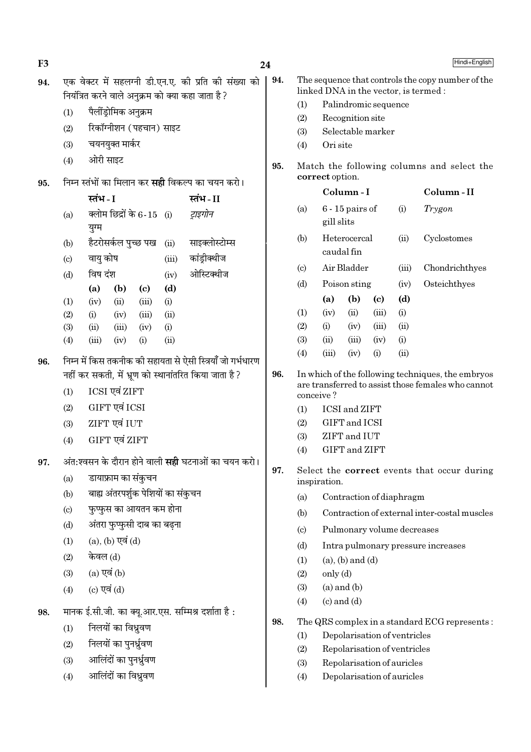F<sub>3</sub>

Hindi+Fnglish

| 94. | एक वेक्टर में सहलग्नी डी.एन.ए. की प्रति की संख्या को<br>नियंत्रित करने वाले अनुक्रम को क्या कहा जाता है? |                 |                         |                             |                                    |                                                            |  |  |  |
|-----|----------------------------------------------------------------------------------------------------------|-----------------|-------------------------|-----------------------------|------------------------------------|------------------------------------------------------------|--|--|--|
|     |                                                                                                          |                 | पैलींड्रोमिक अनुक्रम    |                             |                                    |                                                            |  |  |  |
|     | (1)                                                                                                      |                 |                         | रिकॉग्नीशन (पहचान) साइट     |                                    |                                                            |  |  |  |
|     | (2)                                                                                                      |                 |                         |                             |                                    |                                                            |  |  |  |
|     | (3)                                                                                                      | चयनयुक्त मार्कर |                         |                             |                                    |                                                            |  |  |  |
|     | (4)                                                                                                      | ओरी साइट        |                         |                             |                                    |                                                            |  |  |  |
| 95. |                                                                                                          |                 |                         |                             |                                    | निम्न स्तंभों का मिलान कर <b>सही</b> विकल्प का चयन करो।    |  |  |  |
|     |                                                                                                          | स्तंभ - I       |                         |                             |                                    | स्तंभ-II                                                   |  |  |  |
|     | (a)                                                                                                      | युग्म           |                         | क्लोम छिद्रों के 6-15   (i) |                                    | ट्राइगोन                                                   |  |  |  |
|     | (b)                                                                                                      |                 | हैटरोसर्कल पुच्छ पख     |                             | (ii)                               | साइक्लोस्टोम्स                                             |  |  |  |
|     | $\left( c\right)$                                                                                        | वायु कोष        |                         |                             | (iii)                              | कांड्रीक्थीज                                               |  |  |  |
|     | (d)                                                                                                      | विष दंश         |                         |                             | (iv)                               | ओस्टिक्थीज                                                 |  |  |  |
|     |                                                                                                          | (a)             | (b)                     | (c)                         | (d)                                |                                                            |  |  |  |
|     | (1)                                                                                                      | (iv)            | (ii)                    | (iii)                       | (i)                                |                                                            |  |  |  |
|     | (2)<br>(3)                                                                                               | (i)<br>(ii)     | (iv)<br>(iii)           | $(iii)$ $(ii)$<br>(iv)      | (i)                                |                                                            |  |  |  |
|     | (4)                                                                                                      | $(iii)$ $(iv)$  |                         | (i)                         | (ii)                               |                                                            |  |  |  |
| 96. |                                                                                                          |                 |                         |                             |                                    | निम्न में किस तकनीक की सहायता से ऐसी स्त्रियाँ जो गर्भधारण |  |  |  |
|     |                                                                                                          |                 |                         |                             |                                    | नहीं कर सकती, में भ्रूण को स्थानांतरित किया जाता है?       |  |  |  |
|     | (1)                                                                                                      |                 | ICSI एवं ZIFT           |                             |                                    |                                                            |  |  |  |
|     | (2)                                                                                                      |                 | GIFT एवं ICSI           |                             |                                    |                                                            |  |  |  |
|     | (3)                                                                                                      |                 | ZIFT एवं IUT            |                             |                                    |                                                            |  |  |  |
|     | (4)                                                                                                      | GIFT एवं ZIFT   |                         |                             |                                    |                                                            |  |  |  |
| 97. |                                                                                                          |                 |                         |                             |                                    | अंत:श्वसन के दौरान होने वाली <b>सही</b> घटनाओं का चयन करो। |  |  |  |
|     | (a)                                                                                                      |                 | डायाफ्राम का सकुचन      |                             |                                    |                                                            |  |  |  |
|     | (b)                                                                                                      |                 |                         |                             | बाह्य अंतरपर्शुक पेशियों का संकुचन |                                                            |  |  |  |
|     | $\left( \mathrm{c} \right)$                                                                              |                 |                         | फुप्फुस का आयतन कम होना     |                                    |                                                            |  |  |  |
|     | (d)                                                                                                      |                 |                         | अंतरा फुप्फुसी दाब का बढ़ना |                                    |                                                            |  |  |  |
|     | (1)                                                                                                      |                 | $(a)$ , $(b)$ एवं $(d)$ |                             |                                    |                                                            |  |  |  |
|     | (2)                                                                                                      | केवल (d)        |                         |                             |                                    |                                                            |  |  |  |
|     | (3)                                                                                                      | (a) एवं (b)     |                         |                             |                                    |                                                            |  |  |  |
|     | (4)                                                                                                      | (c) एवं $(d)$   |                         |                             |                                    |                                                            |  |  |  |
| 98. |                                                                                                          |                 |                         |                             |                                    | मानक ई.सी.जी. का क्यू.आर.एस. सम्मिश्र दर्शाता है:          |  |  |  |
|     | (1)                                                                                                      |                 | निलयों का विध्रुवण      |                             |                                    |                                                            |  |  |  |
|     | (2)                                                                                                      |                 | निलयों का पुनर्ध्रुवण   |                             |                                    |                                                            |  |  |  |
|     | (3)                                                                                                      |                 | आलिंदों का पुनर्ध्रुवण  |                             |                                    |                                                            |  |  |  |
|     | (4)                                                                                                      |                 | आलिंदों का विध्नुवण     |                             |                                    |                                                            |  |  |  |
|     |                                                                                                          |                 |                         |                             |                                    |                                                            |  |  |  |
|     |                                                                                                          |                 |                         |                             |                                    |                                                            |  |  |  |

|     |                             |                                                                                           |                            |                      |       | · ·····•· · <del>_</del> ···g··•··                                                                      |  |  |  |  |  |
|-----|-----------------------------|-------------------------------------------------------------------------------------------|----------------------------|----------------------|-------|---------------------------------------------------------------------------------------------------------|--|--|--|--|--|
| 94. |                             | The sequence that controls the copy number of the<br>linked DNA in the vector, is termed: |                            |                      |       |                                                                                                         |  |  |  |  |  |
|     | (1)                         |                                                                                           |                            | Palindromic sequence |       |                                                                                                         |  |  |  |  |  |
|     | (2)                         |                                                                                           | Recognition site           |                      |       |                                                                                                         |  |  |  |  |  |
|     | (3)                         |                                                                                           | Selectable marker          |                      |       |                                                                                                         |  |  |  |  |  |
|     | (4)                         | Ori site                                                                                  |                            |                      |       |                                                                                                         |  |  |  |  |  |
| 95. |                             | Match the following columns and select the<br>correct option.                             |                            |                      |       |                                                                                                         |  |  |  |  |  |
|     |                             |                                                                                           | Column-I                   |                      |       | Column-II                                                                                               |  |  |  |  |  |
|     | (a)                         | gill slits                                                                                | $6 - 15$ pairs of          |                      | (i)   | Trygon                                                                                                  |  |  |  |  |  |
|     | (b)                         |                                                                                           | Heterocercal<br>caudal fin |                      |       | Cyclostomes                                                                                             |  |  |  |  |  |
|     | $\left( \mathrm{c} \right)$ |                                                                                           | Air Bladder                |                      | (iii) | Chondrichthyes                                                                                          |  |  |  |  |  |
|     | (d)                         |                                                                                           | Poison sting               |                      | (iv)  | Osteichthyes                                                                                            |  |  |  |  |  |
|     |                             | (a)                                                                                       | (b)                        | (c)                  | (d)   |                                                                                                         |  |  |  |  |  |
|     | (1)                         | (iv)                                                                                      | (ii)                       | (iii)                | (i)   |                                                                                                         |  |  |  |  |  |
|     | (2)                         | (i)                                                                                       | (iv)                       | (iii)                | (ii)  |                                                                                                         |  |  |  |  |  |
|     | (3)                         | (ii)                                                                                      | (iii)                      | (iv)                 | (i)   |                                                                                                         |  |  |  |  |  |
|     | (4)                         | (iii)                                                                                     | (iv)                       | (i)                  | (ii)  |                                                                                                         |  |  |  |  |  |
| 96. |                             | conceive?                                                                                 |                            |                      |       | In which of the following techniques, the embryos<br>are transferred to assist those females who cannot |  |  |  |  |  |
|     | (1)                         |                                                                                           | ICSI and ZIFT              |                      |       |                                                                                                         |  |  |  |  |  |
|     | (2)                         |                                                                                           | GIFT and ICSI              |                      |       |                                                                                                         |  |  |  |  |  |
|     | (3)                         |                                                                                           | ZIFT and IUT               |                      |       |                                                                                                         |  |  |  |  |  |
|     | (4)                         |                                                                                           | GIFT and ZIFT              |                      |       |                                                                                                         |  |  |  |  |  |
|     |                             |                                                                                           |                            |                      |       |                                                                                                         |  |  |  |  |  |

- 97. Select the correct events that occur during inspiration.
	- $(a)$ Contraction of diaphragm
	- $(b)$ Contraction of external inter-costal muscles
	- $(c)$ Pulmonary volume decreases
	- Intra pulmonary pressure increases  $(d)$
	- $(1)$  $(a)$ ,  $(b)$  and  $(d)$
	- $(2)$ only (d)
	- $(3)$  $(a)$  and  $(b)$
	- $(c)$  and  $(d)$  $(4)$
- 98. The QRS complex in a standard ECG represents:
	- $(1)$ Depolarisation of ventricles
	- $(2)$ Repolarisation of ventricles
	- $(3)$ Repolarisation of auricles
	- $(4)$ Depolarisation of auricles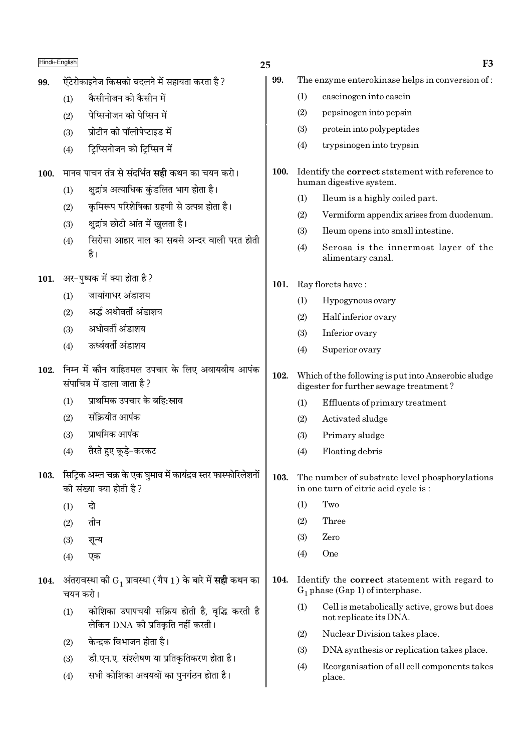- ऐंटेरोकाइनेज किसको बदलने में सहायता करता है ? 99.
	- कैसीनोजन को कैसीन में  $(1)$
	- पेप्सिनोजन को पेप्सिन में  $(2)$
	- प्रोटीन को पॉलीपेप्टाइड में  $(3)$
	- टिप्सिनोजन को टिप्सिन में  $(4)$
- मानव पाचन तंत्र से संदर्भित **सही** कथन का चयन करो।  $100.$ 
	- क्षुद्रांत्र अत्याधिक कुंडलित भाग होता है।  $(1)$
	- कुमिरूप परिशेषिका ग्रहणी से उत्पन्न होता है।  $(2)$
	- क्षद्रांत्र छोटी आंत में खुलता है।  $(3)$
	- सिरोसा आहार नाल का सबसे अन्दर वाली परत होती  $(4)$ है।
- 101. अर-पुष्पक में क्या होता है ?
	- जायांगाधर अंडाशय  $(1)$
	- अर्द्ध अधोवर्ती अंडाशय  $(2)$
	- अधोवर्ती अंडाशय  $(3)$
	- ऊर्ध्ववर्ती अंडाशय  $(4)$
- 102. निम्न में कौन वाहितमल उपचार के लिए अवायवीय आपंक संपाचित्र में डाला जाता है?
	- प्राथमिक उपचार के बहि:स्राव  $(1)$
	- संक्रियीत आपंक  $(2)$
	- प्राथमिक आपंक  $(3)$
	- तैरते हुए कुडे-करकट  $(4)$
- 103. सिट्कि अम्ल चक्र के एक घुमाव में कार्यद्रव स्तर फास्फोरिलेशनों की संख्या क्या होती है?
	- टो  $(1)$
	- $(2)$ तीन
	- $(3)$ शून्य
	- एक  $(4)$
- 104. अंतरावस्था की  $G_1$  प्रावस्था (गैप 1) के बारे में सही कथन का चयन करो।
	- कोशिका उपापचयी सक्रिय होती है, वृद्धि करती है  $(1)$ लेकिन DNA की प्रतिकृति नहीं करती।
	- केन्दक विभाजन होता है।  $(2)$
	- डी.एन.ए. संश्लेषण या प्रतिकृतिकरण होता है।  $(3)$
	- सभी कोशिका अवयवों का पुनर्गठन होता है।  $(4)$
- 25
	- The enzyme enterokinase helps in conversion of: 99.
		- $(1)$ caseinogen into casein
		- $(2)$ pepsinogen into pepsin
		- $(3)$ protein into polypeptides
		- $(4)$ trypsinogen into trypsin
	- 100. Identify the correct statement with reference to human digestive system.
		- Ileum is a highly coiled part.  $(1)$
		- $(2)$ Vermiform appendix arises from duodenum.
		- $(3)$ Ileum opens into small intestine.
		- $(4)$ Serosa is the innermost layer of the alimentary canal.
	- 101. Ray florets have:
		- $(1)$ Hypogynous ovary
		- $(2)$ Half inferior ovary
		- Inferior ovary  $(3)$
		- $(4)$ Superior ovary
	- $102.$ Which of the following is put into Anaerobic sludge digester for further sewage treatment?
		- Effluents of primary treatment  $(1)$
		- $(2)$ Activated sludge
		- $(3)$ Primary sludge
		- $(4)$ Floating debris
	- 103. The number of substrate level phosphorylations in one turn of citric acid cycle is:
		- Two  $(1)$
		- $(2)$ Three
		- Zero  $(3)$
		- One  $(4)$
	- $104.$ Identify the correct statement with regard to  $G_1$  phase (Gap 1) of interphase.
		- Cell is metabolically active, grows but does  $(1)$ not replicate its DNA.
		- Nuclear Division takes place.  $(2)$
		- $(3)$ DNA synthesis or replication takes place.
		- Reorganisation of all cell components takes  $(4)$ place.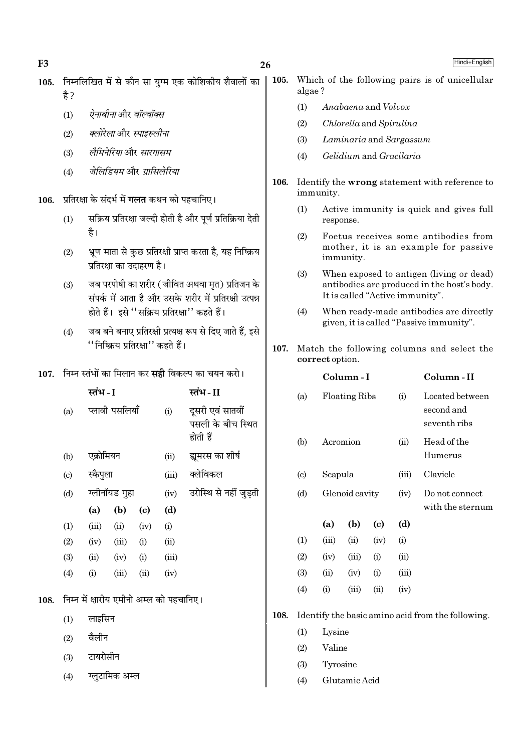$F<sub>3</sub>$ 

108.

 $Hindi + English$ 

- 105. निम्नलिखित में से कौन सा युग्म एक कोशिकीय शैवालों का  $\frac{4}{5}$ 
	- ऐनाबीनाओर वॉल्वॉक्स  $(1)$
	- क्लोरेला और स्पाइरुलीना  $(2)$
	- लैमिनेरिया और सारगासम  $(3)$
	- जेलिडियम और ग्रासिलेरिया  $(4)$
- प्रतिरक्षा के संदर्भ में **गलत** कथन को पहचानिए। 106.
	- सक्रिय प्रतिरक्षा जल्दी होती है और पूर्ण प्रतिक्रिया देती  $(1)$ है।
	- भ्रूण माता से कुछ प्रतिरक्षी प्राप्त करता है, यह निष्क्रिय  $(2)$ प्रतिरक्षा का उदाहरण है।
	- जब परपोषी का शरीर (जीवित अथवा मृत) प्रतिजन के  $(3)$ संपर्क में आता है और उसके शरीर में प्रतिरक्षी उत्पन्न होते हैं। इसे "सक्रिय प्रतिरक्षा" कहते हैं।
	- जब बने बनाए प्रतिरक्षी प्रत्यक्ष रूप से दिए जाते हैं. इसे  $(4)$ ''निष्क्रिय प्रतिरक्षा'' कहते हैं।
- 107. निम्न स्तंभों का मिलान कर सद्दी विकल्प का चयन करो।

|                        | स्तंभ - I |                |                            | स्तंभ - II                               |                                                   |  |  |
|------------------------|-----------|----------------|----------------------------|------------------------------------------|---------------------------------------------------|--|--|
| (a)                    |           | प्लावी पसलियाँ |                            | (i)                                      | दूसरी एवं सातवीं<br>पसली के बीच स्थित<br>होती हैं |  |  |
| (b)                    | एक्रोमियन |                |                            | (ii)                                     | ह्यमरस का शीर्ष                                   |  |  |
| $\left( \circ \right)$ | स्कैपुला  |                |                            | (iii)                                    | क्लेविकल                                          |  |  |
| (d)                    |           | ग्लीनॉयड गुहा  |                            | (iv)                                     | उरोस्थि से नहीं जुड़ती                            |  |  |
|                        | (a)       | (b)            | $\left( \mathrm{e}\right)$ | (d)                                      |                                                   |  |  |
| (1)                    | (iii)     | (ii)           | (iv)                       | (i)                                      |                                                   |  |  |
| (2)                    | (iv)      | (iii)          | (i)                        | (ii)                                     |                                                   |  |  |
| (3)                    | (ii)      | (iv)           | (i)                        | (iii)                                    |                                                   |  |  |
| (4)                    | (i)       | (iii)          | (ii)                       | (iv)                                     |                                                   |  |  |
|                        |           |                |                            | निम्न में क्षारीय एमीनो अम्ल को पहचानिए। |                                                   |  |  |
| (1)                    | लाइसिन    |                |                            |                                          |                                                   |  |  |
| (2)                    | वैलीन     |                |                            |                                          |                                                   |  |  |
| (3)                    | टायरोसीन  |                |                            |                                          |                                                   |  |  |
| (4)                    |           | ग्लुटामिक अम्ल |                            |                                          |                                                   |  |  |

- 105. Which of the following pairs is of unicellular algae?
	- $(1)$ Anabaena and Volvox
	- Chlorella and Spirulina  $(2)$
	- Laminaria and Sargassum  $(3)$
	- Gelidium and Gracilaria  $(4)$
- 106. Identify the wrong statement with reference to immunity.
	- $(1)$ Active immunity is quick and gives full response.
	- $(2)$ Foetus receives some antibodies from mother, it is an example for passive immunity.
	- $(3)$ When exposed to antigen (living or dead) antibodies are produced in the host's body. It is called "Active immunity".
	- $(4)$ When ready-made antibodies are directly given, it is called "Passive immunity".
- 107. Match the following columns and select the correct option.

|      |                            |       | Column - I                            | Column-II |       |                                                   |
|------|----------------------------|-------|---------------------------------------|-----------|-------|---------------------------------------------------|
|      | (a)                        |       | <b>Floating Ribs</b>                  |           |       | Located between<br>second and<br>seventh ribs     |
|      | (b)                        |       | Acromion<br>Scapula<br>Glenoid cavity |           |       | Head of the<br>Humerus                            |
|      | $\left( \mathrm{c}\right)$ |       |                                       |           |       | Clavicle                                          |
|      | (d)                        |       |                                       |           |       | Do not connect<br>with the sternum                |
|      |                            | (a)   | (b)                                   | (c)       | (d)   |                                                   |
|      | (1)                        | (iii) | (ii)                                  | (iv)      | (i)   |                                                   |
|      | (2)                        | (iv)  | (iii)                                 | (i)       | (ii)  |                                                   |
|      | (3)                        | (ii)  | (iv)                                  | (i)       | (iii) |                                                   |
|      | (4)                        | (i)   | (iii)                                 | (ii)      | (iv)  |                                                   |
| 108. |                            |       |                                       |           |       | Identify the basic amino acid from the following. |

- $(1)$ Lysine
- Valine  $(2)$
- Tyrosine  $(3)$
- Glutamic Acid  $(4)$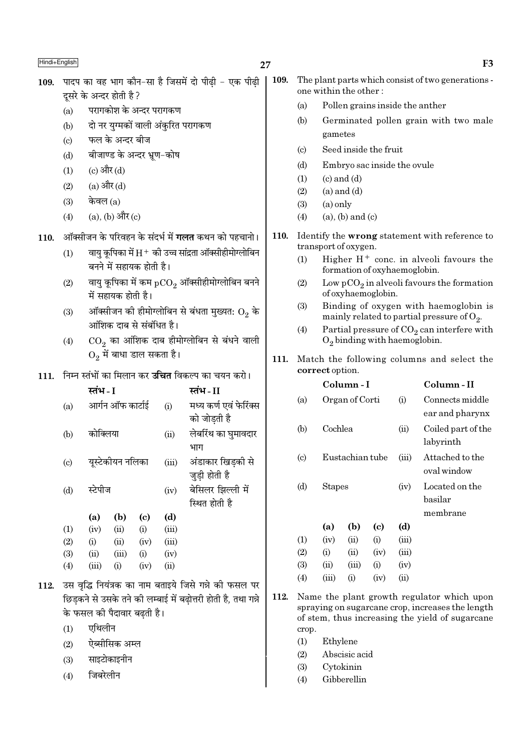F<sub>3</sub>

| 109. | पादप का वह भाग कौन-सा है जिसमें दो पीढ़ी - एक पीढ़ी              | 109.                                                                                   | η                                                                      |                            |       |                                                           |      |   |  |  |
|------|------------------------------------------------------------------|----------------------------------------------------------------------------------------|------------------------------------------------------------------------|----------------------------|-------|-----------------------------------------------------------|------|---|--|--|
|      |                                                                  |                                                                                        | दूसरे के अन्दर होती है ?                                               |                            |       |                                                           |      | C |  |  |
|      | (a)                                                              |                                                                                        | परागकोश के अन्दर परागकण                                                |                            |       |                                                           |      |   |  |  |
|      | (b)                                                              |                                                                                        |                                                                        |                            |       | दो नर युग्मकों वाली अंकुरित परागकण                        |      |   |  |  |
|      | (c)                                                              |                                                                                        | फल के अन्दर बीज                                                        |                            |       |                                                           |      |   |  |  |
|      | (d)                                                              |                                                                                        | बीजाण्ड के अन्दर भ्रूण-कोष                                             |                            |       |                                                           |      |   |  |  |
|      | (1)                                                              | (c) और (d)                                                                             |                                                                        |                            |       |                                                           |      |   |  |  |
|      | (2)                                                              | $(a)$ और $(d)$                                                                         |                                                                        |                            |       |                                                           |      |   |  |  |
|      | (3)                                                              | केवल $(a)$                                                                             |                                                                        |                            |       |                                                           |      |   |  |  |
|      | (4)                                                              |                                                                                        | $(a)$ , $(b)$ और $(c)$                                                 |                            |       |                                                           |      |   |  |  |
| 110. |                                                                  |                                                                                        |                                                                        |                            |       | ऑक्सीजन के परिवहन के संदर्भ में <b>गलत</b> कथन को पहचानो। | 110. | I |  |  |
|      | (1)                                                              | वायु कूपिका में $\rm H^+$ की उच्च सांद्रता ऑक्सीहीमोग्लोबिन<br>बनने में सहायक होती है। |                                                                        | t                          |       |                                                           |      |   |  |  |
|      | (2)                                                              |                                                                                        | वायु कूपिका में कम $pCO_2$ ऑक्सीहीमोग्लोबिन बनने<br>में सहायक होती है। |                            |       |                                                           |      |   |  |  |
|      | ऑक्सीजन की हीमोग्लोबिन से बंधता मुख्यत: $\mathrm{O}_2$ के<br>(3) |                                                                                        |                                                                        |                            |       |                                                           |      |   |  |  |
|      | आंशिक दाब से संबंधित है।                                         |                                                                                        |                                                                        |                            |       |                                                           |      |   |  |  |
|      | (4)                                                              |                                                                                        |                                                                        |                            |       | $\mathrm{CO}_2$ का आंशिक दाब हीमोग्लोबिन से बंधने वाली    |      |   |  |  |
|      |                                                                  |                                                                                        | $\mathrm{O}_2$ में बाधा डाल सकता है।                                   |                            |       |                                                           | 111. | ľ |  |  |
| 111. | निम्न स्तंभों का मिलान कर <b>उचित</b> विकल्प का चयन करो।         |                                                                                        | C                                                                      |                            |       |                                                           |      |   |  |  |
|      |                                                                  | स्तंभ - I<br>स्तंभ - II                                                                |                                                                        |                            |       |                                                           |      |   |  |  |
|      | (a)                                                              |                                                                                        | आर्गन ऑफ कार्टाई                                                       |                            | (i)   | मध्य कर्ण एवं फेरिंक्स<br>को जोड़ती है                    |      | ( |  |  |
|      | (b)                                                              | कोक्लिया                                                                               |                                                                        |                            | (ii)  | लेर्बारॅथ का घुमावदार<br>भाग                              |      | ( |  |  |
|      | $\left( \mathrm{c}\right)$                                       |                                                                                        | यस्टेकीयन नलिका                                                        |                            | (iii) | अंडाकार खिडकी से<br>जुड़ी होती है                         |      |   |  |  |
|      | (d)                                                              | स्टेपीज                                                                                |                                                                        |                            | (iv)  | बेसिलर झिल्ली में<br>स्थित होती है                        |      | ( |  |  |
|      |                                                                  | (a)                                                                                    | (b)                                                                    | $\left( \mathrm{c}\right)$ | (d)   |                                                           |      |   |  |  |
|      | (1)                                                              | (iv)                                                                                   | (ii)                                                                   | (i)                        | (iii) |                                                           |      |   |  |  |
|      | (2)                                                              | (i)                                                                                    | (ii)                                                                   | (iv)                       | (iii) |                                                           |      |   |  |  |
|      | (3)                                                              | (ii)                                                                                   | (iii)                                                                  | (i)                        | (iv)  |                                                           |      |   |  |  |
|      | (4)                                                              | (iii)                                                                                  | (i)                                                                    | (iv)                       | (ii)  |                                                           |      |   |  |  |
| 112. |                                                                  |                                                                                        |                                                                        |                            |       | उस वृद्धि नियंत्रक का नाम बताइये जिसे गन्ने की फसल पर     |      |   |  |  |

- $\mathbf{1}$ छिड़कने से उसके तने की लम्बाई में बढ़ोत्तरी होती है, तथा गन्ने के फसल की पैदावार बढ़ती है।
	- एथिलीन  $(1)$
	- ऐब्सीसिक अम्ल  $(2)$
	- साइटोकाइनीन  $(3)$
	- जिबरेलीन  $(4)$
- The plant parts which consist of two generations one within the other:
	- Pollen grains inside the anther  $(a)$
	- Germinated pollen grain with two male  $(b)$ gametes
	- Seed inside the fruit  $\left( c\right)$
	- Embryo sac inside the ovule  $(d)$
	- $(c)$  and  $(d)$  $(1)$
	- $(2)$  $(a)$  and  $(d)$
	- $(3)$  $(a)$  only
	- $(a)$ ,  $(b)$  and  $(c)$  $\angle(4)$
- dentify the wrong statement with reference to transport of oxygen.
	- Higher  $H^+$  conc. in alveoli favours the  $(1)$ formation of oxyhaemoglobin.
	- Low  $pCO_2$  in alveoli favours the formation  $(2)$ of oxyhaemoglobin.
	- Binding of oxygen with haemoglobin is  $(3)$ mainly related to partial pressure of  $O_2$ .
	- $(4)$ Partial pressure of  $CO<sub>2</sub>$  can interfere with  $O_2$  binding with haemoglobin.
- Match the following columns and select the correct option.

|                            |               | Column - I      |      |       | Column - II                           |  |  |
|----------------------------|---------------|-----------------|------|-------|---------------------------------------|--|--|
| (a)                        |               | Organ of Corti  |      | (i)   | Connects middle<br>ear and pharynx    |  |  |
| (b)                        | Cochlea       |                 |      | (ii)  | Coiled part of the<br>labyrinth       |  |  |
| $\left( \mathrm{c}\right)$ |               | Eustachian tube |      | (iii) | Attached to the<br>oval window        |  |  |
| (d)                        | <b>Stapes</b> |                 |      | (iv)  | Located on the<br>basilar<br>membrane |  |  |
|                            | (a)           | (b)             | (c)  | (d)   |                                       |  |  |
| (1)                        | (iv)          | (ii)            | (i)  | (iii) |                                       |  |  |
| (2)                        | (i)           | (ii)            | (iv) | (iii) |                                       |  |  |
| (3)                        | (ii)          | (iii)           | (i)  | (iv)  |                                       |  |  |
| (4)                        | (iii)         | $\rm (i)$       | (iv) | (ii)  |                                       |  |  |

- 112. Name the plant growth regulator which upon spraying on sugarcane crop, increases the length of stem, thus increasing the yield of sugarcane crop.
	- $(1)$ Ethylene
	- $(2)$ Abscisic acid
	- $(3)$ Cytokinin
	- $(4)$ Gibberellin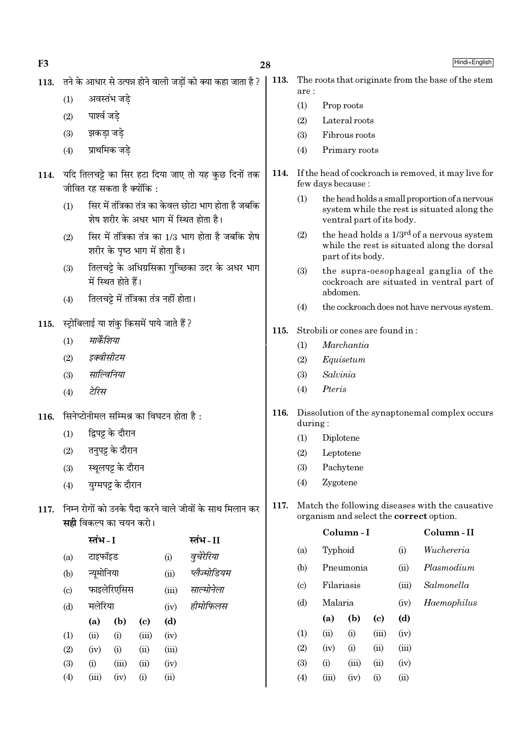$F<sub>3</sub>$ 

Hindi+English

113. तने के आधार से उत्पन्न होने वाली जड़ों को क्या कहा जाता है ?

अवस्तंभ जडे  $(1)$ 

- पार्श्व जडे  $(2)$
- झकडा जडे  $(3)$
- प्राथमिक जडे  $(4)$
- 114. यदि तिलचट्टे का सिर हटा दिया जाए तो यह कुछ दिनों तक जीवित रह सकता है क्योंकि :
	- सिर में तंत्रिका तंत्र का केवल छोटा भाग होता है जबकि  $(1)$ शेष शरीर के अधर भाग में स्थित होता है।
	- सिर में तंत्रिका तंत्र का 1/3 भाग होता है जबकि शेष  $(2)$ शरीर के पष्ठ भाग में होता है।
	- तिलचट्टे के अधिग्रसिका गच्छिका उदर के अधर भाग  $(3)$ में स्थित होते हैं।
	- तिलचट्टे में तंत्रिका तंत्र नहीं होता।  $(4)$

स्ट्रोबिलाई या शंकु किसमें पाये जाते हैं ? 115.

- मार्केशिया  $(1)$
- इक्वीसीटम  $(2)$
- साल्विनिया  $(3)$
- टेरिस  $(4)$

सिनेप्टोनीमल सम्मिश्र का विघटन होता है: 116.

- द्विपट्ट के दौरान  $(1)$
- तनुपट्ट के दौरान  $(2)$
- स्थलपट्ट के दौरान  $(3)$
- यग्मपट्ट के दौरान  $(4)$
- 117. निम्न रोगों को उनके पैदा करने वाले जीवों के साथ मिलान कर सही विकल्प का चयन करो।

|                            | स्तभ - I |             |                            |       | स्तभ - II    |
|----------------------------|----------|-------------|----------------------------|-------|--------------|
| (a)                        | टाइफॉइड  |             |                            | (i)   | वुचेरेरिया   |
| (b)                        |          | न्यूमोनिया  |                            |       | प्लैज्मोडियम |
| $\left( \mathrm{c}\right)$ |          | फाइलेरिएसिस |                            |       | साल्मोनेला   |
| (d)                        |          | मलेरिया     |                            |       | हीमोफिलस     |
|                            | (a)      | (b)         | $\left( \mathrm{e}\right)$ | (d)   |              |
| (1)                        | (ii)     | (i)         | (iii)                      | (iv)  |              |
| (2)                        | (iv)     | (i)         | (ii)                       | (iii) |              |
| (3)                        | (i)      | (iii)       | (ii)                       | (iv)  |              |
| (4)                        | (iii)    | (iv)        | (i)                        | (ii)  |              |

- 113. The roots that originate from the base of the stem are:
	- $(1)$ Prop roots
	- $(2)$ Lateral roots
	- Fibrous roots  $(3)$
	- $(4)$ Primary roots
- 114. If the head of cockroach is removed, it may live for few days because:
	- the head holds a small proportion of a nervous  $(1)$ system while the rest is situated along the ventral part of its body.
	- the head holds a 1/3<sup>rd</sup> of a nervous system  $(2)$ while the rest is situated along the dorsal part of its body.
	- the supra-oesophageal ganglia of the  $(3)$ cockroach are situated in ventral part of abdomen.
	- $(4)$ the cockroach does not have nervous system.
- Strobili or cones are found in: 115.
	- Marchantia  $(1)$
	- Equisetum  $(2)$
	- Salvinia  $(3)$
	- Pteris  $(4)$
- 116. Dissolution of the synaptonemal complex occurs  $during:$ 
	- $(1)$ Diplotene
	- $(2)$ Leptotene
	- Pachytene  $(3)$
	- $(4)$ Zygotene
- 117. Match the following diseases with the causative organism and select the **correct** option.

|                             |       | Column - I | Column - II |       |             |
|-----------------------------|-------|------------|-------------|-------|-------------|
| (a)                         |       | Typhoid    |             |       | Wuchereria  |
| (b)                         |       | Pneumonia  |             | (ii)  | Plasmodium  |
| $\left( \mathrm{c} \right)$ |       | Filariasis |             |       | Salmonella  |
| (d)                         |       | Malaria    |             |       | Haemophilus |
|                             | (a)   | (b)        | (c)         | (d)   |             |
| (1)                         | (ii)  | (i)        | (iii)       | (iv)  |             |
| (2)                         | (iv)  | (i)        | (ii)        | (iii) |             |
| (3)                         | (i)   | (iii)      | (ii)        | (iv)  |             |
| (4)                         | (iii) | (iv)       | $\rm(i)$    | (ii)  |             |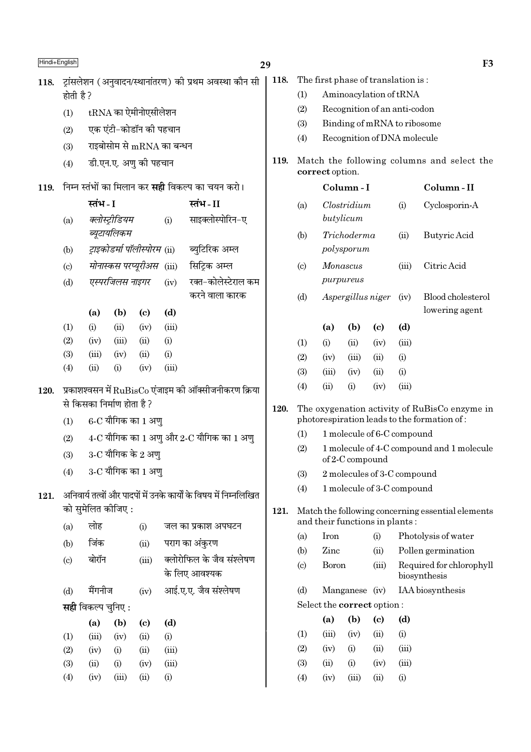| Hindi+English |                            |                                                         |                               |                              |       |                                                                   | 29   |                             |                                                                     |                             |                            |       | F <sub>3</sub>                                    |
|---------------|----------------------------|---------------------------------------------------------|-------------------------------|------------------------------|-------|-------------------------------------------------------------------|------|-----------------------------|---------------------------------------------------------------------|-----------------------------|----------------------------|-------|---------------------------------------------------|
| 118.          |                            |                                                         |                               |                              |       | ट्रांसलेशन (अनुवादन/स्थानांतरण) की प्रथम अवस्था कौन सी            | 118. |                             | The first phase of translation is:                                  |                             |                            |       |                                                   |
|               | होती है ?                  |                                                         |                               |                              |       |                                                                   |      | (1)                         |                                                                     | Aminoacylation of tRNA      |                            |       |                                                   |
|               | (1)                        |                                                         |                               | $tRNA$ का ऐमीनोएसीलेशन       |       |                                                                   |      | (2)                         | Recognition of an anti-codon                                        |                             |                            |       |                                                   |
|               | (2)                        |                                                         |                               | एक एंटी-कोडॉन की पहचान       |       |                                                                   |      | (3)                         |                                                                     | Binding of mRNA to ribosome |                            |       |                                                   |
|               | (3)                        |                                                         | राइबोसोम से $mRNA$ का बन्धन   |                              |       |                                                                   |      | (4)                         |                                                                     | Recognition of DNA molecule |                            |       |                                                   |
|               | (4)                        | डी.एन.ए. अणु की पहचान                                   |                               |                              |       |                                                                   | 119. |                             | Match the following columns and select the<br>correct option.       |                             |                            |       |                                                   |
| 119.          |                            | निम्न स्तंभों का मिलान कर <b>सही</b> विकल्प का चयन करो। |                               |                              |       |                                                                   |      |                             |                                                                     | Column-I                    |                            |       | Column-II                                         |
|               |                            | स्तंभ - I                                               |                               |                              |       | स्तंभ-II                                                          |      | (a)                         |                                                                     | Clostridium                 |                            | (i)   | Cyclosporin-A                                     |
|               | (a)                        |                                                         | क्लोस्ट्रीडियम<br>ब्यूटायलिकम |                              | (i)   | साइक्लोस्पोरिन-ए                                                  |      | (b)                         |                                                                     | butylicum<br>Trichoderma    |                            | (ii)  | Butyric Acid                                      |
|               | (b)                        |                                                         |                               | ट्राइकोडर्मा पॉलीस्पोरम (ii) |       | ब्युटिरिक अम्ल                                                    |      |                             |                                                                     | polysporum                  |                            |       |                                                   |
|               | $\left( \mathrm{c}\right)$ |                                                         |                               | मोनास्कस परप्यूरीअस (iii)    |       | सिट्रिक अम्ल                                                      |      | $\left( \mathrm{c} \right)$ |                                                                     | Monascus                    |                            | (iii) | Citric Acid                                       |
|               | (d)                        |                                                         | एस्परजिलस नाइगर               |                              | (iv)  | रक्त-कोलेस्टेराल कम                                               |      |                             |                                                                     | purpureus                   |                            |       |                                                   |
|               |                            |                                                         |                               |                              |       | करने वाला कारक                                                    |      | (d)                         |                                                                     | Aspergillus niger           |                            | (iv)  | Blood cholesterol                                 |
|               |                            | (a)                                                     | (b)                           | $\left( \mathrm{c}\right)$   | (d)   |                                                                   |      |                             |                                                                     |                             |                            |       | lowering agent                                    |
|               | (1)                        | (i)                                                     | (ii)                          | (iv)                         | (iii) |                                                                   |      |                             | (a)                                                                 | (b)                         | $\left( \mathrm{e}\right)$ | (d)   |                                                   |
|               | (2)                        | (iv)                                                    | (iii)                         | (ii)                         | (i)   |                                                                   |      | (1)                         | (i)                                                                 | (ii)                        | (iv)                       | (iii) |                                                   |
|               | (3)                        | (iii)                                                   | (iv)                          | (ii)                         | (i)   |                                                                   |      | (2)                         | (iv)                                                                | (iii)                       | (ii)                       | (i)   |                                                   |
|               | (4)                        | (ii)                                                    | (i)                           | (iv)                         | (iii) |                                                                   |      | (3)                         | (iii)                                                               | (iv)                        | (ii)                       | (i)   |                                                   |
| 120.          |                            |                                                         |                               |                              |       | प्रकाशश्वसन में $\text{RuBisCo}$ एंजाइम की ऑक्सीजनीकरण क्रिया     |      | (4)                         | (ii)                                                                | (i)                         | (iv)                       | (iii) |                                                   |
|               |                            |                                                         | से किसका निर्माण होता है?     |                              |       |                                                                   | 120. |                             |                                                                     |                             |                            |       | The oxygenation activity of RuBisCo enzyme in     |
|               | (1)                        |                                                         |                               | $6$ -C यौगिक का 1 अणु        |       | photorespiration leads to the formation of:                       |      |                             |                                                                     |                             |                            |       |                                                   |
|               | (2)                        |                                                         |                               |                              |       | $4$ -C यौगिक का 1 अणु और 2-C यौगिक का 1 अणु                       |      | (1)                         | 1 molecule of 6-C compound                                          |                             |                            |       |                                                   |
|               | (3)                        |                                                         |                               | $3$ -C यौगिक के 2 अणु        |       |                                                                   |      |                             | (2)<br>1 molecule of 4-C compound and 1 molecule<br>of 2-C compound |                             |                            |       |                                                   |
|               | (4)                        |                                                         |                               | 3-C यौगिक का 1 अणु           |       |                                                                   |      | (3)                         |                                                                     | 2 molecules of 3-C compound |                            |       |                                                   |
| 121.          |                            |                                                         |                               |                              |       | अनिवार्य तत्वों और पादपों में उनके कार्यों के विषय में निम्नलिखित |      | (4)                         |                                                                     | 1 molecule of 3-C compound  |                            |       |                                                   |
|               |                            |                                                         | को सुमेलित कीजिए :            |                              |       |                                                                   | 121. |                             |                                                                     |                             |                            |       | Match the following concerning essential elements |
|               | (a)                        | लोह                                                     |                               | (i)                          |       | जल का प्रकाश अपघटन                                                |      |                             | and their functions in plants:                                      |                             |                            |       |                                                   |
|               | (b)                        | जिंक                                                    |                               | (ii)                         |       | पराग का अंकुरण                                                    |      | (a)                         | Iron                                                                |                             | (i)                        |       | Photolysis of water                               |
|               | (c)                        | बोरॉन                                                   |                               | (iii)                        |       | क्लोरोफिल के जैव संश्लेषण                                         |      | (b)                         | Zinc                                                                |                             | (ii)                       |       | Pollen germination                                |
|               |                            |                                                         |                               |                              |       | के लिए आवश्यक                                                     |      | $\left( \mathrm{c}\right)$  | <b>Boron</b>                                                        |                             | (iii)                      |       | Required for chlorophyll<br>biosynthesis          |
|               | (d)                        | मैंगनीज                                                 |                               | (iv)                         |       | आई.ए.ए. जैव संश्लेषण                                              |      | (d)                         |                                                                     | Manganese (iv)              |                            |       | IAA biosynthesis                                  |
|               |                            | <b>सही</b> विकल्प चुनिए :                               |                               |                              |       |                                                                   |      |                             | Select the correct option:                                          |                             |                            |       |                                                   |
|               |                            | (a)                                                     | (b)                           | $\left( \mathrm{c}\right)$   | (d)   |                                                                   |      |                             | (a)                                                                 | (b)                         | $\left( \mathrm{c}\right)$ | (d)   |                                                   |
|               | (1)                        | (iii)                                                   | (iv)                          | (ii)                         | (i)   |                                                                   |      | (1)                         | (iii)                                                               | (iv)                        | (ii)                       | (i)   |                                                   |
|               | (2)                        | (iv)                                                    | (i)                           | (ii)                         | (iii) |                                                                   |      | (2)                         | (iv)                                                                | (i)                         | (ii)                       | (iii) |                                                   |
|               | (3)                        | (ii)                                                    | (i)                           | (iv)                         | (iii) |                                                                   |      | (3)                         | (ii)                                                                | (i)                         | (iv)                       | (iii) |                                                   |
|               | (4)                        | (iv)                                                    | (iii)                         | (ii)                         | (i)   |                                                                   |      | (4)                         | (iv)                                                                | (iii)                       | (ii)                       | (i)   |                                                   |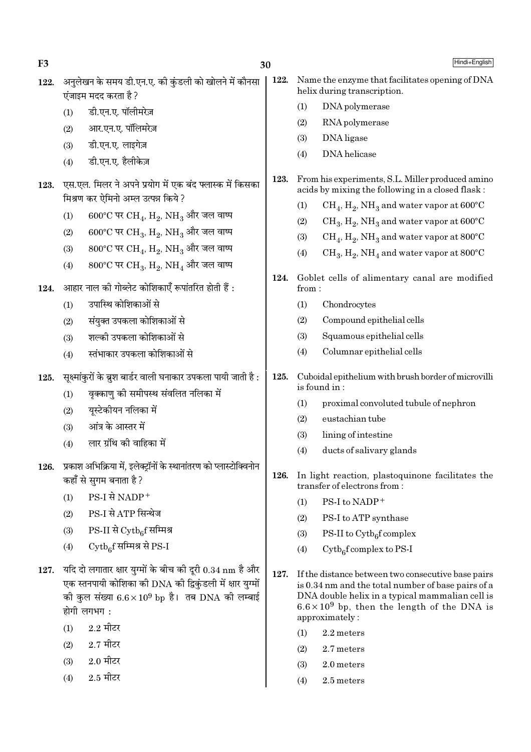| F3   |            | 30                                                                                                                                                                                             |      |       | Hindi+English                                                                                                                                                                                                                        |
|------|------------|------------------------------------------------------------------------------------------------------------------------------------------------------------------------------------------------|------|-------|--------------------------------------------------------------------------------------------------------------------------------------------------------------------------------------------------------------------------------------|
| 122. |            | अनुलेखन के समय डी.एन.ए. की कुंडली को खोलने में कौनसा<br>एंजाइम मदद करता है ?                                                                                                                   | 122. |       | Name the enzyme that facilitates opening of DNA<br>helix during transcription.                                                                                                                                                       |
|      | (1)        | डी.एन.ए. पॉलीमरेज़                                                                                                                                                                             |      | (1)   | DNA polymerase                                                                                                                                                                                                                       |
|      | (2)        | आर.एन.ए. पॉलिमरेज़                                                                                                                                                                             |      | (2)   | RNA polymerase                                                                                                                                                                                                                       |
|      | (3)        | डी.एन.ए. लाइगेज़                                                                                                                                                                               |      | (3)   | DNA ligase                                                                                                                                                                                                                           |
|      | (4)        | डी.एन.ए. हैलीकेज़                                                                                                                                                                              |      | (4)   | DNA helicase                                                                                                                                                                                                                         |
| 123. |            | एस.एल. मिलर ने अपने प्रयोग में एक बंद फ्लास्क में किसका<br>मिश्रण कर ऐमिनो अम्ल उत्पन्न किये ?                                                                                                 | 123. |       | From his experiments, S.L. Miller produced amino<br>acids by mixing the following in a closed flask:                                                                                                                                 |
|      | (1)        | 600°C पर CH <sub>4</sub> , H <sub>2</sub> , NH <sub>3</sub> और जल वाष्प                                                                                                                        |      | (1)   | $CH_4$ , $H_2$ , NH <sub>3</sub> and water vapor at 600°C                                                                                                                                                                            |
|      | (2)        | $600^{\circ}$ C पर CH <sub>3</sub> , H <sub>2</sub> , NH <sub>3</sub> और जल वाष्प                                                                                                              |      | (2)   | $CH_3, H_2, NH_3$ and water vapor at 600°C                                                                                                                                                                                           |
|      |            | 800°C पर CH <sub>4</sub> , H <sub>2</sub> , NH <sub>3</sub> और जल वाष्प                                                                                                                        |      | (3)   | $CH_4$ , $H_2$ , NH <sub>3</sub> and water vapor at 800°C                                                                                                                                                                            |
|      | (3)<br>(4) | 800°C पर CH <sub>3</sub> , H <sub>2</sub> , NH <sub>4</sub> और जल वाष्प                                                                                                                        |      | (4)   | $CH_3, H_2, NH_4$ and water vapor at 800°C                                                                                                                                                                                           |
| 124. |            | आहार नाल की गोब्लेट कोशिकाएँ रूपांतरित होती हैं :                                                                                                                                              | 124. | from: | Goblet cells of alimentary canal are modified                                                                                                                                                                                        |
|      | (1)        | उपास्थि कोशिकाओं से                                                                                                                                                                            |      | (1)   | Chondrocytes                                                                                                                                                                                                                         |
|      | (2)        | संयुक्त उपकला कोशिकाओं से                                                                                                                                                                      |      | (2)   | Compound epithelial cells                                                                                                                                                                                                            |
|      | (3)        | शल्की उपकला कोशिकाओं से                                                                                                                                                                        |      | (3)   | Squamous epithelial cells                                                                                                                                                                                                            |
|      | (4)        | स्तंभाकार उपकला कोशिकाओं से                                                                                                                                                                    |      | (4)   | Columnar epithelial cells                                                                                                                                                                                                            |
| 125. |            | सूक्ष्मांकुरों के ब्रुश बार्डर वाली घनाकार उपकला पायी जाती है :                                                                                                                                | 125. |       | Cuboidal epithelium with brush border of microvilli<br>is found in:                                                                                                                                                                  |
|      | (1)        | वृक्काणु की समीपस्थ संवलित नलिका में                                                                                                                                                           |      | (1)   | proximal convoluted tubule of nephron                                                                                                                                                                                                |
|      | (2)        | यूस्टेकीयन नलिका में                                                                                                                                                                           |      | (2)   | eustachian tube                                                                                                                                                                                                                      |
|      | (3)        | आंत्र के आस्तर में                                                                                                                                                                             |      | (3)   | lining of intestine                                                                                                                                                                                                                  |
|      | (4)        | लार ग्रंथि की वाहिका में                                                                                                                                                                       |      | (4)   | ducts of salivary glands                                                                                                                                                                                                             |
| 126. |            | प्रकाश अभिक्रिया में, इलेक्ट्रॉनों के स्थानांतरण को प्लास्टोक्विनोन<br>कहाँ से सुगम बनाता है ?                                                                                                 | 126. |       | In light reaction, plastoquinone facilitates the<br>transfer of electrons from:                                                                                                                                                      |
|      | (1)        | PS-I से NADP+                                                                                                                                                                                  |      | (1)   | PS-I to NADP+                                                                                                                                                                                                                        |
|      | (2)        | PS-I से ATP सिन्थेज                                                                                                                                                                            |      | (2)   | PS-I to ATP synthase                                                                                                                                                                                                                 |
|      | (3)        | $PS-II$ से $\mathrm{Cytb}_{6}$ f सम्मिश्र                                                                                                                                                      |      | (3)   | PS-II to $\mathrm{Cytb}_6$ f complex                                                                                                                                                                                                 |
|      | (4)        | Cytbef सम्मिश्र से PS-I                                                                                                                                                                        |      | (4)   | $Cytb6f complex to PS-I$                                                                                                                                                                                                             |
| 127. |            | यदि दो लगातार क्षार युग्मों के बीच की दूरी 0.34 nm है और<br>एक स्तनपायी कोशिका की DNA की द्विकुंडली में क्षार युग्मों<br>की कुल संख्या $6.6 \times 10^9$ bp है। तब DNA की लम्बाई<br>होगी लगभग: | 127. |       | If the distance between two consecutive base pairs<br>is 0.34 nm and the total number of base pairs of a<br>DNA double helix in a typical mammalian cell is<br>$6.6 \times 10^9$ bp, then the length of the DNA is<br>approximately: |
|      | (1)        | $2.2$ मीटर                                                                                                                                                                                     |      | (1)   | 2.2 meters                                                                                                                                                                                                                           |
|      | (2)        | $2.7$ मीटर                                                                                                                                                                                     |      | (2)   | 2.7 meters                                                                                                                                                                                                                           |
|      | (3)        | $2.0$ मीटर                                                                                                                                                                                     |      | (3)   | 2.0 meters                                                                                                                                                                                                                           |
|      | (4)        | $2.5$ मीटर                                                                                                                                                                                     |      | (4)   | 2.5 meters                                                                                                                                                                                                                           |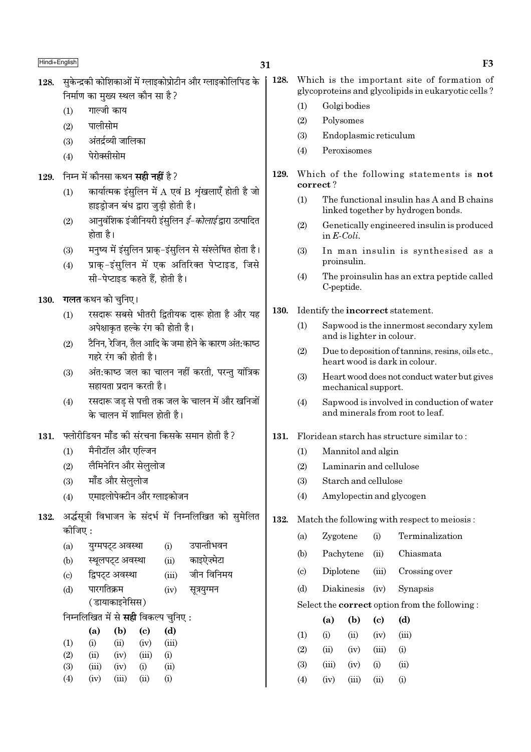- सकेन्द्रकी कोशिकाओं में ग्लाइकोप्रोटीन और ग्लाइकोलिपिड के 128. निर्माण का मख्य स्थल कौन सा है ?
	- गाल्जी काय  $(1)$
	- पालीसोम  $(2)$
	- अंतर्द्रव्यी जालिका  $(3)$
	- पेरोक्सीसोम  $(4)$
- निम्न में कौनसा कथन **सही नहीं** है ? 129.
	- कार्यात्मक इंसलिन में  $A$  एवं  $B$  शृंखलाएँ होती है जो  $(1)$ हाइड़ोजन बंध द्वारा जुडी होती है।
	- आनवंशिक इंजीनियरी इंसुलिन *ई–कोलाई* द्वारा उत्पादित  $(2)$ होता है।
	- मनृष्य में इंसुलिन प्राकु-इंसुलिन से संश्लेषित होता है।  $(3)$
	- प्राक-इंसुलिन में एक अतिरिक्त पेप्टाइड, जिसे  $(4)$ सी-पेप्टाइड कहते हैं. होती है।
- **गलत** कथन को चनिए। 130.
	- रसदारू सबसे भीतरी द्वितीयक दारू होता है और यह  $(1)$ अपेक्षाकत हल्के रंग की होती है।
	- टैनिन, रेजिन, तैल आदि के जमा होने के कारण अंत:काष्ठ  $(2)$ गहरे रंग की होती है।
	- अंत:काष्ठ जल का चालन नहीं करती, परन्तु यांत्रिक  $(3)$ सहायता प्रदान करती है।
	- रसदारू जड़ से पत्ती तक जल के चालन में और खनिजों  $(4)$ के चालन में शामिल होती है।
- फ्लोरीडियन मॉॅंड की संरचना किसके समान होती है ? 131.
	- मैनीटॉल और एल्जिन  $(1)$
	- लैमिनेरिन और सेललोज  $(2)$
	- मॉॅंड और सेललोज  $(3)$
	- एमाइलोपेक्टीन और ग्लाइकोजन  $(4)$
- 132. अर्द्धसूत्री विभाजन के संदर्भ में निम्नलिखित को सुमेलित कोजिए :
	- $(a)$ यग्मपट्ट अवस्था  $(i)$ उपान्तीभवन स्थूलपट्ट अवस्था काइऐज़्मेटा  $(b)$  $(ii)$ द्विपट्ट अवस्था जीन विनिमय  $(c)$  $(iii)$ पारगतिक्रम  $(d)$  $(iv)$ सूत्रयुग्मन (डायाकाइनेसिस)
	- निम्नलिखित में से **सही** विकल्प चुनिए :

|                   | (a)   | (b)   | (c)   | (d)      |
|-------------------|-------|-------|-------|----------|
| $\left( 1\right)$ | (i)   | (ii)  | (iv)  | (iii)    |
| (2)               | (ii)  | (iv)  | (iii) | $\rm(i)$ |
| (3)               | (iii) | (iv)  | (i)   | (ii)     |
| $\left( 4\right)$ | (iv)  | (iii) | (ii)  | $\rm(i)$ |

- 128. Which is the important site of formation of glycoproteins and glycolipids in eukaryotic cells?
	- $(1)$ Golgi bodies
	- Polysomes  $(2)$
	- $(3)$ Endoplasmic reticulum
	- $(4)$ Peroxisomes
- 129. Which of the following statements is not correct?
	- $(1)$ The functional insulin has A and B chains linked together by hydrogen bonds.
	- $(2)$ Genetically engineered insulin is produced in  $E\text{-}Coli$ .
	- $(3)$ In man insulin is synthesised as a proinsulin.
	- The proinsulin has an extra peptide called  $(4)$ C-peptide.
- 130. Identify the **incorrect** statement.
	- $(1)$ Sapwood is the innermost secondary xylem and is lighter in colour.
	- $(2)$ Due to deposition of tannins, resins, oils etc., heart wood is dark in colour.
	- Heart wood does not conduct water but gives  $(3)$ mechanical support.
	- $(4)$ Sapwood is involved in conduction of water and minerals from root to leaf.

# 131. Floridean starch has structure similar to:

- $(1)$ Mannitol and algin
- Laminarin and cellulose  $(2)$
- Starch and cellulose  $(3)$
- $(4)$ Amylopectin and glycogen
- 132. Match the following with respect to meiosis:
	- Zvgotene Terminalization  $(a)$  $(i)$
	- Pachytene  $(ii)$ Chiasmata  $(h)$
	- $(c)$ Diplotene  $(iii)$ Crossing over
	- $(d)$ Diakinesis (iv) Synapsis

### Select the **correct** option from the following:

|                   | (a)   | (b)  | (c)   | (d)               |
|-------------------|-------|------|-------|-------------------|
| $\left( 1\right)$ | (i)   | (ii) | (iv)  | (iii)             |
| $\left( 2\right)$ | (ii)  | (iv) | (iii) | (i)               |
| (3)               | (iii) | (iv) | (i)   | (ii)              |
| $\left( 4\right)$ | (iv)  | (n)  | (11)  | $\left( 1\right)$ |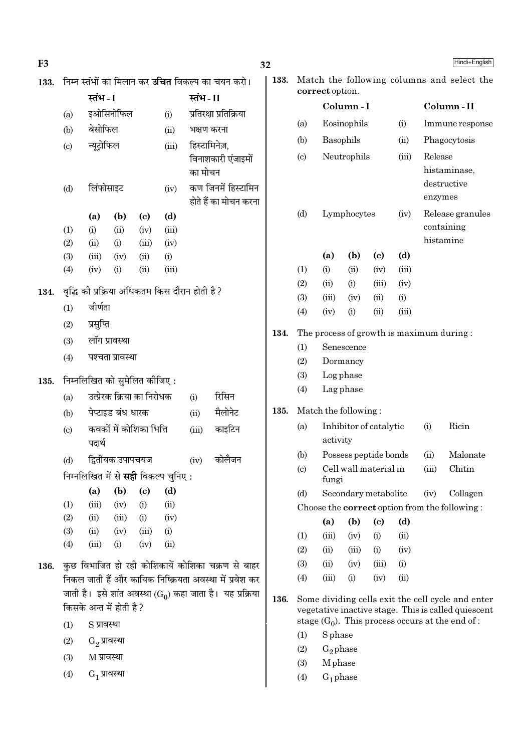| F <sub>3</sub> |                            |                              |                            |                             |                                             |                                                |                                                                      | 32                                                                                           |                                                                                 |                 |                        |                            |             |         | Hindi+English                                                                                            |  |
|----------------|----------------------------|------------------------------|----------------------------|-----------------------------|---------------------------------------------|------------------------------------------------|----------------------------------------------------------------------|----------------------------------------------------------------------------------------------|---------------------------------------------------------------------------------|-----------------|------------------------|----------------------------|-------------|---------|----------------------------------------------------------------------------------------------------------|--|
| 133.           |                            |                              |                            |                             |                                             |                                                | निम्न स्तंभों का मिलान कर <b>उचित</b> विकल्प का चयन करो।             | 133.                                                                                         |                                                                                 |                 |                        |                            |             |         | Match the following columns and select the                                                               |  |
|                |                            | स्तंभ - I<br>स्तंभ-II        |                            |                             |                                             |                                                |                                                                      |                                                                                              |                                                                                 | correct option. |                        |                            |             |         |                                                                                                          |  |
|                | (a)                        |                              | इओसिनोफिल                  |                             | (i)                                         |                                                | प्रतिरक्षा प्रतिक्रिया                                               |                                                                                              |                                                                                 |                 | Column-I               |                            |             |         | Column-II                                                                                                |  |
|                | (b)                        | बेसोफिल                      |                            |                             | (ii)                                        | भक्षण करना                                     |                                                                      |                                                                                              | (a)                                                                             |                 | Eosinophils            |                            | (i)         |         | Immune response                                                                                          |  |
|                | $\left( \mathrm{c}\right)$ | न्यूट्रोफिल                  |                            |                             | (iii)                                       | हिस्टामिनेज़,                                  |                                                                      |                                                                                              | (b)                                                                             | Basophils       |                        |                            | (ii)        |         | Phagocytosis                                                                                             |  |
|                |                            |                              |                            |                             | का मोचन                                     | विनाशकारी एंजाइमों                             |                                                                      | Release<br>Neutrophils<br>$\left( \mathrm{c}\right)$<br>(iii)<br>histaminase,<br>destructive |                                                                                 |                 |                        |                            |             |         |                                                                                                          |  |
|                | (d)                        | लिंफोसाइट                    |                            |                             | (iv)                                        |                                                | कण जिनमें हिस्टामिन<br>होते हैं का मोचन करना                         |                                                                                              |                                                                                 |                 |                        |                            |             | enzymes |                                                                                                          |  |
|                |                            | (a)                          | (b)                        | $\left( \mathrm{c}\right)$  | (d)                                         |                                                |                                                                      |                                                                                              | (d)                                                                             |                 | Lymphocytes            |                            | (iv)        |         | Release granules                                                                                         |  |
|                | (1)                        | (i)                          | (ii)                       | (iv)                        | (iii)                                       |                                                |                                                                      |                                                                                              |                                                                                 |                 |                        |                            |             |         | containing                                                                                               |  |
|                | (2)                        | (ii)                         | (i)                        | (iii)                       | (iv)                                        |                                                |                                                                      |                                                                                              |                                                                                 |                 |                        |                            |             |         | histamine                                                                                                |  |
|                | (3)                        | (iii)                        | (iv)                       | (ii)                        | (i)                                         |                                                |                                                                      |                                                                                              |                                                                                 | (a)             | (b)                    | $\left( \mathrm{c}\right)$ | (d)         |         |                                                                                                          |  |
|                | (4)                        | (iv)                         | (i)                        | (ii)                        | (iii)                                       |                                                |                                                                      |                                                                                              | (1)                                                                             | (i)             | (ii)                   | (iv)                       | (iii)       |         |                                                                                                          |  |
| 134.           |                            |                              |                            |                             |                                             | वृद्धि की प्रक्रिया अधिकतम किस दौरान होती है ? |                                                                      |                                                                                              | (2)<br>(3)                                                                      | (ii)<br>(iii)   | (i)<br>(iv)            | (iii)<br>(ii)              | (iv)<br>(i) |         |                                                                                                          |  |
|                | (1)                        | जीर्णता                      |                            |                             |                                             |                                                |                                                                      |                                                                                              | (4)                                                                             | (iv)            | (i)                    | (ii)                       | (iii)       |         |                                                                                                          |  |
|                | (2)                        | प्रसुप्ति                    |                            |                             |                                             |                                                |                                                                      |                                                                                              |                                                                                 |                 |                        |                            |             |         |                                                                                                          |  |
|                | (3)                        | लॉग प्रावस्था                |                            |                             |                                             |                                                |                                                                      | 134.                                                                                         |                                                                                 |                 |                        |                            |             |         | The process of growth is maximum during:                                                                 |  |
|                | (4)                        |                              | पश्चता प्रावस्था           |                             |                                             |                                                |                                                                      |                                                                                              | (1)<br>Senescence<br>Dormancy                                                   |                 |                        |                            |             |         |                                                                                                          |  |
|                |                            |                              |                            |                             |                                             |                                                |                                                                      |                                                                                              | (2)                                                                             |                 |                        |                            |             |         |                                                                                                          |  |
| 135.           |                            | निम्नलिखित को सुमेलित कीजिए: |                            |                             |                                             |                                                |                                                                      |                                                                                              | (3)<br>(4)                                                                      |                 | Log phase<br>Lag phase |                            |             |         |                                                                                                          |  |
|                | (a)                        |                              | उत्प्रेरक क्रिया का निरोधक |                             |                                             | (i)                                            | रिसिन                                                                |                                                                                              |                                                                                 |                 |                        |                            |             |         |                                                                                                          |  |
|                | (b)                        |                              | पेप्टाइड बंध धारक          |                             |                                             | (ii)                                           | मैलोनेट                                                              | 135.                                                                                         |                                                                                 |                 | Match the following:   |                            |             |         |                                                                                                          |  |
|                | $\left( \mathrm{c}\right)$ | पदार्थ                       | कवकों में कोशिका भित्ति    |                             |                                             | (iii)                                          | काइटिन                                                               |                                                                                              | Ricin<br>Inhibitor of catalytic<br>(i)<br>(a)<br>activity                       |                 |                        |                            |             |         |                                                                                                          |  |
|                | (d)                        |                              | द्वितीयक उपापचयज           |                             |                                             | (iv)                                           | कोलैजन                                                               |                                                                                              | (b)                                                                             |                 | Possess peptide bonds  |                            |             | (ii)    | Malonate                                                                                                 |  |
|                |                            |                              |                            |                             | निम्नलिखित में से <b>सही</b> विकल्प चुनिए : |                                                |                                                                      |                                                                                              | Cell wall material in<br>Chitin<br>$\left( \mathrm{c}\right)$<br>(iii)<br>fungi |                 |                        |                            |             |         |                                                                                                          |  |
|                |                            | (a)                          | (b)                        | $\left( \mathbf{c} \right)$ | (d)                                         |                                                |                                                                      |                                                                                              | (d)                                                                             |                 | Secondary metabolite   |                            |             | (iv)    | Collagen                                                                                                 |  |
|                | (1)                        | (iii)                        | (iv)                       | (i)                         | (ii)                                        |                                                |                                                                      |                                                                                              |                                                                                 |                 |                        |                            |             |         | Choose the <b>correct</b> option from the following:                                                     |  |
|                | (2)<br>(3)                 | (ii)<br>(ii)                 | (iii)<br>(iv)              | (i)<br>(iii)                | (iv)<br>(i)                                 |                                                |                                                                      |                                                                                              |                                                                                 | (a)             | (b)                    | (c)                        | (d)         |         |                                                                                                          |  |
|                | (4)                        | (iii)                        | (i)                        | (iv)                        | (ii)                                        |                                                |                                                                      |                                                                                              | (1)                                                                             | (iii)           | (iv)                   | (i)                        | (ii)        |         |                                                                                                          |  |
|                |                            |                              |                            |                             |                                             |                                                |                                                                      |                                                                                              | (2)                                                                             | (ii)            | (iii)                  | (i)                        | (iv)        |         |                                                                                                          |  |
| 136.           |                            |                              |                            |                             |                                             |                                                | कुछ विभाजित हो रही कोशिकायें कोशिका चक्रण से बाहर                    |                                                                                              | (3)                                                                             | (ii)            | (iv)                   | (iii)                      | (i)         |         |                                                                                                          |  |
|                |                            |                              |                            |                             |                                             |                                                | निकल जाती हैं और कायिक निष्क्रियता अवस्था में प्रवेश कर              |                                                                                              | (4)                                                                             | (iii)           | (i)                    | (iv)                       | (ii)        |         |                                                                                                          |  |
|                |                            | किसके अन्त में होती है?      |                            |                             |                                             |                                                | जाती है। इसे शांत अवस्था (G <sub>0</sub> ) कहा जाता है। यह प्रक्रिया | 136.                                                                                         |                                                                                 |                 |                        |                            |             |         | Some dividing cells exit the cell cycle and enter<br>vegetative inactive stage. This is called quiescent |  |
|                | (1)                        | S प्रावस्था                  |                            |                             |                                             |                                                |                                                                      |                                                                                              |                                                                                 |                 |                        |                            |             |         | stage $(G_0)$ . This process occurs at the end of :                                                      |  |
|                | (2)                        | $G_2$ प्रावस्था              |                            |                             |                                             |                                                |                                                                      |                                                                                              | (1)                                                                             | <b>S</b> phase  |                        |                            |             |         |                                                                                                          |  |
|                | (3)                        | M प्रावस्था                  |                            |                             |                                             |                                                |                                                                      |                                                                                              | (2)                                                                             | $G_2$ phase     |                        |                            |             |         |                                                                                                          |  |
|                | (4)                        | $G_1$ प्रावस्था              |                            |                             |                                             |                                                |                                                                      |                                                                                              | (3)                                                                             | M phase         |                        |                            |             |         |                                                                                                          |  |
|                |                            |                              |                            |                             |                                             |                                                |                                                                      |                                                                                              | (4)                                                                             | $G_1$ phase     |                        |                            |             |         |                                                                                                          |  |

 $\vert$ 

 $\mathrm{G}_1\mathrm{phase}$ 

 $(4)$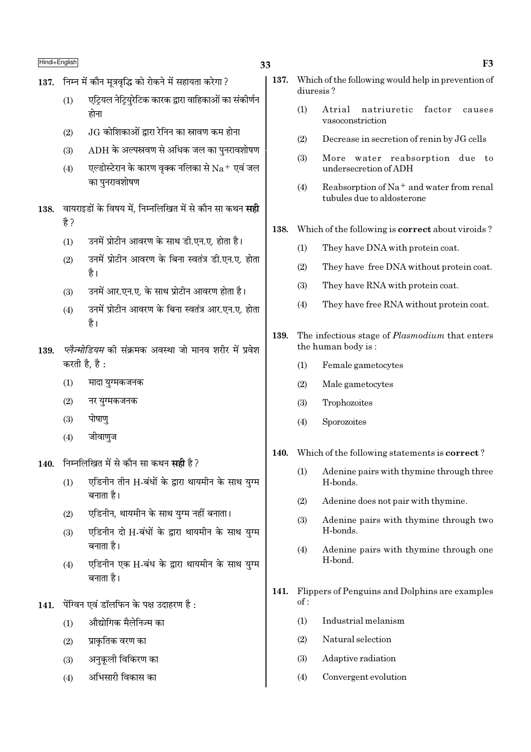# $\overline{\text{Hindi+English}}$  F3

- $137.$  निम्न में कौन मत्रवद्धि को रोकने में सहायता करेगा ?
	- (1)  $\overline{U}$ एट्रियल नेट्रियुरेटिक कारक द्वारा वाहिकाओं का संकीर्णन होना
	- (2)  $JG$  कोशिकाओं द्वारा रेनिन का स्रावण कम होना
	- $(3)$  ADH के अल्पस्रवण से अधिक जल का पुनरावशोषण
	- (4)  $\overline{v}$ एल्डोस्टेरान के कारण वृक्क नलिका से  $\overline{Na}^+$  एवं जल का पनरावशोषण
- 138. Tवायराइडों के विषय में, निम्नलिखित में से कौन सा कथन **सद्दी** है ?
	- $(1)$  उनमें प्रोटीन आवरण के साथ डी.एन.ए. होता है।
	- (2) उनमें प्रोटीन आवरण के बिना स्वतंत्र डी.एन.ए. होता है।
	- (3) उनमें आर.एन.ए. के साथ प्रोटीन आवरण होता है।
	- (4) उनमें प्रोटीन आवरण के बिना स्वतंत्र आर.एन.ए. होता है।
- 139. *प्लैज्मोडियम* की संक्रमक अवस्था जो मानव शरीर में प्रवेश करती है, है:
	- (1) मादा युग्मकजनक
	- $(2)$  नर यग्मकजनक
	- $(3)$  पोषाण
	- $(4)$  जीवाणुज
- 140. निम्नलिखित में से कौन सा कथन सही है ?
	- (1) एडिनीन तीन H-बंधों के द्वारा थायमीन के साथ युग्म बनाता है।
	- $(2)$  एडिनीन, थायमीन के साथ यग्म नहीं बनाता।
	- (3) एडिनीन दो H-बंधों के द्वारा थायमीन के साथ युग्म बनाता है।
	- (4) एडिनीन एक H-बंध के द्वारा थायमीन के साथ युग्म बनाता है।
- $141.$  पेंग्विन एवं डॉलफिन के पक्ष उदाहरण है:
	- $(1)$  औद्योगिक मैलेनिज्म का
	- $(2)$  प्राकतिक वरण का
	- (3) अनुकुली विकिरण का
	- $(4)$  अभिसारी विकास का
- 137. Which of the following would help in prevention of diuresis ?
	- (1) Atrial natriuretic factor causes vasoconstriction
	- (2) Decrease in secretion of renin by JG cells
	- (3) More water reabsorption due to undersecretion of ADH
	- (4) Reabsorption of Na<sup>+</sup> and water from renal tubules due to aldosterone
- 138. Which of the following is correct about viroids ?
	- (1) They have DNA with protein coat.
	- (2) They have free DNA without protein coat.
	- (3) They have RNA with protein coat.
	- (4) They have free RNA without protein coat.
- 139. The infectious stage of *Plasmodium* that enters the human body is :
	- (1) Female gametocytes
	- (2) Male gametocytes
	- (3) Trophozoites
	- (4) Sporozoites
- 140. Which of the following statements is correct ?
	- (1) Adenine pairs with thymine through three H-bonds.
	- (2) Adenine does not pair with thymine.
	- (3) Adenine pairs with thymine through two H-bonds.
	- (4) Adenine pairs with thymine through one H-bond.
- 141. Flippers of Penguins and Dolphins are examples of :
	- (1) Industrial melanism
	- (2) Natural selection
	- (3) Adaptive radiation
	- (4) Convergent evolution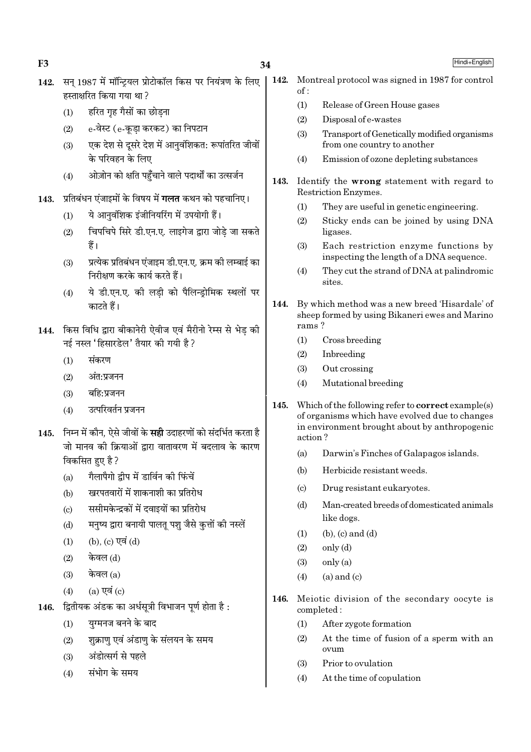34

- सन 1987 में मॉन्टियल प्रोटोकॉल किस पर नियंत्रण के लिए  $142.$ हस्ताक्षरित किया गया था?
	- हरित गृह गैसों का छोड़ना  $(1)$

 $F<sub>3</sub>$ 

- e-वेस्ट (e-कडा करकट) का निपटान  $(2)$
- एक देश से दुसरे देश में आनवंशिकत: रूपांतरित जीवों  $(3)$ के परिवहन के लिए
- ओज़ोन को क्षति पहुँचाने वाले पदार्थों का उत्सर्जन  $(4)$
- प्रतिबंधन एंजाइमों के विषय में **गलत** कथन को पहचानिए। 143.
	- ये आनवंशिक इंजीनियरिंग में उपयोगी हैं।  $(1)$
	- चिपचिपे सिरे डी.एन.ए. लाइगेज द्वारा जोडे जा सकते  $(2)$ हैं।
	- प्रत्येक प्रतिबंधन एंजाइम डी.एन.ए. क्रम की लम्बाई का  $(3)$ निरीक्षण करके कार्य करते हैं।
	- ये डी.एन.ए. की लडी को पैलिन्डोमिक स्थलों पर  $(4)$ काटते हैं।
- 144. किस विधि द्वारा बीकानेरी ऐवीज एवं मैरीनो रेम्स से भेड़ की नई नस्ल 'हिसारडेल' तैयार की गयी है ?
	- संकरण  $(1)$
	- अंत:प्रजनन  $(2)$
	- बहि:प्रजनन  $(3)$
	- उत्परिवर्तन प्रजनन  $(4)$
- 145. निम्न में कौन. ऐसे जीवों के सही उदाहरणों को संदर्भित करता है जो मानव की क्रियाओं द्वारा वातावरण में बदलाव के कारण विकसित हुए है ?
	- गैलापैगो द्वीप में डार्विन की फिंचें  $(a)$
	- खरपतवारों में शाकनाशी का प्रतिरोध  $(b)$
	- ससीमकेन्द्रकों में दवाइयों का प्रतिरोध  $(c)$
	- मनृष्य द्वारा बनायी पालत पशु जैसे कृत्तों की नस्लें  $(d)$
	- (b), (c) एवं (d)  $(1)$
	- केवल (d)  $(2)$
	- केवल (a)  $(3)$
	- $(a)$  एवं  $(c)$  $(4)$
- द्वितीयक अंडक का अर्धसूत्री विभाजन पूर्ण होता है : 146.
	- यग्मनज बनने के बाद  $(1)$
	- शुक्राण एवं अंडाण के संलयन के समय  $(2)$
	- अंडोत्सर्ग से पहले  $(3)$
	- संभोग के समय  $(4)$
- Montreal protocol was signed in 1987 for control 142.  $of:$ 
	- $(1)$ Release of Green House gases
	- $(2)$ Disposal of e-wastes
	- $(3)$ Transport of Genetically modified organisms from one country to another
	- Emission of ozone depleting substances  $(4)$
- $143.$ Identify the wrong statement with regard to Restriction Enzymes.
	- They are useful in genetic engineering.  $(1)$
	- Sticky ends can be joined by using DNA  $(2)$ ligases.
	- Each restriction enzyme functions by  $(3)$ inspecting the length of a DNA sequence.
	- They cut the strand of DNA at palindromic  $(4)$ antia
- 144. By which method was a new breed 'Hisardale' of sheep formed by using Bikaneri ewes and Marino rams?
	- $(1)$ Cross breeding
	- $(2)$ Inbreeding
	- $(3)$ Out crossing
	- Mutational breeding  $(4)$
- 145. Which of the following refer to **correct** example(s) of organisms which have evolved due to changes in environment brought about by anthropogenic action?
	- $(a)$ Darwin's Finches of Galapagos islands.
	- $(b)$ Herbicide resistant weeds.
	- Drug resistant eukaryotes.  $\left( \mathrm{c}\right)$
	- Man-created breeds of domesticated animals  $(d)$ like dogs.
	- $(b)$ ,  $(c)$  and  $(d)$  $(1)$
	- $only (d)$  $(2)$
	- $\text{only}(\text{a})$  $(3)$
	- $(a)$  and  $(c)$  $(4)$
- 146. Meiotic division of the secondary oocyte is completed:
	- After zvgote formation  $(1)$
	- At the time of fusion of a sperm with an  $(2)$ ovum
	- Prior to ovulation  $(3)$
	- $(4)$ At the time of copulation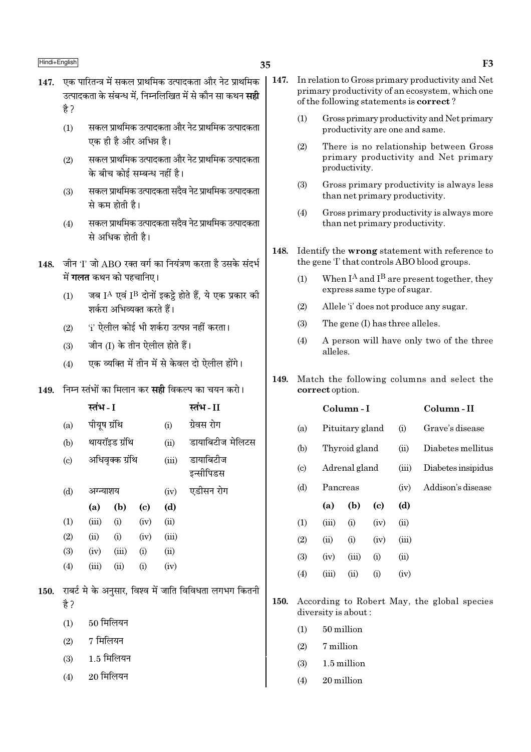150.

 $(3)$ 

 $(4)$ 

- 147. एक पारितन्त्र में सकल प्राथमिक उत्पादकता और नेट प्राथमिक उत्पादकता के संबन्ध में. निम्नलिखित में से कौन सा कथन **सद्दी** है ?
	- सकल प्राथमिक उत्पादकता और नेट प्राथमिक उत्पादकता  $(1)$ एक ही है और अभिन्न है।
	- सकल प्राथमिक उत्पादकता और नेट प्राथमिक उत्पादकता  $(2)$ के बीच कोई सम्बन्ध नहीं है।
	- सकल प्राथमिक उत्पादकता सदैव नेट प्राथमिक उत्पादकता  $(3)$ से कम होती है।
	- सकल प्राथमिक उत्पादकता सदैव नेट प्राथमिक उत्पादकता  $(4)$ से अधिक होती है।
- 148. जीन 'l' जो ABO रक्त वर्ग का नियंत्रण करता है उसके संदर्भ में **गलत** कथन को पहचानिए।
	- जब IA एवं IB दोनों इकट्ठे होते हैं, ये एक प्रकार की  $(1)$ शर्करा अभिव्यक्त करते हैं।
	- 'i' ऐलील कोई भी शर्करा उत्पन्न नहीं करता।  $(2)$
	- जीन (I) के तीन ऐलील होते हैं।  $(3)$
	- एक व्यक्ति में तीन में से केवल दो ऐलील होंगे।  $(4)$

# $149$  ਜਿਸ स्तंभों का मिलान कर सद्दी विकल्प का चयन करो।

|                            | स्तंभ - I    |                 |                            |       | स्तंभ - II                                             |
|----------------------------|--------------|-----------------|----------------------------|-------|--------------------------------------------------------|
| (a)                        | पीयूष ग्रंथि |                 |                            | (i)   | ग्रेवस रोग                                             |
| (b)                        |              | थायरॉइड ग्रंथि  |                            | (ii)  | डायाबिटीज मेलिटस                                       |
| $\left( \mathrm{c}\right)$ |              | अधिवृक्क ग्रंथि |                            | (iii) | डायाबिटीज<br>इन्सीपिडस                                 |
| (d)                        | अग्न्याशय    |                 |                            | (iv)  | एडीसन रोग                                              |
|                            | (a)          | (b)             | $\left( \mathrm{c}\right)$ | (d)   |                                                        |
| (1)                        | (iii)        | (i)             | (iv)                       | (ii)  |                                                        |
| (2)                        | (ii)         | (i)             | (iv)                       | (iii) |                                                        |
| (3)                        | (iv)         | (iii)           | (i)                        | (ii)  |                                                        |
| (4)                        | (iii)        | (ii)            | (i)                        | (iv)  |                                                        |
| है ?                       |              |                 |                            |       | राबर्ट मे के अनुसार, विश्व में जाति विविधता लगभग कितनी |
| (1)                        | 50 मिलियन    |                 |                            |       |                                                        |
| (2)                        | 7 मिलियन     |                 |                            |       |                                                        |

 $1.5$  मिलियन

 $20$  मिलियन

- $\vert$  147. In relation to Gross primary productivity and Net primary productivity of an ecosystem, which one of the following statements is **correct**?
	- Gross primary productivity and Net primary  $(1)$ productivity are one and same.
	- $(2)$ There is no relationship between Gross primary productivity and Net primary productivity.
	- $(3)$ Gross primary productivity is always less than net primary productivity.
	- Gross primary productivity is always more  $(4)$ than net primary productivity.
	- 148. Identify the wrong statement with reference to the gene T that controls ABO blood groups.
		- When  $I^A$  and  $I^B$  are present together, they  $(1)$ express same type of sugar.
		- Allele 'i' does not produce any sugar.  $(2)$
		- The gene (I) has three alleles.  $(3)$
		- A person will have only two of the three  $(4)$ alleles.
	- 149. Match the following columns and select the correct option.

|                             |          | Column - I      |                             |       | Column-II          |
|-----------------------------|----------|-----------------|-----------------------------|-------|--------------------|
| (a)                         |          | Pituitary gland |                             | (i)   | Grave's disease    |
| (b)                         |          | Thyroid gland   |                             | (ii)  | Diabetes mellitus  |
| $\left( \mathrm{c} \right)$ |          | Adrenal gland   |                             | (iii) | Diabetes insipidus |
| (d)                         | Pancreas |                 |                             | (iv)  | Addison's disease  |
|                             | (a)      | (b)             | $\left( \mathrm{c} \right)$ | (d)   |                    |
| (1)                         | (iii)    | (i)             | (iv)                        | (ii)  |                    |
| (2)                         | (ii)     | (i)             | (iv)                        | (iii) |                    |
| (3)                         | (iv)     | (iii)           | (i)                         | (ii)  |                    |
| (4)                         | (iii)    | $\sin$          | (i)                         | (iv)  |                    |
|                             |          |                 |                             |       |                    |

- According to Robert May, the global species 150. diversity is about:
	- $(1)$ 50 million
	- $(2)$ 7 million
	- $(3)$ 1.5 million
	- 20 million  $(4)$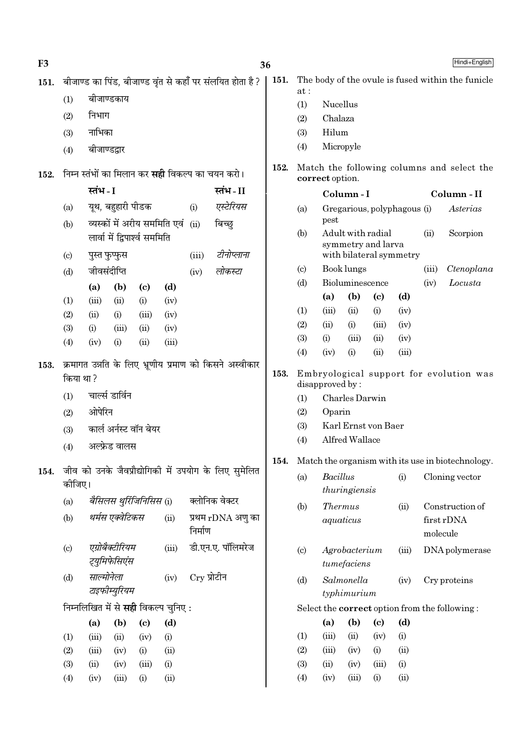| F <sub>3</sub> |                                                       |                               |                             |                            |                                     |               |                                                           | 36                                             |                                    |                        |                 |                                    |                         |                                         | Hindi+English                                     |
|----------------|-------------------------------------------------------|-------------------------------|-----------------------------|----------------------------|-------------------------------------|---------------|-----------------------------------------------------------|------------------------------------------------|------------------------------------|------------------------|-----------------|------------------------------------|-------------------------|-----------------------------------------|---------------------------------------------------|
| 151.           |                                                       |                               |                             |                            |                                     |               | बीजाण्ड का पिंड, बीजाण्ड वृंत से कहाँ पर संलयित होता है ? | 151.                                           |                                    |                        |                 |                                    |                         |                                         | The body of the ovule is fused within the funicle |
|                | (1)                                                   |                               | बीजाण्डकाय                  |                            |                                     |               |                                                           |                                                | at:                                |                        |                 |                                    |                         |                                         |                                                   |
|                | (2)                                                   | निभाग                         |                             |                            |                                     |               |                                                           |                                                | (1)<br>(2)                         | Nucellus<br>Chalaza    |                 |                                    |                         |                                         |                                                   |
|                | (3)                                                   | नाभिका                        |                             |                            |                                     |               |                                                           |                                                | (3)                                | Hilum                  |                 |                                    |                         |                                         |                                                   |
|                |                                                       |                               | बीजाण्डद्वार                |                            |                                     |               |                                                           |                                                | (4)                                | Micropyle              |                 |                                    |                         |                                         |                                                   |
|                | (4)                                                   |                               |                             |                            |                                     |               |                                                           |                                                |                                    |                        |                 |                                    |                         |                                         |                                                   |
| 152.           |                                                       |                               |                             |                            |                                     |               | निम्न स्तंभों का मिलान कर <b>सही</b> विकल्प का चयन करो।   | 152.                                           |                                    | correct option.        |                 |                                    |                         |                                         | Match the following columns and select the        |
|                |                                                       | स्तंभ - I                     |                             |                            |                                     |               | स्तंभ - II                                                |                                                |                                    |                        | Column-I        |                                    |                         |                                         | Column - II                                       |
|                | (a)                                                   |                               | यूथ, बहुहारी पीडक           |                            |                                     | (i)           | एस्टेरियस                                                 |                                                | Gregarious, polyphagous (i)<br>(a) |                        |                 |                                    |                         |                                         | Asterias                                          |
|                | व्यस्कों में अरीय सममिति एवं<br>(ii)<br>बिच्छ्<br>(b) |                               |                             |                            |                                     |               |                                                           | pest                                           |                                    |                        |                 |                                    |                         |                                         |                                                   |
|                |                                                       | लार्वा में द्विपार्श्व सममिति |                             |                            |                                     |               |                                                           | (b)<br>Adult with radial<br>symmetry and larva |                                    |                        |                 | (ii)                               | Scorpion                |                                         |                                                   |
|                | $\left( \mathrm{c}\right)$                            |                               | पुस्त फुप्फुस               |                            |                                     | (iii)         | टीनोप्लाना                                                |                                                |                                    |                        |                 |                                    | with bilateral symmetry |                                         |                                                   |
|                | (d)                                                   |                               | जीवसंदीप्ति                 |                            |                                     | (iv)          | लोकस्टा                                                   |                                                | $\left( \circ \right)$             |                        | Book lungs      |                                    |                         | (iii)                                   | Ctenoplana                                        |
|                |                                                       | (a)                           | (b)                         | $\left( \mathrm{c}\right)$ | (d)                                 |               |                                                           |                                                | (d)                                |                        | Bioluminescence |                                    |                         | (iv)                                    | Locusta                                           |
|                | (1)                                                   | (iii)                         | (ii)                        | (i)                        | (iv)                                |               |                                                           |                                                | (1)                                | (a)<br>(iii)           | (b)<br>(ii)     | $\left( \mathrm{c}\right)$<br>(i)  | (d)<br>(iv)             |                                         |                                                   |
|                | (2)                                                   | (ii)                          | (i)                         | (iii)                      | (iv)                                |               |                                                           |                                                | (2)                                | (ii)                   | (i)             | (iii)                              | (iv)                    |                                         |                                                   |
|                | (3)                                                   | (i)                           | (iii)                       | (ii)                       | (iv)                                |               |                                                           |                                                | (3)                                | (i)                    | (iii)           | (ii)                               | (iv)                    |                                         |                                                   |
|                | (4)                                                   | (iv)                          | (i)                         | (ii)                       | (iii)                               |               |                                                           |                                                | (4)                                | (iv)                   | (i)             | (ii)                               | (iii)                   |                                         |                                                   |
| 153.           |                                                       |                               |                             |                            |                                     |               | क्रमागत उन्नति के लिए भ्रूणीय प्रमाण को किसने अस्वीकार    |                                                |                                    |                        |                 |                                    |                         |                                         |                                                   |
|                | किया था ?                                             |                               |                             |                            |                                     |               | 153.                                                      |                                                | disapproved by:                    |                        |                 |                                    |                         | Embryological support for evolution was |                                                   |
|                | (1)                                                   |                               | चार्ल्स डार्विन             |                            |                                     |               |                                                           |                                                | (1)                                |                        | Charles Darwin  |                                    |                         |                                         |                                                   |
|                | (2)                                                   | ओपेरिन                        |                             |                            |                                     |               |                                                           |                                                | (2)                                | Oparin                 |                 |                                    |                         |                                         |                                                   |
|                | (3)                                                   |                               |                             | कार्ल अर्नस्ट वॉन बेयर     |                                     |               |                                                           |                                                | (3)                                |                        |                 | Karl Ernst von Baer                |                         |                                         |                                                   |
|                | (4)                                                   |                               | अल्फ्रेड वालस               |                            |                                     |               |                                                           |                                                | (4)                                |                        | Alfred Wallace  |                                    |                         |                                         |                                                   |
|                |                                                       |                               |                             |                            |                                     |               |                                                           | 154.                                           |                                    |                        |                 |                                    |                         |                                         | Match the organism with its use in biotechnology. |
| 154.           |                                                       |                               |                             |                            |                                     |               | जीव को उनके जैवप्रौद्योगिकी में उपयोग के लिए सुमेलित      |                                                | (a)                                | <b>Bacillus</b><br>(i) |                 |                                    |                         | Cloning vector                          |                                                   |
|                | कीजिए।                                                |                               |                             |                            |                                     |               |                                                           |                                                |                                    |                        | thuringiensis   |                                    |                         |                                         |                                                   |
|                | (a)                                                   |                               |                             | बैसिलस थुर्रिजिनिसिस (i)   |                                     |               | क्लोनिक वेक्टर                                            |                                                | (b)                                |                        | <b>Thermus</b>  |                                    | (ii)                    |                                         | Construction of                                   |
|                | (b)                                                   |                               | थर्मस एक्वेटिकस             |                            | (ii)                                |               | प्रथम rDNA अणु का                                         |                                                |                                    |                        | aquaticus       |                                    |                         |                                         | first rDNA                                        |
|                |                                                       |                               |                             |                            |                                     | निर्माण       |                                                           |                                                |                                    |                        |                 |                                    |                         | molecule                                |                                                   |
|                | (c)                                                   |                               | एग्रोबैक्टीरियम             |                            | (iii)                               |               | डी.एन.ए. पॉलिमरेज                                         |                                                | (c)                                |                        | Agrobacterium   |                                    | (iii)                   |                                         | DNA polymerase                                    |
|                |                                                       |                               | ट्युमिफेसिएंस               |                            |                                     |               |                                                           |                                                |                                    |                        | tumefaciens     |                                    |                         |                                         |                                                   |
|                | (d)                                                   |                               | साल्मोनेला<br>टाइफीम्युरियम |                            | (iv)                                | $Cry$ प्रोटीन |                                                           |                                                | (d)                                |                        | Salmonella      |                                    | (iv)                    |                                         | Cry proteins                                      |
|                |                                                       |                               |                             |                            | निम्नलिखित में से सही विकल्प चुनिए: |               |                                                           |                                                |                                    |                        | typhimurium     |                                    |                         |                                         |                                                   |
|                |                                                       |                               |                             |                            |                                     |               |                                                           |                                                |                                    |                        | (b)             |                                    | (d)                     |                                         | Select the correct option from the following:     |
|                |                                                       | (a)                           | (b)                         | $\left( \mathrm{c}\right)$ | (d)                                 |               |                                                           |                                                | (1)                                | (a)<br>(iii)           | (ii)            | $\left( \mathrm{c}\right)$<br>(iv) | (i)                     |                                         |                                                   |
|                | (1)                                                   | (iii)                         | (ii)                        | (iv)<br>(i)                | (i)<br>(ii)                         |               |                                                           |                                                | (2)                                | (iii)                  | (iv)            | (i)                                | (ii)                    |                                         |                                                   |
|                | (2)<br>(3)                                            | (iii)<br>(ii)                 | (iv)<br>(iv)                | (iii)                      | (i)                                 |               |                                                           |                                                | (3)                                | (ii)                   | (iv)            | (iii)                              | (i)                     |                                         |                                                   |
|                |                                                       | (iv)                          | (iii)                       | (i)                        | (ii)                                |               |                                                           |                                                | (4)                                | (iv)                   | (iii)           | (i)                                | (ii)                    |                                         |                                                   |
|                | (4)                                                   |                               |                             |                            |                                     |               |                                                           |                                                |                                    |                        |                 |                                    |                         |                                         |                                                   |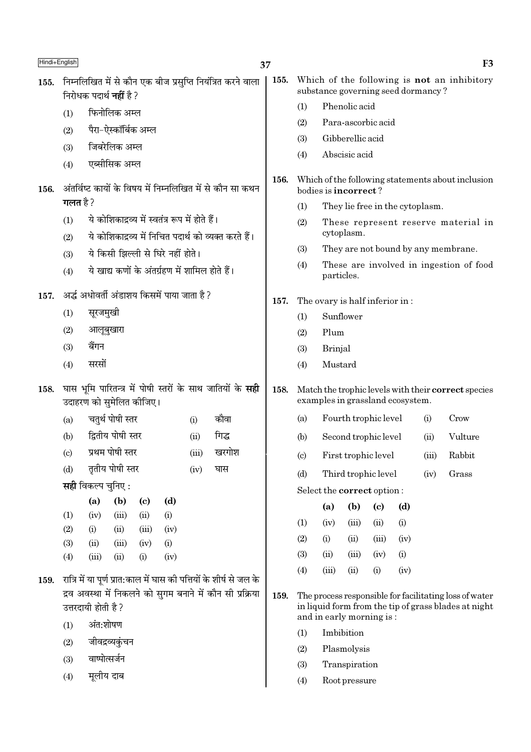| Hindi+English |                                                           |                                |                      |                             |                                                 |       |                                                                           | 37                                     |                                                                                         |                                                    |               |                                    |      |       | F <sub>3</sub>                                                                                                 |
|---------------|-----------------------------------------------------------|--------------------------------|----------------------|-----------------------------|-------------------------------------------------|-------|---------------------------------------------------------------------------|----------------------------------------|-----------------------------------------------------------------------------------------|----------------------------------------------------|---------------|------------------------------------|------|-------|----------------------------------------------------------------------------------------------------------------|
| 155.          |                                                           | निरोधक पदार्थ <b>नहीं</b> है ? |                      |                             |                                                 |       | निम्नलिखित में से कौन एक बीज प्रसुप्ति नियंत्रित करने वाला                | 155.                                   |                                                                                         |                                                    |               | substance governing seed dormancy? |      |       | Which of the following is not an inhibitory                                                                    |
|               | (1)                                                       |                                | फिनोलिक अम्ल         |                             |                                                 |       |                                                                           |                                        | (1)                                                                                     |                                                    | Phenolic acid |                                    |      |       |                                                                                                                |
|               | (2)                                                       |                                | पैरा–ऐस्कॉर्बिक अम्ल |                             |                                                 |       |                                                                           |                                        | (2)                                                                                     |                                                    |               | Para-ascorbic acid                 |      |       |                                                                                                                |
|               | (3)                                                       |                                | जिबरेलिक अम्ल        |                             |                                                 |       |                                                                           |                                        | (3)                                                                                     | Gibberellic acid                                   |               |                                    |      |       |                                                                                                                |
|               |                                                           |                                |                      |                             |                                                 |       |                                                                           |                                        | Abscisic acid<br>(4)                                                                    |                                                    |               |                                    |      |       |                                                                                                                |
|               | (4)                                                       | एब्सीसिक अम्ल                  |                      |                             |                                                 |       |                                                                           |                                        |                                                                                         |                                                    |               |                                    |      |       |                                                                                                                |
| 156.          | अंतर्विष्ट कायों के विषय में निम्नलिखित में से कौन सा कथन |                                |                      |                             |                                                 | 156.  | Which of the following statements about inclusion<br>bodies is incorrect? |                                        |                                                                                         |                                                    |               |                                    |      |       |                                                                                                                |
|               | गलत है ?                                                  |                                |                      |                             |                                                 |       |                                                                           | (1)<br>They lie free in the cytoplasm. |                                                                                         |                                                    |               |                                    |      |       |                                                                                                                |
|               | (1)                                                       |                                |                      |                             | ये कोशिकाद्रव्य में स्वतंत्र रूप में होते हैं।  |       |                                                                           |                                        | (2)                                                                                     |                                                    |               |                                    |      |       | These represent reserve material in                                                                            |
|               | (2)                                                       |                                |                      |                             |                                                 |       | ये कोशिकाद्रव्य में निचित पदार्थ को व्यक्त करते हैं।                      |                                        |                                                                                         |                                                    | cytoplasm.    |                                    |      |       |                                                                                                                |
|               | (3)                                                       |                                |                      |                             | ये किसी झिल्ली से घिरे नहीं होते।               |       |                                                                           |                                        | (3)                                                                                     |                                                    |               |                                    |      |       | They are not bound by any membrane.                                                                            |
|               | (4)                                                       |                                |                      |                             | ये खाद्य कणों के अंतर्ग्रहण में शामिल होते हैं। |       |                                                                           |                                        | (4)                                                                                     | particles.                                         |               |                                    |      |       | These are involved in ingestion of food                                                                        |
| 157.          | अर्द्ध अधोवर्ती अंडाशय किसमें पाया जाता है ?              |                                |                      |                             |                                                 |       | 157.                                                                      | The ovary is half inferior in:         |                                                                                         |                                                    |               |                                    |      |       |                                                                                                                |
|               | (1)                                                       | सूरजमुखी                       |                      |                             |                                                 |       |                                                                           |                                        | (1)                                                                                     |                                                    | Sunflower     |                                    |      |       |                                                                                                                |
|               | (2)                                                       | आलूबुखारा                      |                      |                             |                                                 |       |                                                                           |                                        | (2)                                                                                     | Plum                                               |               |                                    |      |       |                                                                                                                |
|               | (3)                                                       | बैंगन                          |                      |                             |                                                 |       |                                                                           |                                        | (3)                                                                                     | <b>Brinjal</b>                                     |               |                                    |      |       |                                                                                                                |
|               | (4)                                                       | सरसों                          |                      |                             |                                                 |       |                                                                           |                                        | (4)                                                                                     | Mustard                                            |               |                                    |      |       |                                                                                                                |
| 158.          |                                                           | उदाहरण को सुमेलित कीजिए।       |                      |                             |                                                 |       | घास भूमि पारितन्त्र में पोषी स्तरों के साथ जातियों के सही                 | 158.                                   | Match the trophic levels with their correct species<br>examples in grassland ecosystem. |                                                    |               |                                    |      |       |                                                                                                                |
|               | (a)                                                       |                                | चतुर्थ पोषी स्तर     |                             |                                                 | (i)   | कौवा                                                                      |                                        | (a)                                                                                     | Fourth trophic level<br>Crow<br>(i)                |               |                                    |      |       |                                                                                                                |
|               | (b)                                                       |                                | द्वितीय पोषी स्तर    |                             |                                                 | (ii)  | गिद्ध                                                                     |                                        | (b)                                                                                     |                                                    |               | Second trophic level               |      | (ii)  | Vulture                                                                                                        |
|               | $\left( \mathrm{c}\right)$                                |                                | प्रथम पोषी स्तर      |                             |                                                 | (iii) | खरगोश                                                                     |                                        | (c)                                                                                     |                                                    |               |                                    |      | (iii) | Rabbit                                                                                                         |
|               | (d)                                                       |                                | तृतीय पोषी स्तर      |                             |                                                 | (iv)  | घास                                                                       |                                        | (d)                                                                                     | First trophic level<br>Third trophic level<br>(iv) |               |                                    |      |       | Grass                                                                                                          |
|               |                                                           | सही विकल्प चुनिए :             |                      |                             |                                                 |       |                                                                           |                                        |                                                                                         |                                                    |               | Select the correct option:         |      |       |                                                                                                                |
|               |                                                           | (a)                            | (b)                  | $\left( \mathbf{c} \right)$ | (d)                                             |       |                                                                           |                                        |                                                                                         | (a)                                                | (b)           | $\left( \mathrm{c}\right)$         | (d)  |       |                                                                                                                |
|               | (1)                                                       | (iv)                           | (iii)                | (ii)                        | (i)                                             |       |                                                                           |                                        | (1)                                                                                     | (iv)                                               | (iii)         | (ii)                               | (i)  |       |                                                                                                                |
|               | (2)<br>(3)                                                | (i)<br>(ii)                    | (ii)                 | (iii)                       | (iv)                                            |       |                                                                           |                                        | (2)                                                                                     | (i)                                                | (ii)          | (iii)                              | (iv) |       |                                                                                                                |
|               | (4)                                                       | (iii)                          | (iii)<br>(ii)        | (iv)<br>(i)                 | (i)<br>(iv)                                     |       |                                                                           |                                        | (3)                                                                                     | (ii)                                               | (iii)         | (iv)                               | (i)  |       |                                                                                                                |
|               |                                                           |                                |                      |                             |                                                 |       |                                                                           |                                        | (4)                                                                                     | (iii)                                              | (ii)          | (i)                                | (iv) |       |                                                                                                                |
| 159.          |                                                           |                                |                      |                             |                                                 |       | रात्रि में या पूर्ण प्रात:काल में घास की पत्तियों के शीर्ष से जल के       |                                        |                                                                                         |                                                    |               |                                    |      |       |                                                                                                                |
|               |                                                           | उत्तरदायी होती है ?            |                      |                             |                                                 |       | द्रव अवस्था में निकलने को सुगम बनाने में कौन सी प्रक्रिया                 | 159.                                   |                                                                                         |                                                    |               |                                    |      |       | The process responsible for facilitating loss of water<br>in liquid form from the tip of grass blades at night |
|               | (1)                                                       | अंत:शोषण                       |                      |                             |                                                 |       |                                                                           |                                        |                                                                                         |                                                    |               | and in early morning is:           |      |       |                                                                                                                |
|               | (2)                                                       |                                | जीवद्रव्यकुंचन       |                             |                                                 |       |                                                                           |                                        | Imbibition<br>(1)<br>Plasmolysis                                                        |                                                    |               |                                    |      |       |                                                                                                                |
|               |                                                           |                                |                      |                             |                                                 |       |                                                                           |                                        | (2)                                                                                     |                                                    |               |                                    |      |       |                                                                                                                |

Transpiration

Root pressure

 $(3)$ 

 $(4)$ 

- $(3)$ वाष्पोत्सर्जन
- मूलीय दाब  $(4)$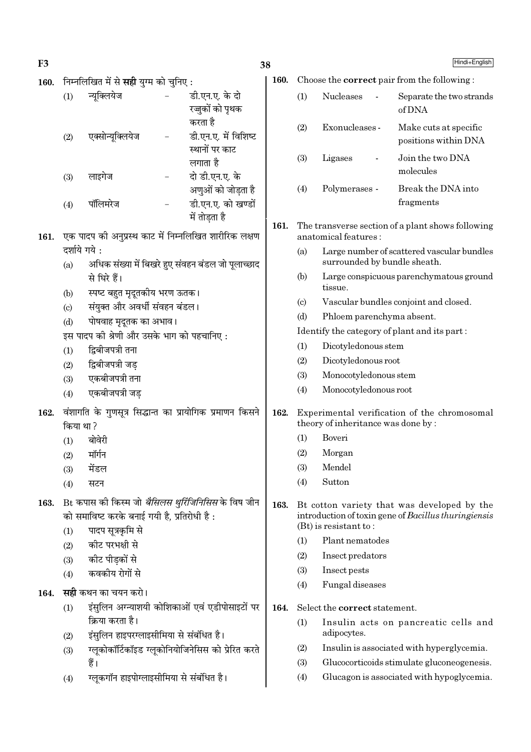$\frac{1}{2}$ 

| F <sub>3</sub> |              |                                                            |                                                                        | 38   |                           |                                         | Hindi+English                                                                                       |
|----------------|--------------|------------------------------------------------------------|------------------------------------------------------------------------|------|---------------------------|-----------------------------------------|-----------------------------------------------------------------------------------------------------|
| 160.           |              | निम्नलिखित में से <b>सही</b> युग्म को चुनिए :              |                                                                        | 160. |                           |                                         | Choose the <b>correct</b> pair from the following:                                                  |
|                | (1)          | न्यूक्लियेज                                                | डी.एन.ए. के दो<br>रज्जुकों को पृथक                                     |      | (1)                       | Nucleases                               | Separate the two strands<br>of DNA                                                                  |
|                | (2)          | एक्सोन्यूक्लियेज                                           | करता है<br>डी.एन.ए. में विशिष्ट<br>स्थानों पर काट                      |      | (2)                       | Exonucleases -                          | Make cuts at specific<br>positions within DNA                                                       |
|                | (3)          | लाइगेज                                                     | लगाता है<br>दो डी.एन.ए. के                                             |      | (3)                       | Ligases<br>$\qquad \qquad \blacksquare$ | Join the two DNA<br>molecules                                                                       |
|                | (4)          | पॉलिमरेज                                                   | अणुओं को जोड़ता है<br>डी.एन.ए. को खण्डों                               |      | (4)                       | Polymerases -                           | Break the DNA into<br>fragments                                                                     |
| 161.           |              |                                                            | में तोड़ता है<br>एक पादप को अनुप्रस्थ काट में निम्नलिखित शारीरिक लक्षण | 161. |                           | anatomical features:                    | The transverse section of a plant shows following                                                   |
|                | दर्शाये गये: |                                                            |                                                                        |      |                           |                                         |                                                                                                     |
|                | (a)          |                                                            | अधिक संख्या में बिखरे हुए संवहन बंडल जो पूलाच्छाद                      |      | (a)                       | surrounded by bundle sheath.            | Large number of scattered vascular bundles                                                          |
|                | (b)          | से घिरे हैं।<br>स्पष्ट बहुत मृदूतकीय भरण ऊतक।              |                                                                        |      | (b)                       | tissue.                                 | Large conspicuous parenchymatous ground                                                             |
|                | (c)          | संयुक्त और अवर्धी संवहन बंडल।                              |                                                                        |      | $\left( \text{c} \right)$ |                                         | Vascular bundles conjoint and closed.                                                               |
|                | (d)          | पोषवाह मृदूतक का अभाव।                                     |                                                                        |      | (d)                       | Phloem parenchyma absent.               |                                                                                                     |
|                |              | इस पादप की श्रेणी और उसके भाग को पहचानिए:                  |                                                                        |      |                           |                                         | Identify the category of plant and its part:                                                        |
|                | (1)          | द्विबीजपत्री तना                                           |                                                                        |      | (1)                       | Dicotyledonous stem                     |                                                                                                     |
|                | (2)          | द्विबीजपत्री जड़                                           |                                                                        |      | (2)                       | Dicotyledonous root                     |                                                                                                     |
|                | (3)          | एकबीजपत्री तना                                             |                                                                        |      | (3)                       | Monocotyledonous stem                   |                                                                                                     |
|                | (4)          | एकबीजपत्री जड                                              |                                                                        |      | (4)                       | Monocotyledonous root                   |                                                                                                     |
| 162.           | किया था?     |                                                            | वंशागति के गुणसूत्र सिद्धान्त का प्रायोगिक प्रमाणन किसने               | 162. |                           | theory of inheritance was done by:      | Experimental verification of the chromosomal                                                        |
|                | (1)          | बोवेरी                                                     |                                                                        |      | (1)                       | Boveri                                  |                                                                                                     |
|                | (2)          | मॉर्गन                                                     |                                                                        |      | (2)                       | Morgan                                  |                                                                                                     |
|                | (3)          | मेंडल                                                      |                                                                        |      | (3)                       | Mendel                                  |                                                                                                     |
|                | (4)          | सटन                                                        |                                                                        |      | (4)                       | Sutton                                  |                                                                                                     |
| 163.           |              | को समाविष्ट करके बनाई गयी है, प्रतिरोधी है:                | Bt कपास की किस्म जो <i>बैसिलस थुर्रिजिनिसिस</i> के विष जीन             | 163. |                           | $(Bt)$ is resistant to:                 | Bt cotton variety that was developed by the<br>introduction of toxin gene of Bacillus thuringiensis |
|                | (1)          | पादप सूत्रकृमि से                                          |                                                                        |      | (1)                       | Plant nematodes                         |                                                                                                     |
|                | (2)          | कीट परभक्षी से                                             |                                                                        |      | (2)                       | Insect predators                        |                                                                                                     |
|                | (3)          | कीट पीड़कों से<br>कवकीय रोगों से                           |                                                                        |      | (3)                       | Insect pests                            |                                                                                                     |
|                | (4)          |                                                            |                                                                        |      | (4)                       | Fungal diseases                         |                                                                                                     |
| 164.           |              | <b>सही</b> कथन का चयन करो।                                 |                                                                        |      |                           |                                         |                                                                                                     |
|                | (1)          |                                                            | इंसुलिन अग्न्याशयी कोशिकाओं एवं एडीपोसाइटों पर                         | 164. |                           | Select the correct statement.           |                                                                                                     |
|                | (2)          | क्रिया करता है।<br>इंसुलिन हाइपरग्लाइसीमिया से संबंधित है। |                                                                        |      | (1)                       | adipocytes.                             | Insulin acts on pancreatic cells and                                                                |
|                | (3)          |                                                            | ग्लूकोकॉर्टिकॉइड ग्लूकोनियोजिनेसिस को प्रेरित करते                     |      | (2)                       |                                         | Insulin is associated with hyperglycemia.                                                           |
|                |              | हैं।                                                       |                                                                        |      | (3)                       |                                         | Glucocorticoids stimulate gluconeogenesis.                                                          |
|                | (4)          | ग्लूकगॉन हाइपोग्लाइसीमिया से संबंधित है।                   |                                                                        |      | (4)                       |                                         | Glucagon is associated with hypoglycemia.                                                           |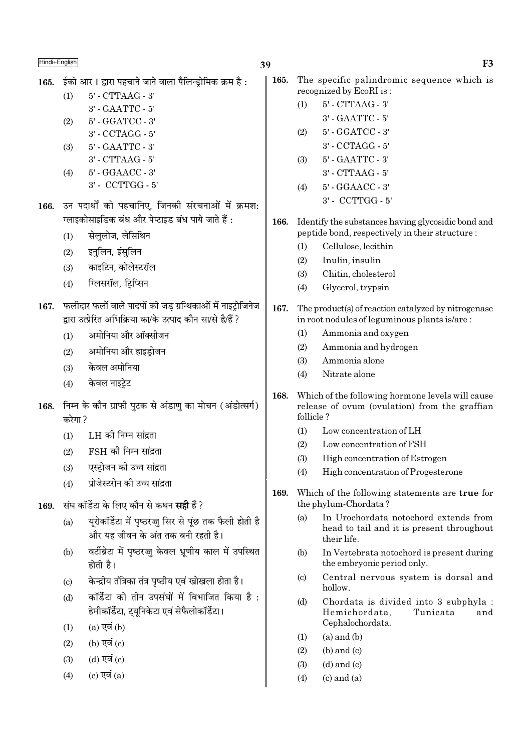165. ईको आर I द्वारा पहचाने जाने वाला पैलिन्डोमिक क्रम है:

5' - CTTAAG - 3'  $(1)$ 3' - GAATTC - 5'  $(2)$ 5' - GGATCC - 3'

- 3' CCTAGG 5'
- 5' GAATTC 3'  $(3)$
- $3'$  CTTAAG  $5'$
- 5' GGAACC 3'  $(4)$ 3' - CCTTGG - 5'
- 166. उन पदार्थों को पहचानिए, जिनकी संरचनाओं में क्रमश: ग्लाइकोसाइडिक बंध और पेप्टाइड बंध पाये जाते हैं :
	- सेललोज. लेसिथिन  $(1)$
	- इनलिन, इंसुलिन  $(2)$
	- काइटिन, कोलेस्टरॉल  $(3)$
	- ग्लिसरॉल, ट्रिप्सिन  $(4)$
- 167. फलीदार फलों वाले पादपों की जड ग्रन्थिकाओं में नाइट्रोजिनेज द्वारा उत्प्रेरित अभिक्रिया का/के उत्पाद कौन सा/से है/हैं ?
	- अमोनिया और ऑक्सीजन  $(1)$
	- अमोनिया और हाइडोजन  $(2)$
	- केवल अमोनिया  $(3)$
	- केवल नाइटेट  $(4)$
- 168. निम्न के कौन ग्राफी पटक से अंडाण का मोचन (अंडोत्सर्ग) करेगा ?
	- LH की निम्न सांद्रता  $(1)$
	- FSH की निम्न सांद्रता  $(2)$
	- एस्टोजन की उच्च सांद्रता  $(3)$
	- प्रोजेस्टरोन की उच्च सांद्रता  $(4)$
- संघ कॉर्डेटा के लिए कौन से कथन **सद्दी** हैं ? 169.
	- यूरोकॉर्डेटा में पृष्ठरज्जु सिर से पूंछ तक फैली होती है  $(a)$ और यह जीवन के अंत तक बनी रहती है।
	- वर्टीब्रेटा में पृष्ठरज्जु केवल भ्रूणीय काल में उपस्थित  $(b)$ होती है।
	- केन्द्रीय तंत्रिका तंत्र पृष्ठीय एवं खोखला होता है।  $\left( \text{c} \right)$
	- कॉर्डेटा को तीन उपसंघों में विभाजित किया है:  $(d)$ हेमीकॉर्डेटा, ट्युनिकेटा एवं सेफैलोकॉर्डेटा।
	- $(a)$  एवं  $(b)$  $(1)$
	- (b) एवं (c)  $(2)$
	- $(d)$  एवं  $(c)$  $(3)$
	- (c) एवं  $(a)$  $(4)$
- 165. The specific palindromic sequence which is recognized by EcoRI is:
	- 5' CTTAAG 3'  $(1)$ 3' - GAATTC - 5'
	- 5' GGATCC 3'  $(2)$ 
		- $3'$  CCTAGG  $5'$
	- 5' GAATTC 3'  $(3)$ 
		- 3' CTTAAG 5'
	- 5' GGAACC 3'  $(4)$  $3'$  - CCTTGG -  $5'$
- 166. Identify the substances having glycosidic bond and peptide bond, respectively in their structure:
	- Cellulose, lecithin  $(1)$
	- $(2)$ Inulin, insulin
	- $(3)$ Chitin, cholesterol
	- $(4)$ Glycerol, trypsin
- 167. The product(s) of reaction catalyzed by nitrogenase in root nodules of leguminous plants is/are:
	- Ammonia and oxygen  $(1)$
	- $(2)$ Ammonia and hydrogen
	- $(3)$ Ammonia alone
	- $(4)$ Nitrate alone
- 168. Which of the following hormone levels will cause release of ovum (ovulation) from the graffian follicle?
	- $(1)$ Low concentration of LH
	- Low concentration of FSH  $(2)$
	- $(3)$ High concentration of Estrogen
	- $(4)$ High concentration of Progesterone
- 169. Which of the following statements are true for the phylum-Chordata?
	- In Urochordata notochord extends from  $(a)$ head to tail and it is present throughout their life.
	- $(b)$ In Vertebrata notochord is present during the embryonic period only.
	- Central nervous system is dorsal and  $(c)$ hollow.
	- $(d)$ Chordata is divided into 3 subphyla : Hemichordata. Tunicata and Cephalochordata.
	- $(a)$  and  $(b)$  $(1)$
	- $(2)$  $(b)$  and  $(c)$
	- $(d)$  and  $(c)$  $(3)$
	- $(4)$  $(c)$  and  $(a)$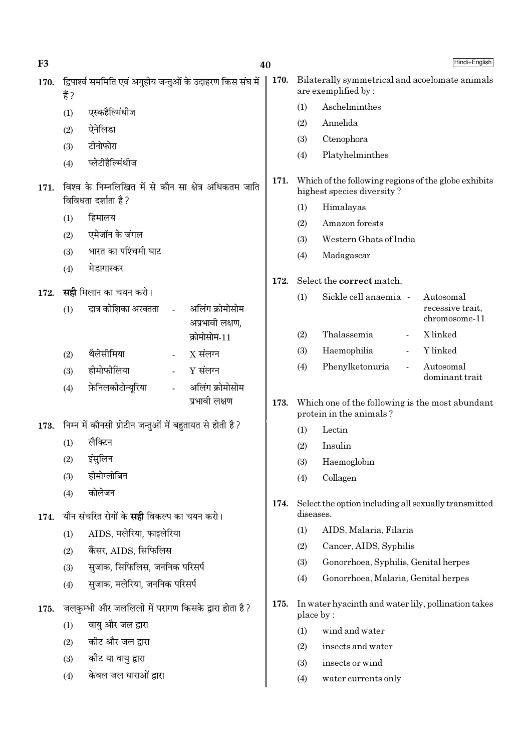| F <sub>3</sub> |                                                                               | 40                                                 |      |                                                                                    |                                                                            | Hindi+English                                  |  |  |  |  |
|----------------|-------------------------------------------------------------------------------|----------------------------------------------------|------|------------------------------------------------------------------------------------|----------------------------------------------------------------------------|------------------------------------------------|--|--|--|--|
| 170.           | द्विपार्श्व सममिति एवं अगुहीय जन्तुओं के उदाहरण किस संघ में<br>हैं ?          |                                                    | 170. |                                                                                    | Bilaterally symmetrical and acoelomate animals<br>are exemplified by:      |                                                |  |  |  |  |
|                | एस्कहैल्मिंथीज<br>(1)                                                         |                                                    |      | (1)                                                                                | Aschelminthes                                                              |                                                |  |  |  |  |
|                | ऐनेलिडा<br>(2)                                                                |                                                    |      | (2)                                                                                | Annelida                                                                   |                                                |  |  |  |  |
|                | टीनोफोरा<br>(3)                                                               |                                                    |      | (3)                                                                                | Ctenophora                                                                 |                                                |  |  |  |  |
|                | प्लेटीहैल्मिंथीज<br>(4)                                                       |                                                    |      | (4)                                                                                | Platyhelminthes                                                            |                                                |  |  |  |  |
| 171.           | विश्व के निम्नलिखित में से कौन सा क्षेत्र अधिकतम जाति<br>विविधता दर्शाता है ? |                                                    | 171. | Which of the following regions of the globe exhibits<br>highest species diversity? |                                                                            |                                                |  |  |  |  |
|                | हिमालय                                                                        |                                                    |      | (1)                                                                                | Himalayas                                                                  |                                                |  |  |  |  |
|                | (1)<br>एमेजॉन के जंगल                                                         |                                                    |      | (2)                                                                                | Amazon forests                                                             |                                                |  |  |  |  |
|                | (2)<br>भारत का पश्चिमी घाट                                                    |                                                    |      | (3)                                                                                | Western Ghats of India                                                     |                                                |  |  |  |  |
|                | (3)<br>मेडागास्कर                                                             |                                                    |      | (4)                                                                                | Madagascar                                                                 |                                                |  |  |  |  |
|                | (4)                                                                           |                                                    | 172. |                                                                                    | Select the correct match.                                                  |                                                |  |  |  |  |
| 172.           | <b>सही</b> मिलान का चयन करो।<br>दात्र कोशिका अरक्तता<br>(1)                   | अलिंग क्रोमोसोम<br>$\mathbf{r}$<br>अप्रभावी लक्षण, |      | (1)                                                                                | Sickle cell anaemia -                                                      | Autosomal<br>recessive trait,<br>chromosome-11 |  |  |  |  |
|                |                                                                               | क्रोमोसोम-11                                       |      | (2)                                                                                | Thalassemia                                                                | X linked                                       |  |  |  |  |
|                | थैलेसीमिया<br>(2)                                                             | $X$ संलग्न                                         |      | (3)                                                                                | Haemophilia                                                                | Y linked                                       |  |  |  |  |
|                | हीमोफीलिया<br>(3)                                                             | $Y$ संलग्न                                         |      | (4)                                                                                | Phenylketonuria                                                            | Autosomal                                      |  |  |  |  |
|                | फ़ेनिलकीटोन्यूरिया<br>(4)                                                     | अलिंग क्रोमोसोम                                    |      |                                                                                    |                                                                            | dominant trait                                 |  |  |  |  |
|                |                                                                               | प्रभावी लक्षण                                      | 173. |                                                                                    | Which one of the following is the most abundant<br>protein in the animals? |                                                |  |  |  |  |
| 173.           | निम्न में कौनसी प्रोटीन जन्तुओं में बहुतायत से होती है ?                      |                                                    |      | (1)                                                                                | Lectin                                                                     |                                                |  |  |  |  |
|                | लैक्टिन<br>(1)                                                                |                                                    |      | (2)                                                                                | Insulin                                                                    |                                                |  |  |  |  |
|                | इंसुलिन<br>(2)                                                                |                                                    |      | (3)                                                                                | Haemoglobin                                                                |                                                |  |  |  |  |
|                | हीमोग्लोबिन<br>(3)                                                            |                                                    |      | (4)                                                                                | Collagen                                                                   |                                                |  |  |  |  |
|                | कोलेजन<br>(4)<br>यौन संचरित रोगों के <b>सही</b> विकल्प का चयन करो।            |                                                    | 174. | Select the option including all sexually transmitted<br>diseases.                  |                                                                            |                                                |  |  |  |  |
| 174.           | AIDS, मलेरिया, फाइलेरिया                                                      |                                                    |      | (1)                                                                                | AIDS, Malaria, Filaria                                                     |                                                |  |  |  |  |
|                | (1)<br>कैंसर, AIDS, सिफिलिस                                                   |                                                    |      | (2)                                                                                | Cancer, AIDS, Syphilis                                                     |                                                |  |  |  |  |
|                | (2)<br>सुजाक, सिफिलिस, जननिक परिसर्प                                          |                                                    |      | (3)                                                                                | Gonorrhoea, Syphilis, Genital herpes                                       |                                                |  |  |  |  |
|                | (3)<br>सुजाक, मलेरिया, जननिक परिसर्प                                          |                                                    |      | (4)                                                                                | Gonorrhoea, Malaria, Genital herpes                                        |                                                |  |  |  |  |
|                | (4)                                                                           |                                                    |      |                                                                                    |                                                                            |                                                |  |  |  |  |
| 175.           | जलकुम्भी और जललिली में परागण किसके द्वारा होता है ?                           |                                                    | 175. | place by:                                                                          | In water hyacinth and water lily, pollination takes                        |                                                |  |  |  |  |
|                | वायु और जल द्वारा<br>(1)                                                      |                                                    |      | (1)<br>wind and water                                                              |                                                                            |                                                |  |  |  |  |
|                | कीट और जल द्वारा<br>(2)                                                       |                                                    |      | (2)                                                                                | insects and water                                                          |                                                |  |  |  |  |
|                | कोट या वायु द्वारा<br>(3)                                                     |                                                    |      | (3)                                                                                | insects or wind                                                            |                                                |  |  |  |  |
|                | केवल जल धाराओं द्वारा<br>(4)                                                  |                                                    |      | (4)                                                                                | water currents only                                                        |                                                |  |  |  |  |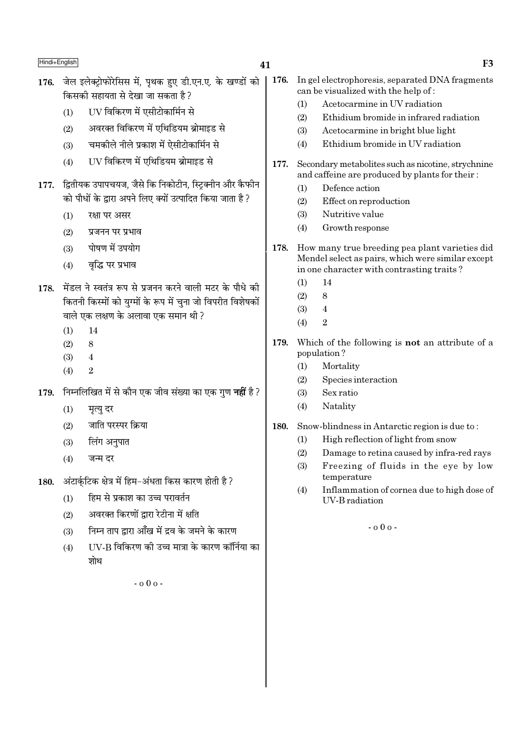- 176. जेल इलेक्टोफोरेसिस में. पथक हुए डी.एन.ए. के खण्डों को किसकी सहायता से देखा जा सकता है ?
	- UV विकिरण में एसीटोकार्मिन से  $(1)$
	- अवरक्त विकिरण में एथिडियम ब्रोमाइड से  $(2)$
	- चमकीले नीले प्रकाश में ऐसीटोकार्मिन से  $(3)$
	- UV विकिरण में एथिडियम ब्रोमाइड से  $(4)$
- 177. द्वितीयक उपापचयज, जैसे कि निकोटीन, स्टिक्नीन और कैफीन को पौधों के द्वारा अपने लिए क्यों उत्पादित किया जाता है ?
	- $(1)$ रक्षा पर असर
	- प्रजनन पर प्रभाव  $(2)$
	- पोषण में उपयोग  $(3)$
	- वृद्धि पर प्रभाव  $(4)$
- 178. मेंडल ने स्वतंत्र रूप से प्रजनन करने वाली मटर के पौधे की कितनी किस्मों को यग्मों के रूप में चना जो विपरीत विशेषकों वाले एक लक्षण के अलावा एक समान थी ?
	- $14$  $(1)$
	- $(2)$  $\mathbf{8}$
	- $(3)$  $\overline{4}$
	- $\overline{2}$  $(4)$
- निम्नलिखित में से कौन एक जीव संख्या का एक गण **नहीं** है ? 179.
	- $(1)$ मृत्यु दर
	- जाति परस्पर क्रिया  $(2)$
	- $(3)$ लिंग अनुपात
	- $(4)$ जन्म दर
- अंटार्कटिक क्षेत्र में हिम-अंधता किस कारण होती है ? 180.
	- हिम से प्रकाश का उच्च परावर्तन  $(1)$
	- अवरक्त किरणों द्वारा रेटीना में क्षति  $(2)$
	- निम्न ताप द्वारा आँख में द्रव के जमने के कारण  $(3)$
	- UV-B विकिरण की उच्च मात्रा के कारण कॉर्निया का  $(4)$ शोथ

 $-0.00 -$ 

- 176. In gel electrophoresis, separated DNA fragments can be visualized with the help of:
	- Acetocarmine in UV radiation  $(1)$
	- $(2)$ Ethidium bromide in infrared radiation
	- $(3)$ Acetocarmine in bright blue light
	- Ethidium bromide in IIV radiation  $(4)$
- Secondary metabolites such as nicotine, strychnine 177 and caffeine are produced by plants for their:
	- Defence action  $(1)$
	- $(2)$ Effect on reproduction
	- $(3)$ Nutritive value
	- Growth response  $(4)$
- 178. How many true breeding pea plant varieties did Mendel select as pairs, which were similar except in one character with contrasting traits?
	- $14$  $(1)$
	- $\overline{8}$  $(2)$
	- $\overline{4}$  $(3)$
	- $\mathfrak{D}$  $(4)$
- 179. Which of the following is not an attribute of a population?
	- Mortality  $(1)$
	- $(2)$ Species interaction
	- $(3)$ Sex ratio
	- Natality  $(4)$
- 180. Snow-blindness in Antarctic region is due to:
	- High reflection of light from snow  $(1)$
	- $(2)$ Damage to retina caused by infra-red rays
	- $(3)$ Freezing of fluids in the eye by low temperature
	- $(4)$ Inflammation of cornea due to high dose of **IIV-B** radiation

 $-0.00$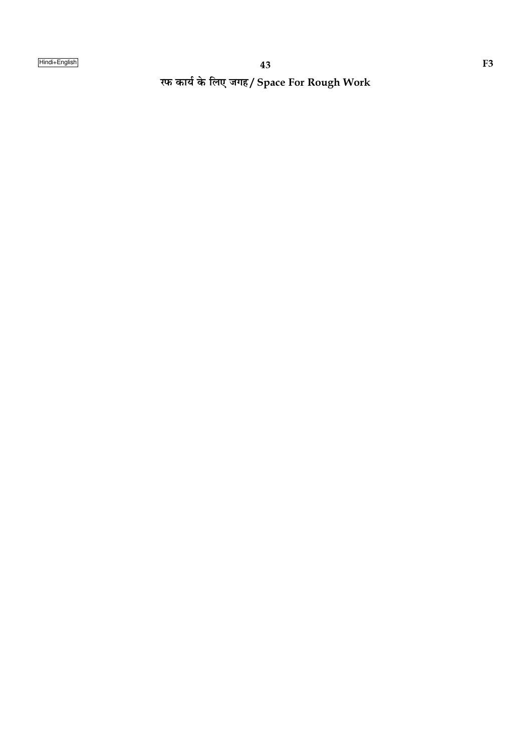रफ कार्य के लिए जगह/ Space For Rough Work